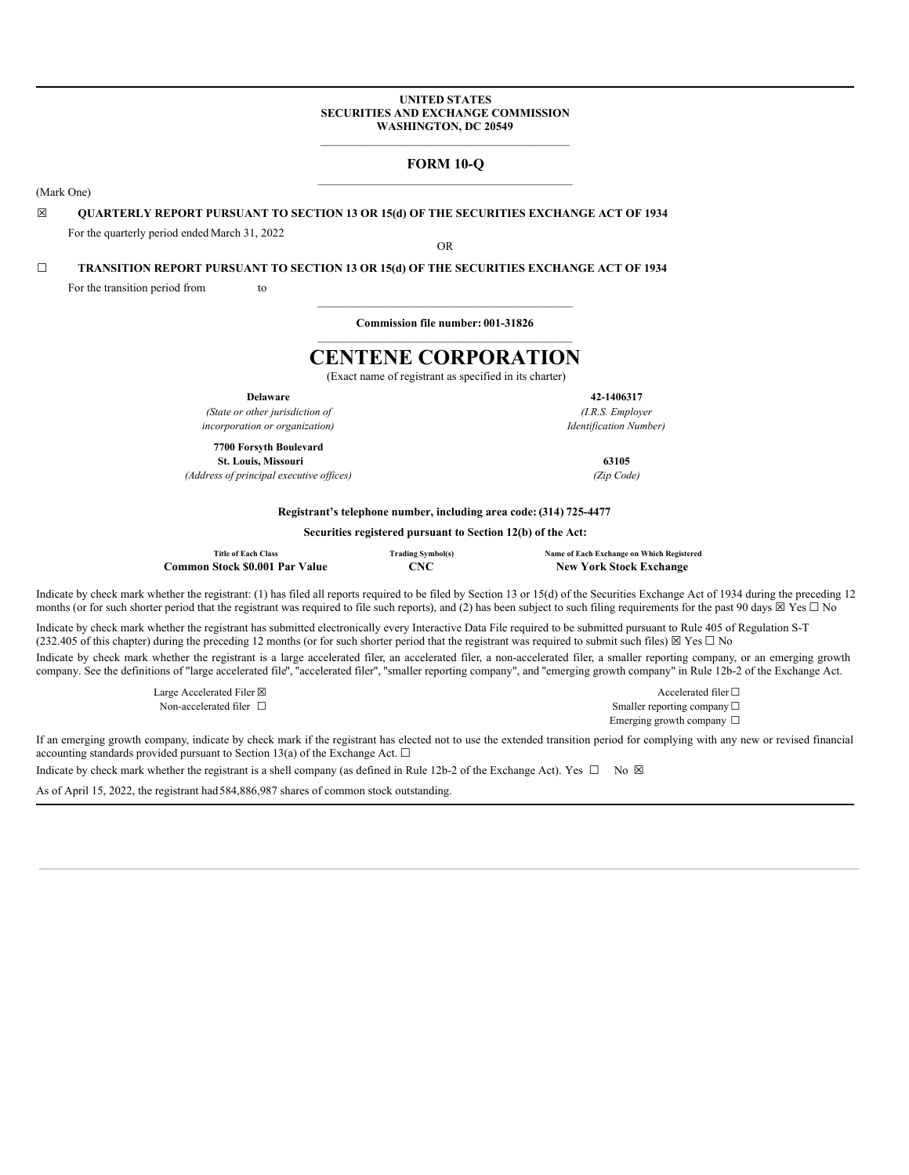### **UNITED STATES SECURITIES AND EXCHANGE COMMISSION WASHINGTON, DC 20549**

# $\mathcal{L}_\text{max}$  and  $\mathcal{L}_\text{max}$  and  $\mathcal{L}_\text{max}$  and  $\mathcal{L}_\text{max}$ **FORM 10-Q**  $\mathcal{L}_\text{max}$  and the contract of the contract of the contract of the contract of the contract of the contract of the contract of the contract of the contract of the contract of the contract of the contract of the contrac

(Mark One)

# ☒ **QUARTERLY REPORT PURSUANT TO SECTION 13 OR 15(d) OF THE SECURITIES EXCHANGE ACT OF 1934** For the quarterly period ended March 31, 2022

OR

☐ **TRANSITION REPORT PURSUANT TO SECTION 13 OR 15(d) OF THE SECURITIES EXCHANGE ACT OF 1934**

For the transition period from to

 $\mathcal{L}_\text{max}$  and  $\mathcal{L}_\text{max}$  and  $\mathcal{L}_\text{max}$  and  $\mathcal{L}_\text{max}$ **Commission file number: 001-31826**  $\mathcal{L}_\text{max}$  and  $\mathcal{L}_\text{max}$  and  $\mathcal{L}_\text{max}$  and  $\mathcal{L}_\text{max}$ 

# **CENTENE CORPORATION**

(Exact name of registrant as specified in its charter)

**Delaware 42-1406317**

*(State or other jurisdiction of (I.R.S. Employer incorporation or organization) Identification Number)*

**7700 Forsyth Boulevard**

**St. Louis, Missouri 63105** *(Address of principal executive of ices) (Zip Code)*

**Registrant's telephone number, including area code: (314) 725-4477**

**Securities registered pursuant to Section 12(b) of the Act:**

| <b>Title of Each Class</b>     | <b>Trading Symbol(s)</b> | Name of Each Exchange on Which Registered |
|--------------------------------|--------------------------|-------------------------------------------|
| Common Stock \$0.001 Par Value | <b>CNC</b>               | <b>New York Stock Exchange</b>            |

Indicate by check mark whether the registrant: (1) has filed all reports required to be filed by Section 13 or 15(d) of the Securities Exchange Act of 1934 during the preceding 12 months (or for such shorter period that the registrant was required to file such reports), and (2) has been subject to such filing requirements for the past 90 days  $\boxtimes$  Yes  $\Box$  No

Indicate by check mark whether the registrant has submitted electronically every Interactive Data File required to be submitted pursuant to Rule 405 of Regulation S-T (232.405 of this chapter) during the preceding 12 months (or for such shorter period that the registrant was required to submit such files)  $\boxtimes$  Yes  $\square$  No Indicate by check mark whether the registrant is a large accelerated filer, an accelerated filer, a non-accelerated filer, a smaller reporting company, or an emerging growth company. See the definitions of "large accelerated file", "accelerated filer", "smaller reporting company", and "emerging growth company" in Rule 12b-2 of the Exchange Act.

Large Accelerated Filer ⊠ and the set of the set of the set of the set of the set of the set of the set of the set of the set of the set of the set of the set of the set of the set of the set of the set of the set of the Non-accelerated filer □ Smaller reporting company □ Emerging growth company  $\Box$ 

If an emerging growth company, indicate by check mark if the registrant has elected not to use the extended transition period for complying with any new or revised financial accounting standards provided pursuant to Section 13(a) of the Exchange Act.  $\square$ 

Indicate by check mark whether the registrant is a shell company (as defined in Rule 12b-2 of the Exchange Act). Yes  $\Box$  No  $\boxtimes$ 

<span id="page-0-0"></span>As of April 15, 2022, the registrant had584,886,987 shares of common stock outstanding.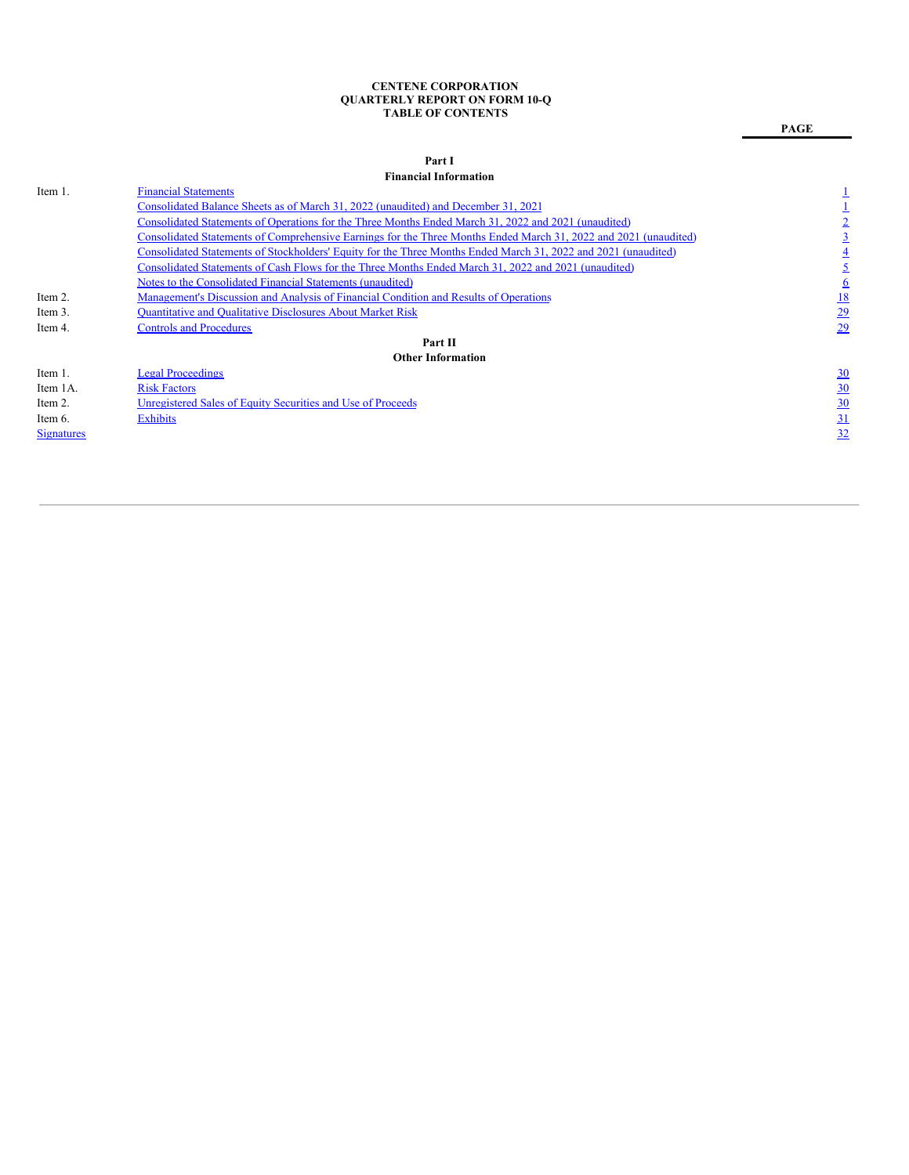## **CENTENE CORPORATION QUARTERLY REPORT ON FORM 10-Q TABLE OF CONTENTS**

# **PAGE**

# **Part I**

# **Financial Information**

| Item 1.           | <b>Financial Statements</b>                                                                                      |                 |
|-------------------|------------------------------------------------------------------------------------------------------------------|-----------------|
|                   | Consolidated Balance Sheets as of March 31, 2022 (unaudited) and December 31, 2021                               |                 |
|                   | Consolidated Statements of Operations for the Three Months Ended March 31, 2022 and 2021 (unaudited)             |                 |
|                   | Consolidated Statements of Comprehensive Earnings for the Three Months Ended March 31, 2022 and 2021 (unaudited) |                 |
|                   | Consolidated Statements of Stockholders' Equity for the Three Months Ended March 31, 2022 and 2021 (unaudited)   |                 |
|                   | Consolidated Statements of Cash Flows for the Three Months Ended March 31, 2022 and 2021 (unaudited)             |                 |
|                   | Notes to the Consolidated Financial Statements (unaudited)                                                       | <u>0</u>        |
| Item 2.           | Management's Discussion and Analysis of Financial Condition and Results of Operations                            | <u>18</u>       |
| Item 3.           | <b>Quantitative and Qualitative Disclosures About Market Risk</b>                                                | $\overline{29}$ |
| Item 4.           | <b>Controls and Procedures</b>                                                                                   | 29              |
|                   | Part II                                                                                                          |                 |
|                   | <b>Other Information</b>                                                                                         |                 |
| Item 1.           | Legal Proceedings                                                                                                | 30              |
| Item 1A.          | <b>Risk Factors</b>                                                                                              | 30              |
| Item 2.           | Unregistered Sales of Equity Securities and Use of Proceeds                                                      | $\frac{30}{2}$  |
| Item 6.           | <b>Exhibits</b>                                                                                                  | <u>31</u>       |
| <b>Signatures</b> |                                                                                                                  | $\frac{32}{2}$  |
|                   |                                                                                                                  |                 |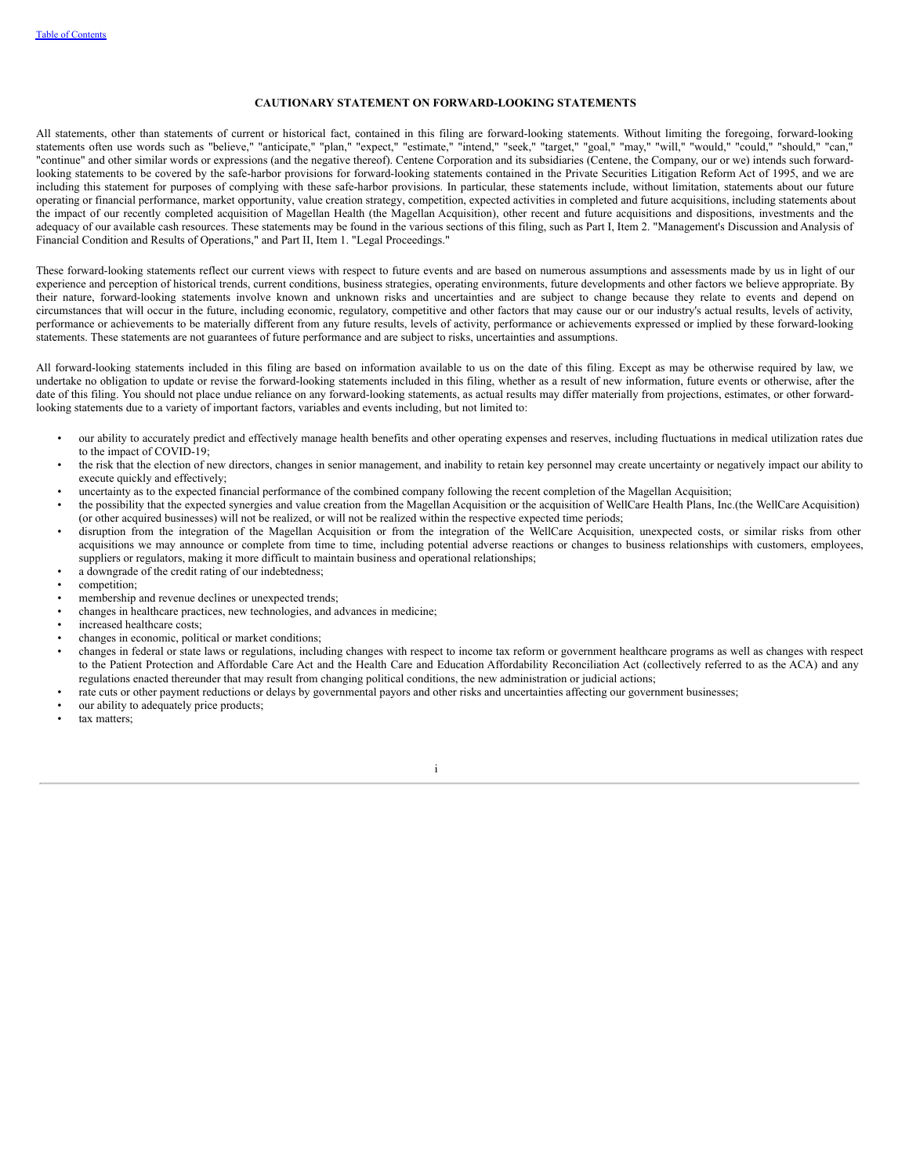#### **CAUTIONARY STATEMENT ON FORWARD-LOOKING STATEMENTS**

All statements, other than statements of current or historical fact, contained in this filing are forward-looking statements. Without limiting the foregoing, forward-looking statements often use words such as "believe," "anticipate," "plan," "expect," "estimate," "intend," "seek," "target," "goal," "may," "will," "would," "could," "should," "can," "continue" and other similar words or expressions (and the negative thereof). Centene Corporation and its subsidiaries (Centene, the Company, our or we) intends such forwardlooking statements to be covered by the safe-harbor provisions for forward-looking statements contained in the Private Securities Litigation Reform Act of 1995, and we are including this statement for purposes of complying with these safe-harbor provisions. In particular, these statements include, without limitation, statements about our future operating or financial performance, market opportunity, value creation strategy, competition, expected activities in completed and future acquisitions, including statements about the impact of our recently completed acquisition of Magellan Health (the Magellan Acquisition), other recent and future acquisitions and dispositions, investments and the adequacy of our available cash resources. These statements may be found in the various sections of this filing, such as Part I, Item 2. "Management's Discussion and Analysis of Financial Condition and Results of Operations," and Part II, Item 1. "Legal Proceedings."

These forward-looking statements reflect our current views with respect to future events and are based on numerous assumptions and assessments made by us in light of our experience and perception of historical trends, current conditions, business strategies, operating environments, future developments and other factors we believe appropriate. By their nature, forward-looking statements involve known and unknown risks and uncertainties and are subject to change because they relate to events and depend on circumstances that will occur in the future, including economic, regulatory, competitive and other factors that may cause our or our industry's actual results, levels of activity, performance or achievements to be materially different from any future results, levels of activity, performance or achievements expressed or implied by these forward-looking statements. These statements are not guarantees of future performance and are subject to risks, uncertainties and assumptions.

All forward-looking statements included in this filing are based on information available to us on the date of this filing. Except as may be otherwise required by law, we undertake no obligation to update or revise the forward-looking statements included in this filing, whether as a result of new information, future events or otherwise, after the date of this filing. You should not place undue reliance on any forward-looking statements, as actual results may differ materially from projections, estimates, or other forwardlooking statements due to a variety of important factors, variables and events including, but not limited to:

- our ability to accurately predict and effectively manage health benefits and other operating expenses and reserves, including fluctuations in medical utilization rates due to the impact of COVID-19;
- the risk that the election of new directors, changes in senior management, and inability to retain key personnel may create uncertainty or negatively impact our ability to execute quickly and effectively;
- uncertainty as to the expected financial performance of the combined company following the recent completion of the Magellan Acquisition;
- the possibility that the expected synergies and value creation from the Magellan Acquisition or the acquisition of WellCare Health Plans, Inc.(the WellCare Acquisition) (or other acquired businesses) will not be realized, or will not be realized within the respective expected time periods;
- disruption from the integration of the Magellan Acquisition or from the integration of the WellCare Acquisition, unexpected costs, or similar risks from other acquisitions we may announce or complete from time to time, including potential adverse reactions or changes to business relationships with customers, employees, suppliers or regulators, making it more difficult to maintain business and operational relationships;
- a downgrade of the credit rating of our indebtedness;
- competition;
- membership and revenue declines or unexpected trends;
- changes in healthcare practices, new technologies, and advances in medicine;
- increased healthcare costs;
- changes in economic, political or market conditions;
- changes in federal or state laws or regulations, including changes with respect to income tax reform or government healthcare programs as well as changes with respect to the Patient Protection and Affordable Care Act and the Health Care and Education Affordability Reconciliation Act (collectively referred to as the ACA) and any regulations enacted thereunder that may result from changing political conditions, the new administration or judicial actions;
- rate cuts or other payment reductions or delays by governmental payors and other risks and uncertainties affecting our government businesses;
- our ability to adequately price products;
- tax matters:

i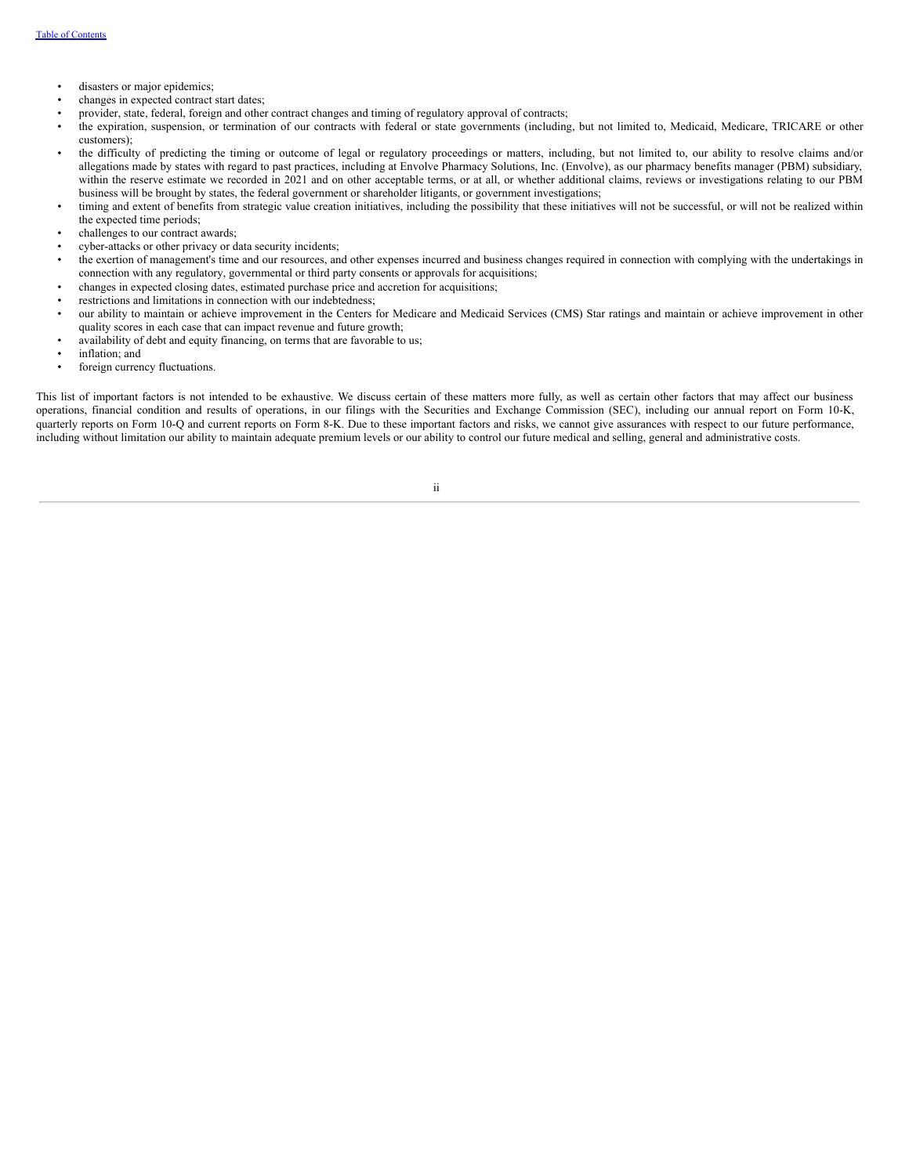- disasters or major epidemics;
- changes in expected contract start dates;
- provider, state, federal, foreign and other contract changes and timing of regulatory approval of contracts;
- the expiration, suspension, or termination of our contracts with federal or state governments (including, but not limited to, Medicaid, Medicare, TRICARE or other customers);
- the difficulty of predicting the timing or outcome of legal or regulatory proceedings or matters, including, but not limited to, our ability to resolve claims and/or allegations made by states with regard to past practices, including at Envolve Pharmacy Solutions, Inc. (Envolve), as our pharmacy benefits manager (PBM) subsidiary, within the reserve estimate we recorded in 2021 and on other acceptable terms, or at all, or whether additional claims, reviews or investigations relating to our PBM business will be brought by states, the federal government or shareholder litigants, or government investigations;
- timing and extent of benefits from strategic value creation initiatives, including the possibility that these initiatives will not be successful, or will not be realized within the expected time periods;
- challenges to our contract awards;
- cyber-attacks or other privacy or data security incidents;
- the exertion of management's time and our resources, and other expenses incurred and business changes required in connection with complying with the undertakings in connection with any regulatory, governmental or third party consents or approvals for acquisitions;
- changes in expected closing dates, estimated purchase price and accretion for acquisitions;
- restrictions and limitations in connection with our indebtedness;
- our ability to maintain or achieve improvement in the Centers for Medicare and Medicaid Services (CMS) Star ratings and maintain or achieve improvement in other quality scores in each case that can impact revenue and future growth;
- availability of debt and equity financing, on terms that are favorable to us;
- inflation; and
- foreign currency fluctuations.

This list of important factors is not intended to be exhaustive. We discuss certain of these matters more fully, as well as certain other factors that may affect our business operations, financial condition and results of operations, in our filings with the Securities and Exchange Commission (SEC), including our annual report on Form 10-K, quarterly reports on Form 10-Q and current reports on Form 8-K. Due to these important factors and risks, we cannot give assurances with respect to our future performance, including without limitation our ability to maintain adequate premium levels or our ability to control our future medical and selling, general and administrative costs.

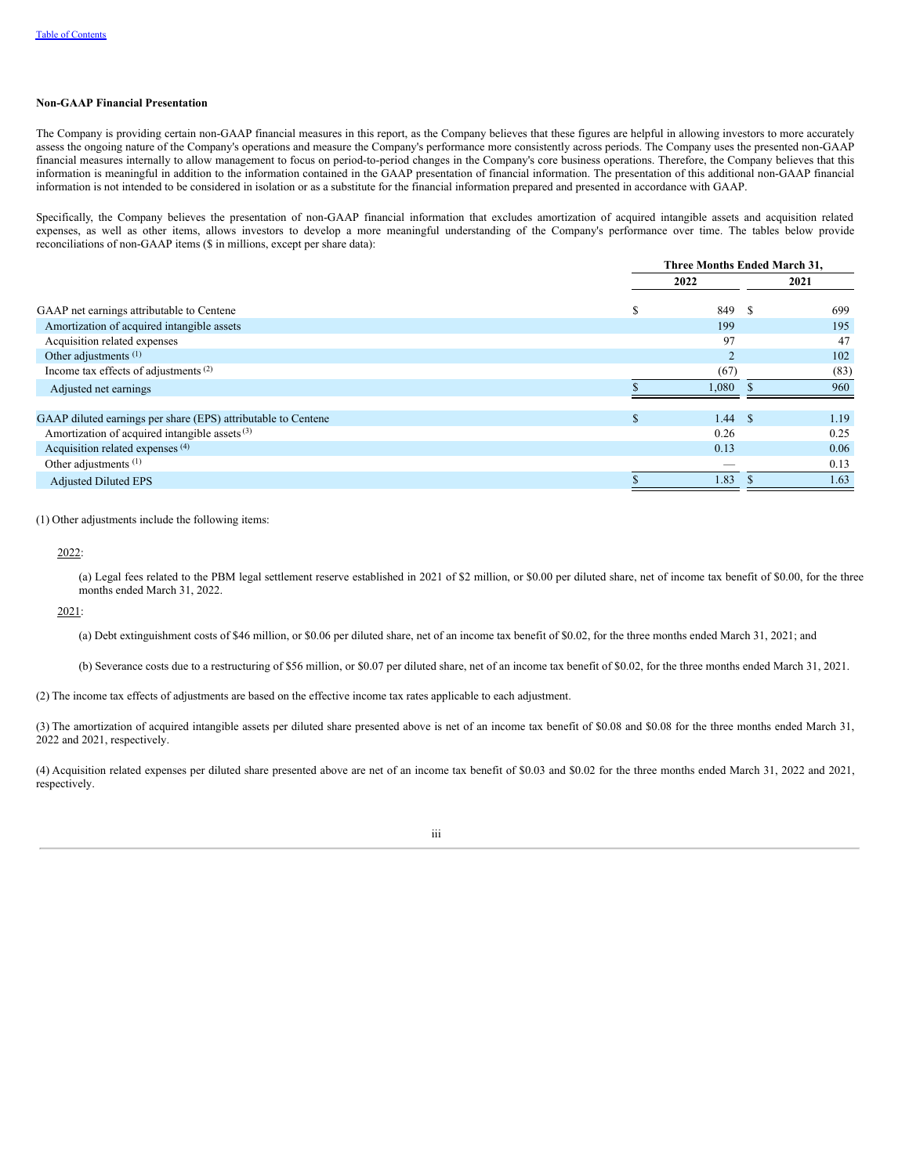## **Non-GAAP Financial Presentation**

The Company is providing certain non-GAAP financial measures in this report, as the Company believes that these figures are helpful in allowing investors to more accurately assess the ongoing nature of the Company's operations and measure the Company's performance more consistently across periods. The Company uses the presented non-GAAP financial measures internally to allow management to focus on period-to-period changes in the Company's core business operations. Therefore, the Company believes that this information is meaningful in addition to the information contained in the GAAP presentation of financial information. The presentation of this additional non-GAAP financial information is not intended to be considered in isolation or as a substitute for the financial information prepared and presented in accordance with GAAP.

Specifically, the Company believes the presentation of non-GAAP financial information that excludes amortization of acquired intangible assets and acquisition related expenses, as well as other items, allows investors to develop a more meaningful understanding of the Company's performance over time. The tables below provide reconciliations of non-GAAP items (\$ in millions, except per share data):

|                                                               |               | Three Months Ended March 31, |    |      |  |  |  |
|---------------------------------------------------------------|---------------|------------------------------|----|------|--|--|--|
|                                                               |               | 2022                         |    | 2021 |  |  |  |
| GAAP net earnings attributable to Centene                     | ъ             | 849                          | -S | 699  |  |  |  |
| Amortization of acquired intangible assets                    |               | 199                          |    | 195  |  |  |  |
| Acquisition related expenses                                  |               | 97                           |    | 47   |  |  |  |
| Other adjustments (1)                                         |               |                              |    | 102  |  |  |  |
| Income tax effects of adjustments <sup>(2)</sup>              |               | (67)                         |    | (83) |  |  |  |
| Adjusted net earnings                                         |               | 1,080                        |    | 960  |  |  |  |
|                                                               |               |                              |    |      |  |  |  |
| GAAP diluted earnings per share (EPS) attributable to Centene | $\mathcal{S}$ | $1.44 \quad$ \$              |    | 1.19 |  |  |  |
| Amortization of acquired intangible assets (3)                |               | 0.26                         |    | 0.25 |  |  |  |
| Acquisition related expenses <sup>(4)</sup>                   |               | 0.13                         |    | 0.06 |  |  |  |
| Other adjustments <sup>(1)</sup>                              |               |                              |    | 0.13 |  |  |  |
| <b>Adjusted Diluted EPS</b>                                   |               | 1.83                         |    | 1.63 |  |  |  |

(1) Other adjustments include the following items:

2022:

(a) Legal fees related to the PBM legal settlement reserve established in 2021 of \$2 million, or \$0.00 per diluted share, net of income tax benefit of \$0.00, for the three months ended March 31, 2022.

2021:

(a) Debt extinguishment costs of \$46 million, or \$0.06 per diluted share, net of an income tax benefit of \$0.02, for the three months ended March 31, 2021; and

(b) Severance costs due to a restructuring of \$56 million, or \$0.07 per diluted share, net of an income tax benefit of \$0.02, for the three months ended March 31, 2021.

(2) The income tax effects of adjustments are based on the effective income tax rates applicable to each adjustment.

(3) The amortization of acquired intangible assets per diluted share presented above is net of an income tax benefit of \$0.08 and \$0.08 for the three months ended March 31, 2022 and 2021, respectively.

(4) Acquisition related expenses per diluted share presented above are net of an income tax benefit of \$0.03 and \$0.02 for the three months ended March 31, 2022 and 2021, respectively.

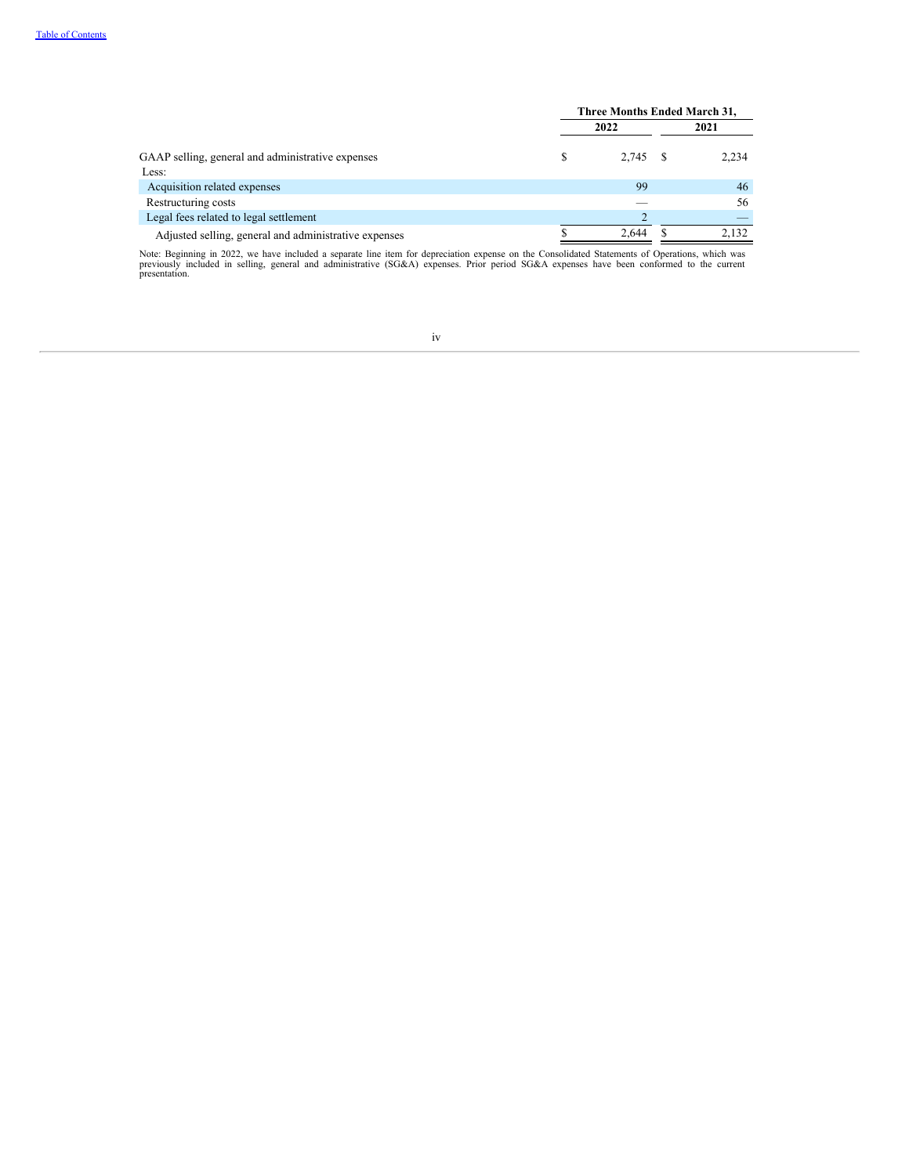|                                                       | Three Months Ended March 31, |       |
|-------------------------------------------------------|------------------------------|-------|
|                                                       | 2022                         | 2021  |
| GAAP selling, general and administrative expenses     | 2,745 \$                     | 2,234 |
| Less:<br>Acquisition related expenses                 | 99                           | 46    |
| Restructuring costs                                   |                              | 56    |
| Legal fees related to legal settlement                |                              |       |
| Adjusted selling, general and administrative expenses | 2.644                        | 2.132 |

Note: Beginning in 2022, we have included a separate line item for depreciation expense on the Consolidated Statements of Operations, which was<br>previously included in selling, general and administrative (SG&A) expenses. Pr

#### iv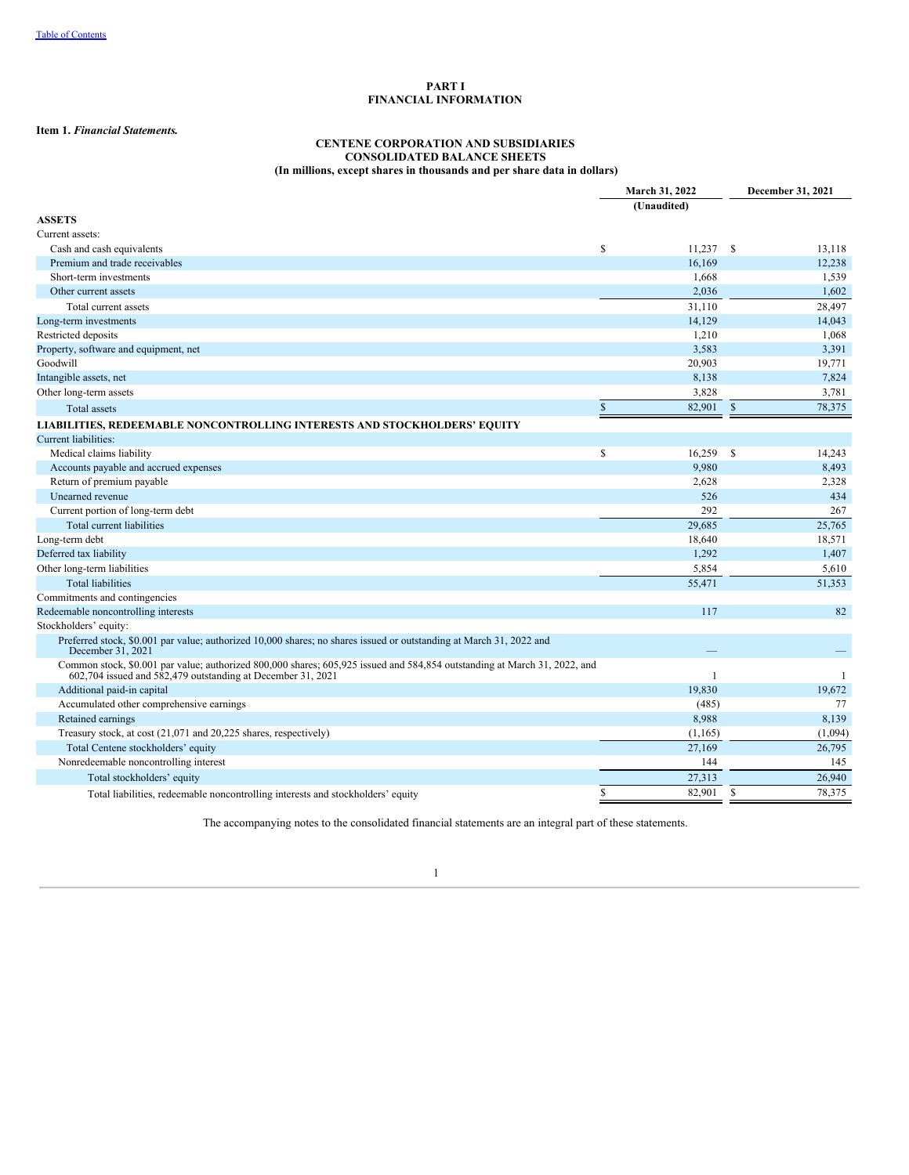# **PART I FINANCIAL INFORMATION**

# <span id="page-6-1"></span><span id="page-6-0"></span>**Item 1.** *Financial Statements.*

# **CENTENE CORPORATION AND SUBSIDIARIES CONSOLIDATED BALANCE SHEETS**

# **(In millions, except shares in thousands and per share data in dollars)**

|                                                                                                                                                                                          | March 31, 2022 |              |              | December 31, 2021 |
|------------------------------------------------------------------------------------------------------------------------------------------------------------------------------------------|----------------|--------------|--------------|-------------------|
|                                                                                                                                                                                          |                | (Unaudited)  |              |                   |
| <b>ASSETS</b>                                                                                                                                                                            |                |              |              |                   |
| Current assets:                                                                                                                                                                          |                |              |              |                   |
| Cash and cash equivalents                                                                                                                                                                | \$             | $11,237$ \$  |              | 13,118            |
| Premium and trade receivables                                                                                                                                                            |                | 16,169       |              | 12,238            |
| Short-term investments                                                                                                                                                                   |                | 1,668        |              | 1,539             |
| Other current assets                                                                                                                                                                     |                | 2,036        |              | 1,602             |
| Total current assets                                                                                                                                                                     |                | 31,110       |              | 28,497            |
| Long-term investments                                                                                                                                                                    |                | 14,129       |              | 14,043            |
| Restricted deposits                                                                                                                                                                      |                | 1,210        |              | 1,068             |
| Property, software and equipment, net                                                                                                                                                    |                | 3,583        |              | 3,391             |
| Goodwill                                                                                                                                                                                 |                | 20,903       |              | 19,771            |
| Intangible assets, net                                                                                                                                                                   |                | 8,138        |              | 7,824             |
| Other long-term assets                                                                                                                                                                   |                | 3,828        |              | 3,781             |
| <b>Total</b> assets                                                                                                                                                                      | $\mathbb{S}$   | 82,901 \$    |              | 78,375            |
| LIABILITIES, REDEEMABLE NONCONTROLLING INTERESTS AND STOCKHOLDERS' EQUITY                                                                                                                |                |              |              |                   |
| Current liabilities:                                                                                                                                                                     |                |              |              |                   |
| Medical claims liability                                                                                                                                                                 | \$             | 16,259       | $\mathbf S$  | 14,243            |
| Accounts payable and accrued expenses                                                                                                                                                    |                | 9,980        |              | 8,493             |
| Return of premium payable                                                                                                                                                                |                | 2,628        |              | 2,328             |
| Unearned revenue                                                                                                                                                                         |                | 526          |              | 434               |
| Current portion of long-term debt                                                                                                                                                        |                | 292          |              | 267               |
| Total current liabilities                                                                                                                                                                |                | 29,685       |              | 25,765            |
| Long-term debt                                                                                                                                                                           |                | 18,640       |              | 18,571            |
| Deferred tax liability                                                                                                                                                                   |                | 1,292        |              | 1,407             |
| Other long-term liabilities                                                                                                                                                              |                | 5,854        |              | 5,610             |
| <b>Total liabilities</b>                                                                                                                                                                 |                | 55,471       |              | 51,353            |
| Commitments and contingencies                                                                                                                                                            |                |              |              |                   |
| Redeemable noncontrolling interests                                                                                                                                                      |                | 117          |              | 82                |
| Stockholders' equity:                                                                                                                                                                    |                |              |              |                   |
| Preferred stock, \$0.001 par value; authorized 10,000 shares; no shares issued or outstanding at March 31, 2022 and<br>December 31, 2021                                                 |                |              |              |                   |
| Common stock, \$0.001 par value; authorized 800,000 shares; 605,925 issued and 584,854 outstanding at March 31, 2022, and<br>602,704 issued and 582,479 outstanding at December 31, 2021 |                | $\mathbf{1}$ |              | $\overline{1}$    |
| Additional paid-in capital                                                                                                                                                               |                | 19,830       |              | 19,672            |
| Accumulated other comprehensive earnings                                                                                                                                                 |                | (485)        |              | 77                |
| Retained earnings                                                                                                                                                                        |                | 8,988        |              | 8,139             |
| Treasury stock, at cost (21,071 and 20,225 shares, respectively)                                                                                                                         |                | (1, 165)     |              | (1,094)           |
| Total Centene stockholders' equity                                                                                                                                                       |                | 27,169       |              | 26,795            |
| Nonredeemable noncontrolling interest                                                                                                                                                    |                | 144          |              | 145               |
| Total stockholders' equity                                                                                                                                                               |                | 27,313       |              | 26,940            |
| Total liabilities, redeemable noncontrolling interests and stockholders' equity                                                                                                          | \$             | 82,901       | $\mathbb{S}$ | 78,375            |

<span id="page-6-2"></span>The accompanying notes to the consolidated financial statements are an integral part of these statements.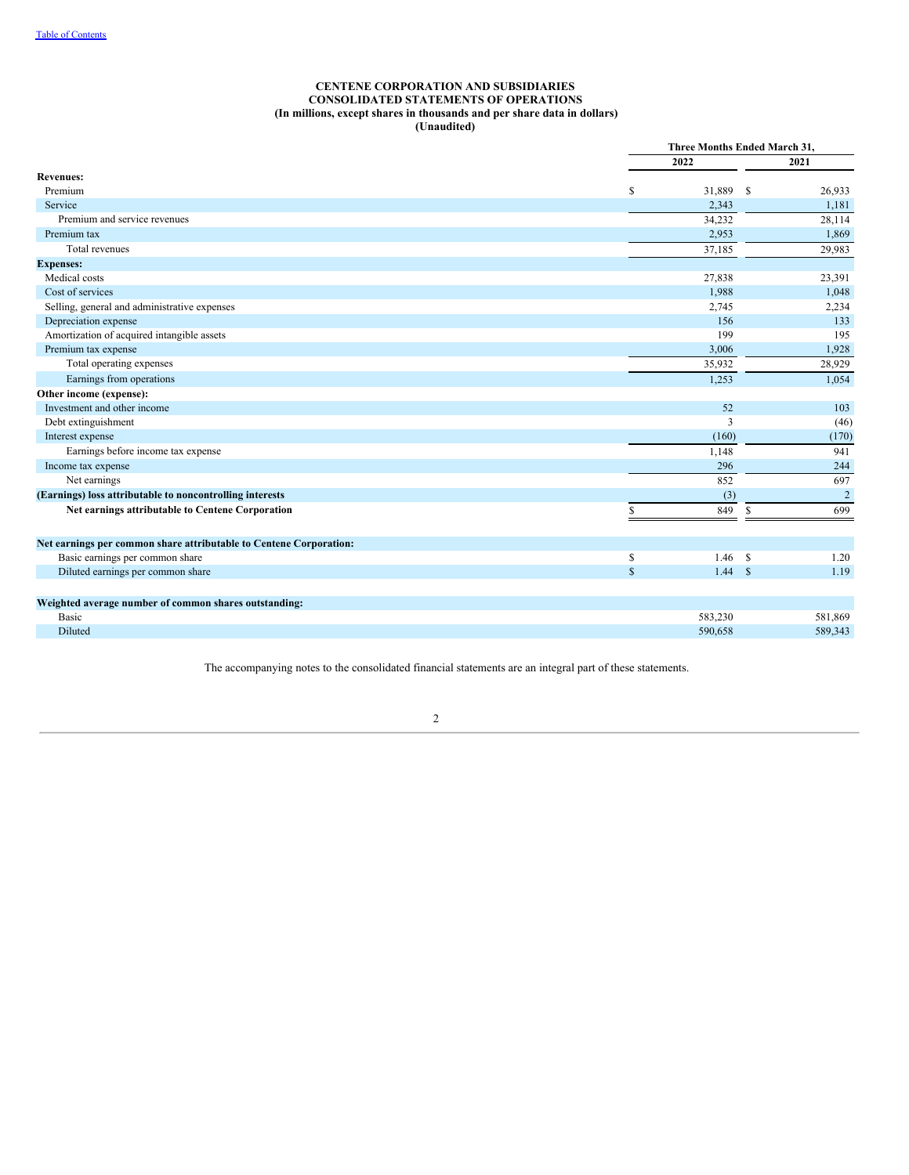## **CENTENE CORPORATION AND SUBSIDIARIES CONSOLIDATED STATEMENTS OF OPERATIONS (In millions, except shares in thousands and per share data in dollars) (Unaudited)**

|                                                                    | Three Months Ended March 31, |                 |              |            |
|--------------------------------------------------------------------|------------------------------|-----------------|--------------|------------|
|                                                                    | 2022                         |                 |              | 2021       |
| <b>Revenues:</b>                                                   |                              |                 |              |            |
| Premium                                                            | \$                           | 31,889          | $\mathbf{s}$ | 26,933     |
| Service                                                            |                              | 2,343           |              | 1,181      |
| Premium and service revenues                                       |                              | 34,232          |              | 28,114     |
| Premium tax                                                        |                              | 2,953           |              | 1,869      |
| Total revenues                                                     |                              | 37,185          |              | 29,983     |
| <b>Expenses:</b>                                                   |                              |                 |              |            |
| Medical costs                                                      |                              | 27,838          |              | 23,391     |
| Cost of services                                                   |                              | 1,988           |              | 1,048      |
| Selling, general and administrative expenses                       |                              | 2,745           |              | 2,234      |
| Depreciation expense                                               |                              | 156             |              | 133        |
| Amortization of acquired intangible assets                         |                              | 199             |              | 195        |
| Premium tax expense                                                |                              | 3,006           |              | 1,928      |
| Total operating expenses                                           |                              | 35,932          |              | 28,929     |
| Earnings from operations                                           |                              | 1,253           |              | 1,054      |
| Other income (expense):                                            |                              |                 |              |            |
| Investment and other income                                        |                              | 52              |              | 103        |
| Debt extinguishment                                                |                              | 3               |              | (46)       |
| Interest expense                                                   |                              | (160)           |              | (170)      |
| Earnings before income tax expense                                 |                              | 1,148           |              | 941        |
| Income tax expense                                                 |                              | 296             |              | 244        |
| Net earnings                                                       |                              | 852             |              | 697        |
| (Earnings) loss attributable to noncontrolling interests           |                              | (3)             |              | $\sqrt{2}$ |
| Net earnings attributable to Centene Corporation                   | S                            | 849             | $\mathbb{S}$ | 699        |
|                                                                    |                              |                 |              |            |
| Net earnings per common share attributable to Centene Corporation: |                              |                 |              |            |
| Basic earnings per common share                                    | \$                           | 1.46            | $\mathbf{s}$ | 1.20       |
| Diluted earnings per common share                                  | $\mathbf S$                  | $1.44 \quad$ \$ |              | 1.19       |
|                                                                    |                              |                 |              |            |
| Weighted average number of common shares outstanding:              |                              |                 |              |            |
| Basic                                                              |                              | 583,230         |              | 581,869    |
| Diluted                                                            |                              | 590,658         |              | 589,343    |

<span id="page-7-0"></span>The accompanying notes to the consolidated financial statements are an integral part of these statements.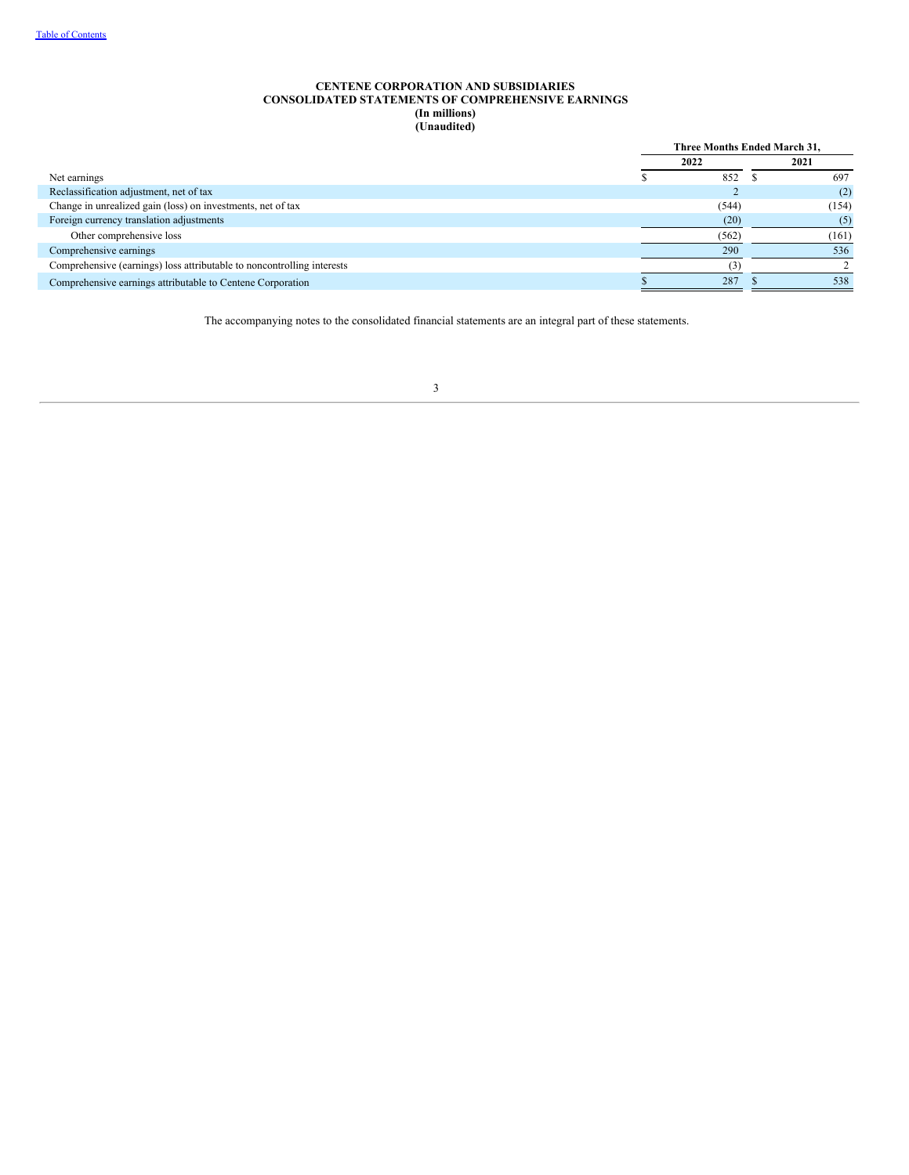## **CENTENE CORPORATION AND SUBSIDIARIES CONSOLIDATED STATEMENTS OF COMPREHENSIVE EARNINGS (In millions) (Unaudited)**

|                                                                        | Three Months Ended March 31, |       |  |  |
|------------------------------------------------------------------------|------------------------------|-------|--|--|
|                                                                        | 2022                         | 2021  |  |  |
| Net earnings                                                           | 852                          | 697   |  |  |
| Reclassification adjustment, net of tax                                |                              | (2)   |  |  |
| Change in unrealized gain (loss) on investments, net of tax            | (544)                        | (154) |  |  |
| Foreign currency translation adjustments                               | (20)                         | (5)   |  |  |
| Other comprehensive loss                                               | (562)                        | (161) |  |  |
| Comprehensive earnings                                                 | 290                          | 536   |  |  |
| Comprehensive (earnings) loss attributable to noncontrolling interests |                              |       |  |  |
| Comprehensive earnings attributable to Centene Corporation             | 287                          | 538   |  |  |
|                                                                        |                              |       |  |  |

<span id="page-8-0"></span>The accompanying notes to the consolidated financial statements are an integral part of these statements.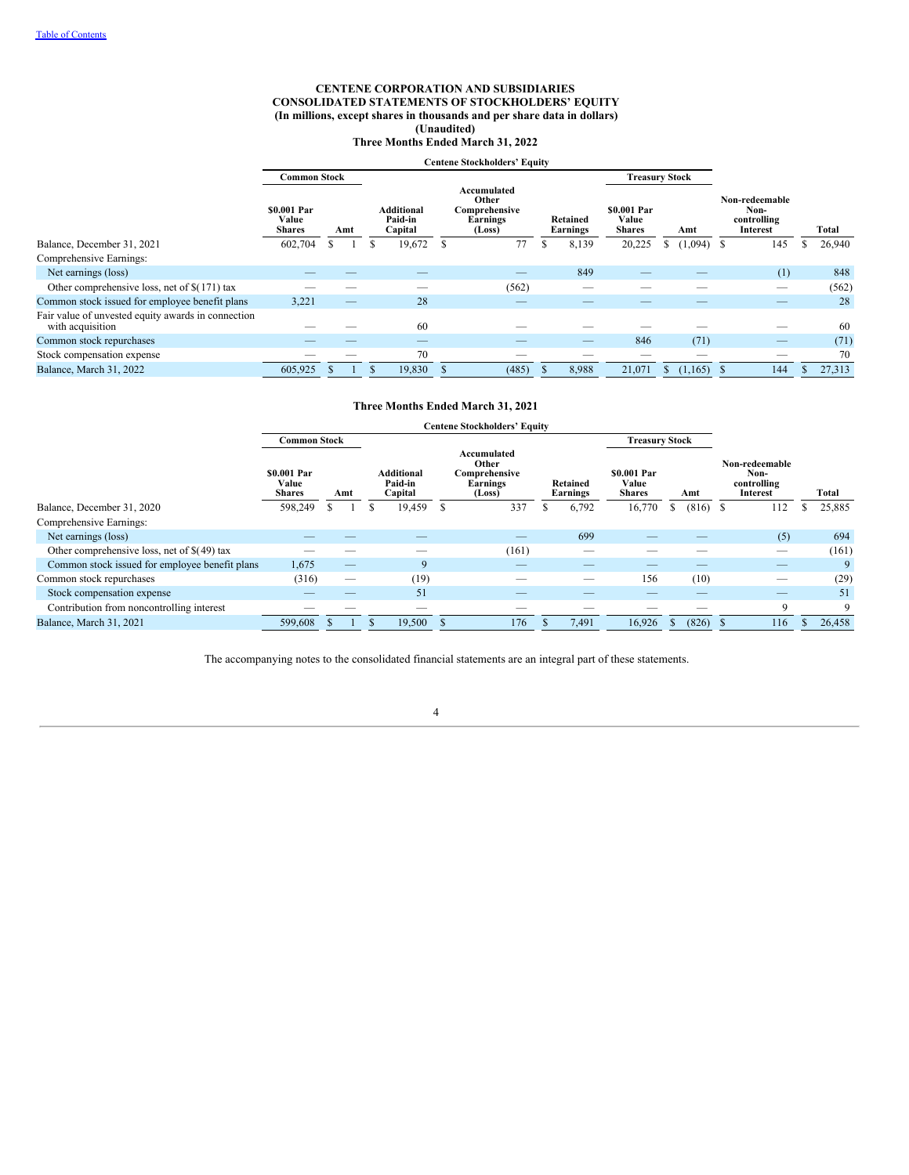## **CENTENE CORPORATION AND SUBSIDIARIES CONSOLIDATED STATEMENTS OF STOCKHOLDERS' EQUITY (In millions, except shares in thousands and per share data in dollars) (Unaudited) Three Months Ended March 31, 2022**

# **Centene Stockholders' Equity**

|                                                                        | <b>Common Stock</b>                   |     |                                         |          |                                                             |                             | <b>Treasury Stock</b>                 |   |              |                                                   |        |
|------------------------------------------------------------------------|---------------------------------------|-----|-----------------------------------------|----------|-------------------------------------------------------------|-----------------------------|---------------------------------------|---|--------------|---------------------------------------------------|--------|
|                                                                        | \$0.001 Par<br>Value<br><b>Shares</b> | Amt | <b>Additional</b><br>Paid-in<br>Capital |          | Accumulated<br>Other<br>Comprehensive<br>Earnings<br>(Loss) | Retained<br><b>Earnings</b> | \$0.001 Par<br>Value<br><b>Shares</b> |   | Amt          | Non-redeemable<br>Non-<br>controlling<br>Interest | Total  |
| Balance, December 31, 2021                                             | 602,704                               |     | 19,672                                  | <b>S</b> | 77                                                          | 8,139                       | 20,225                                | ъ | $(1,094)$ \$ | 145                                               | 26,940 |
| Comprehensive Earnings:                                                |                                       |     |                                         |          |                                                             |                             |                                       |   |              |                                                   |        |
| Net earnings (loss)                                                    |                                       |     |                                         |          |                                                             | 849                         |                                       |   |              | (1)                                               | 848    |
| Other comprehensive loss, net of $\S(171)$ tax                         |                                       |     | __                                      |          | (562)                                                       | $-$                         |                                       |   |              |                                                   | (562)  |
| Common stock issued for employee benefit plans                         | 3,221                                 | __  | 28                                      |          | $-$                                                         |                             |                                       |   |              | __                                                | 28     |
| Fair value of unvested equity awards in connection<br>with acquisition |                                       |     | 60                                      |          |                                                             |                             |                                       |   |              |                                                   | 60     |
| Common stock repurchases                                               |                                       |     |                                         |          | $-$                                                         |                             | 846                                   |   | (71)         |                                                   | (71)   |
| Stock compensation expense                                             |                                       |     | 70                                      |          | $\sim$                                                      | --                          | $-$                                   |   | $-$          | $-$                                               | 70     |
| Balance, March 31, 2022                                                | 605,925                               |     | 19,830                                  |          | (485)                                                       | 8,988                       | 21,071                                |   | (1,165)      | 144                                               | 27,313 |

# **Three Months Ended March 31, 2021**

|                                                |                                       |                          |    |                                         |     | <b>Centene Stockholders' Equity</b>                         |                             |                                       |    |            |     |                                                   |  |        |
|------------------------------------------------|---------------------------------------|--------------------------|----|-----------------------------------------|-----|-------------------------------------------------------------|-----------------------------|---------------------------------------|----|------------|-----|---------------------------------------------------|--|--------|
|                                                | <b>Common Stock</b>                   |                          |    |                                         |     |                                                             |                             | <b>Treasury Stock</b>                 |    |            |     |                                                   |  |        |
|                                                | \$0.001 Par<br>Value<br><b>Shares</b> | Amt                      |    | <b>Additional</b><br>Paid-in<br>Capital |     | Accumulated<br>Other<br>Comprehensive<br>Earnings<br>(Loss) | Retained<br><b>Earnings</b> | \$0.001 Par<br>Value<br><b>Shares</b> |    | Amt        |     | Non-redeemable<br>Non-<br>controlling<br>Interest |  | Total  |
| Balance, December 31, 2020                     | 598,249                               |                          | ъ. | 19,459                                  | S   | 337                                                         | 6,792                       | 16,770                                | У. | $(816)$ \$ |     | 112                                               |  | 25,885 |
| Comprehensive Earnings:                        |                                       |                          |    |                                         |     |                                                             |                             |                                       |    |            |     |                                                   |  |        |
| Net earnings (loss)                            |                                       |                          |    |                                         |     | $\overline{\phantom{a}}$                                    | 699                         |                                       |    |            |     | (5)                                               |  | 694    |
| Other comprehensive loss, net of $$(49)$ tax   |                                       |                          |    |                                         |     | (161)                                                       | $\sim$                      |                                       |    |            |     |                                                   |  | (161)  |
| Common stock issued for employee benefit plans | 1,675                                 |                          |    | 9                                       |     |                                                             | _                           | __                                    |    |            |     | $\overline{\phantom{a}}$                          |  | 9      |
| Common stock repurchases                       | (316)                                 | $\overline{\phantom{a}}$ |    | (19)                                    |     | $\sim$                                                      | $\sim$                      | 156                                   |    | (10)       |     | $\sim$                                            |  | (29)   |
| Stock compensation expense                     |                                       |                          |    | 51                                      |     |                                                             |                             |                                       |    |            |     | __                                                |  | 51     |
| Contribution from noncontrolling interest      |                                       |                          |    |                                         |     |                                                             |                             |                                       |    |            |     | 9                                                 |  | 9      |
| Balance, March 31, 2021                        | 599,608                               |                          |    | 19,500                                  | -SS | 176                                                         | 7.491                       | 16.926                                |    | (826)      | - 8 | 116                                               |  | 26,458 |

<span id="page-9-0"></span>The accompanying notes to the consolidated financial statements are an integral part of these statements.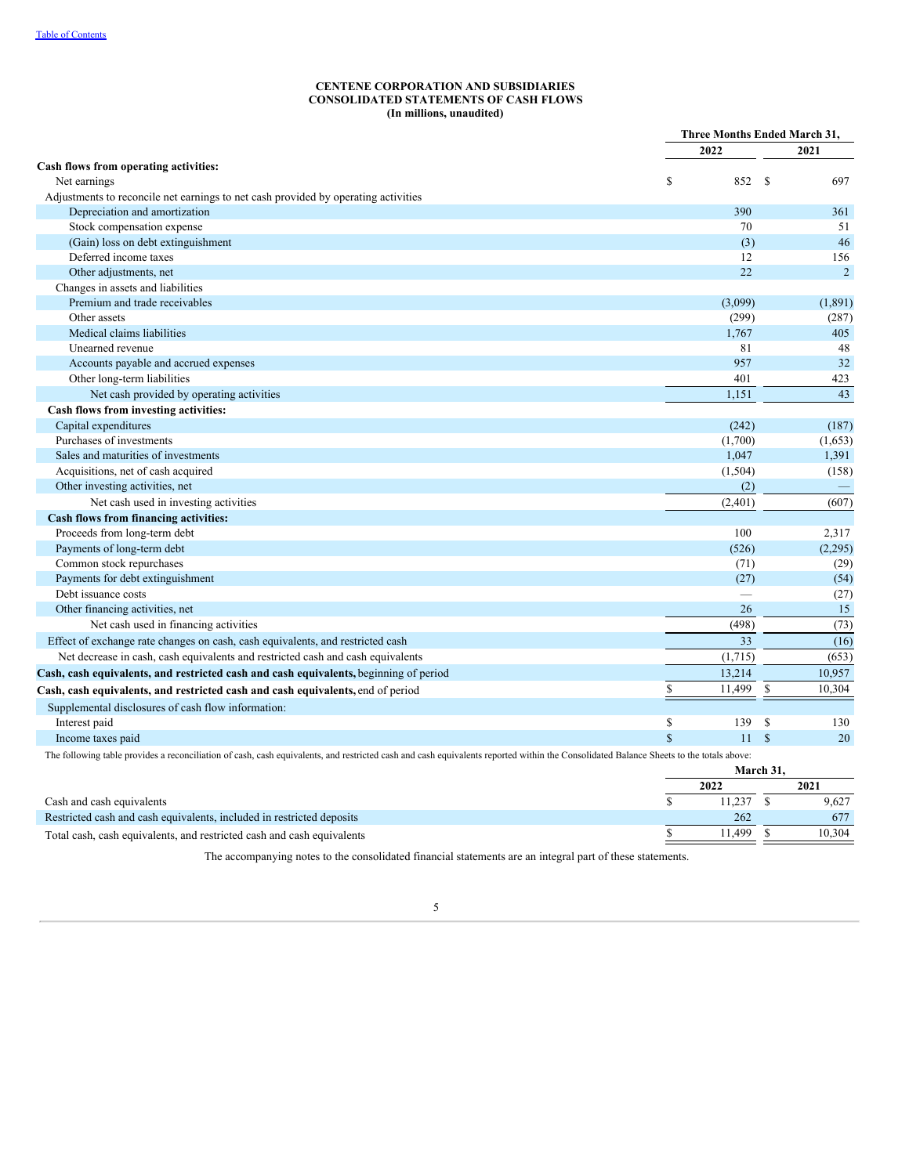## **CENTENE CORPORATION AND SUBSIDIARIES CONSOLIDATED STATEMENTS OF CASH FLOWS (In millions, unaudited)**

|                                                                                                                                                                                        |             | Three Months Ended March 31, |               |                                  |
|----------------------------------------------------------------------------------------------------------------------------------------------------------------------------------------|-------------|------------------------------|---------------|----------------------------------|
|                                                                                                                                                                                        |             | 2022                         |               | 2021                             |
| Cash flows from operating activities:                                                                                                                                                  |             |                              |               |                                  |
| Net earnings                                                                                                                                                                           | \$          | 852                          | <sup>S</sup>  | 697                              |
| Adjustments to reconcile net earnings to net cash provided by operating activities                                                                                                     |             |                              |               |                                  |
| Depreciation and amortization                                                                                                                                                          |             | 390                          |               | 361                              |
| Stock compensation expense                                                                                                                                                             |             | 70                           |               | 51                               |
| (Gain) loss on debt extinguishment                                                                                                                                                     |             | (3)                          |               | 46                               |
| Deferred income taxes                                                                                                                                                                  |             | 12                           |               | 156                              |
| Other adjustments, net                                                                                                                                                                 |             | 22                           |               | $\overline{2}$                   |
| Changes in assets and liabilities                                                                                                                                                      |             |                              |               |                                  |
| Premium and trade receivables                                                                                                                                                          |             | (3,099)                      |               | (1,891)                          |
| Other assets                                                                                                                                                                           |             | (299)                        |               | (287)                            |
| Medical claims liabilities                                                                                                                                                             |             | 1,767                        |               | 405                              |
| Unearned revenue                                                                                                                                                                       |             | 81                           |               | 48                               |
| Accounts payable and accrued expenses                                                                                                                                                  |             | 957                          |               | 32                               |
| Other long-term liabilities                                                                                                                                                            |             | 401                          |               | 423                              |
| Net cash provided by operating activities                                                                                                                                              |             | 1.151                        |               | 43                               |
| Cash flows from investing activities:                                                                                                                                                  |             |                              |               |                                  |
| Capital expenditures                                                                                                                                                                   |             | (242)                        |               | (187)                            |
| Purchases of investments                                                                                                                                                               |             | (1,700)                      |               | (1,653)                          |
| Sales and maturities of investments                                                                                                                                                    |             | 1,047                        |               | 1,391                            |
| Acquisitions, net of cash acquired                                                                                                                                                     |             | (1,504)                      |               | (158)                            |
| Other investing activities, net                                                                                                                                                        |             | (2)                          |               | $\hspace{1.0cm} \longrightarrow$ |
| Net cash used in investing activities                                                                                                                                                  |             | (2,401)                      |               | (607)                            |
| Cash flows from financing activities:                                                                                                                                                  |             |                              |               |                                  |
| Proceeds from long-term debt                                                                                                                                                           |             | 100                          |               | 2,317                            |
| Payments of long-term debt                                                                                                                                                             |             | (526)                        |               | (2,295)                          |
| Common stock repurchases                                                                                                                                                               |             | (71)                         |               | (29)                             |
| Payments for debt extinguishment                                                                                                                                                       |             | (27)                         |               | (54)                             |
| Debt issuance costs                                                                                                                                                                    |             |                              |               | (27)                             |
| Other financing activities, net                                                                                                                                                        |             | 26                           |               | 15                               |
| Net cash used in financing activities                                                                                                                                                  |             | (498)                        |               | (73)                             |
| Effect of exchange rate changes on cash, cash equivalents, and restricted cash                                                                                                         |             | 33                           |               | (16)                             |
| Net decrease in cash, cash equivalents and restricted cash and cash equivalents                                                                                                        |             | (1,715)                      |               | (653)                            |
| Cash, cash equivalents, and restricted cash and cash equivalents, beginning of period                                                                                                  |             | 13,214                       |               | 10,957                           |
|                                                                                                                                                                                        | \$          | 11,499                       | $\mathcal{S}$ | 10,304                           |
| Cash, cash equivalents, and restricted cash and cash equivalents, end of period                                                                                                        |             |                              |               |                                  |
| Supplemental disclosures of cash flow information:                                                                                                                                     |             |                              |               |                                  |
| Interest paid                                                                                                                                                                          | \$          | 139                          | -S            | 130                              |
| Income taxes paid                                                                                                                                                                      | $\mathbf S$ | 11                           | $\mathbf{s}$  | 20                               |
| The following table provides a reconciliation of cash, cash equivalents, and restricted cash and cash equivalents reported within the Consolidated Balance Sheets to the totals above: |             |                              |               |                                  |
|                                                                                                                                                                                        |             |                              | March 31,     |                                  |
|                                                                                                                                                                                        |             | 2022                         |               | 2021                             |
|                                                                                                                                                                                        |             |                              |               |                                  |

<span id="page-10-0"></span>

| Cash and cash equivalents                                              |     | 9.627  |
|------------------------------------------------------------------------|-----|--------|
| Restricted cash and cash equivalents, included in restricted deposits  | 262 |        |
| Total cash, cash equivalents, and restricted cash and cash equivalents | 499 | 304، ن |
|                                                                        |     |        |

The accompanying notes to the consolidated financial statements are an integral part of these statements.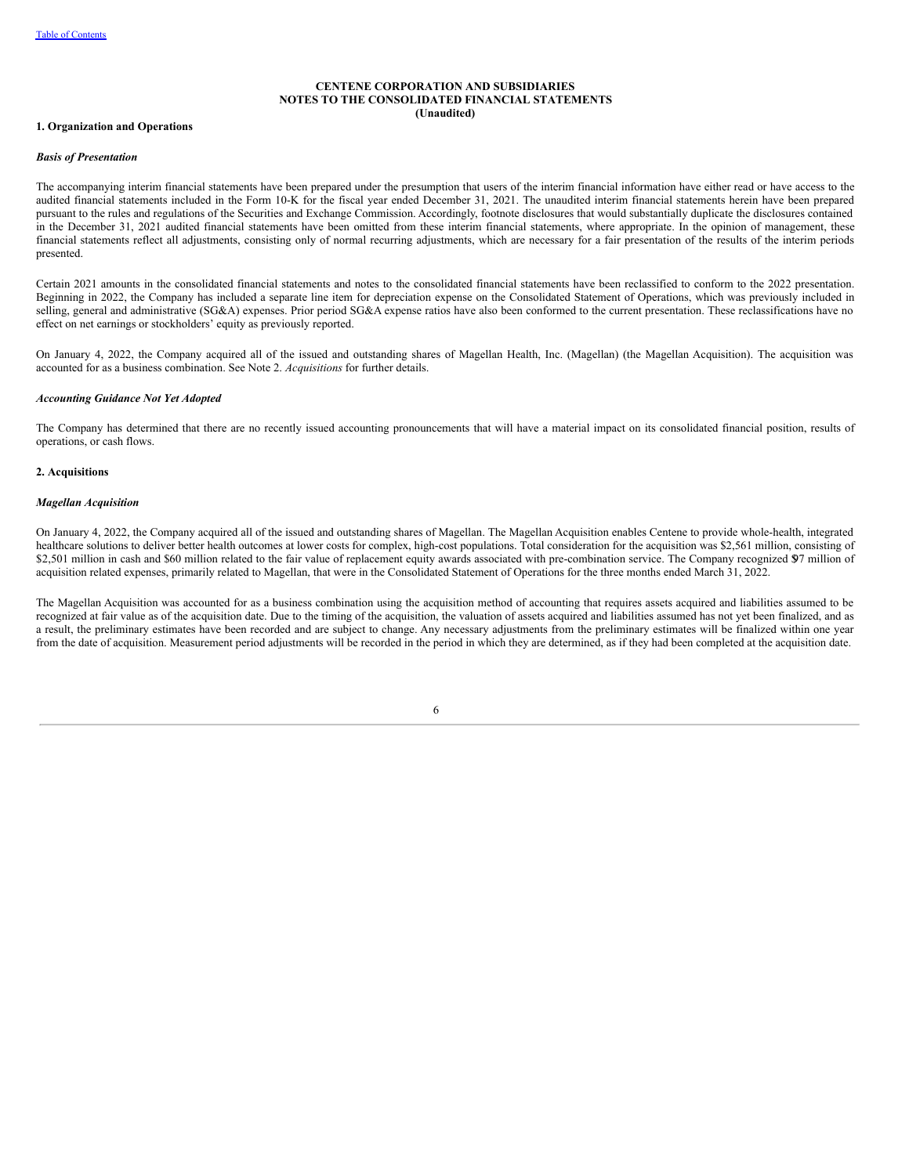#### **CENTENE CORPORATION AND SUBSIDIARIES NOTES TO THE CONSOLIDATED FINANCIAL STATEMENTS (Unaudited)**

## **1. Organization and Operations**

#### *Basis of Presentation*

The accompanying interim financial statements have been prepared under the presumption that users of the interim financial information have either read or have access to the audited financial statements included in the Form 10-K for the fiscal year ended December 31, 2021. The unaudited interim financial statements herein have been prepared pursuant to the rules and regulations of the Securities and Exchange Commission. Accordingly, footnote disclosures that would substantially duplicate the disclosures contained in the December 31, 2021 audited financial statements have been omitted from these interim financial statements, where appropriate. In the opinion of management, these financial statements reflect all adjustments, consisting only of normal recurring adjustments, which are necessary for a fair presentation of the results of the interim periods presented.

Certain 2021 amounts in the consolidated financial statements and notes to the consolidated financial statements have been reclassified to conform to the 2022 presentation. Beginning in 2022, the Company has included a separate line item for depreciation expense on the Consolidated Statement of Operations, which was previously included in selling, general and administrative (SG&A) expenses. Prior period SG&A expense ratios have also been conformed to the current presentation. These reclassifications have no effect on net earnings or stockholders' equity as previously reported.

On January 4, 2022, the Company acquired all of the issued and outstanding shares of Magellan Health, Inc. (Magellan) (the Magellan Acquisition). The acquisition was accounted for as a business combination. See Note 2. *Acquisitions* for further details.

### *Accounting Guidance Not Yet Adopted*

The Company has determined that there are no recently issued accounting pronouncements that will have a material impact on its consolidated financial position, results of operations, or cash flows.

#### **2. Acquisitions**

#### *Magellan Acquisition*

On January 4, 2022, the Company acquired all of the issued and outstanding shares of Magellan. The Magellan Acquisition enables Centene to provide whole-health, integrated healthcare solutions to deliver better health outcomes at lower costs for complex, high-cost populations. Total consideration for the acquisition was \$2,561 million, consisting of \$2,501 million in cash and \$60 million related to the fair value of replacement equity awards associated with pre-combination service. The Company recognized \$7 million of acquisition related expenses, primarily related to Magellan, that were in the Consolidated Statement of Operations for the three months ended March 31, 2022.

The Magellan Acquisition was accounted for as a business combination using the acquisition method of accounting that requires assets acquired and liabilities assumed to be recognized at fair value as of the acquisition date. Due to the timing of the acquisition, the valuation of assets acquired and liabilities assumed has not yet been finalized, and as a result, the preliminary estimates have been recorded and are subject to change. Any necessary adjustments from the preliminary estimates will be finalized within one year from the date of acquisition. Measurement period adjustments will be recorded in the period in which they are determined, as if they had been completed at the acquisition date.

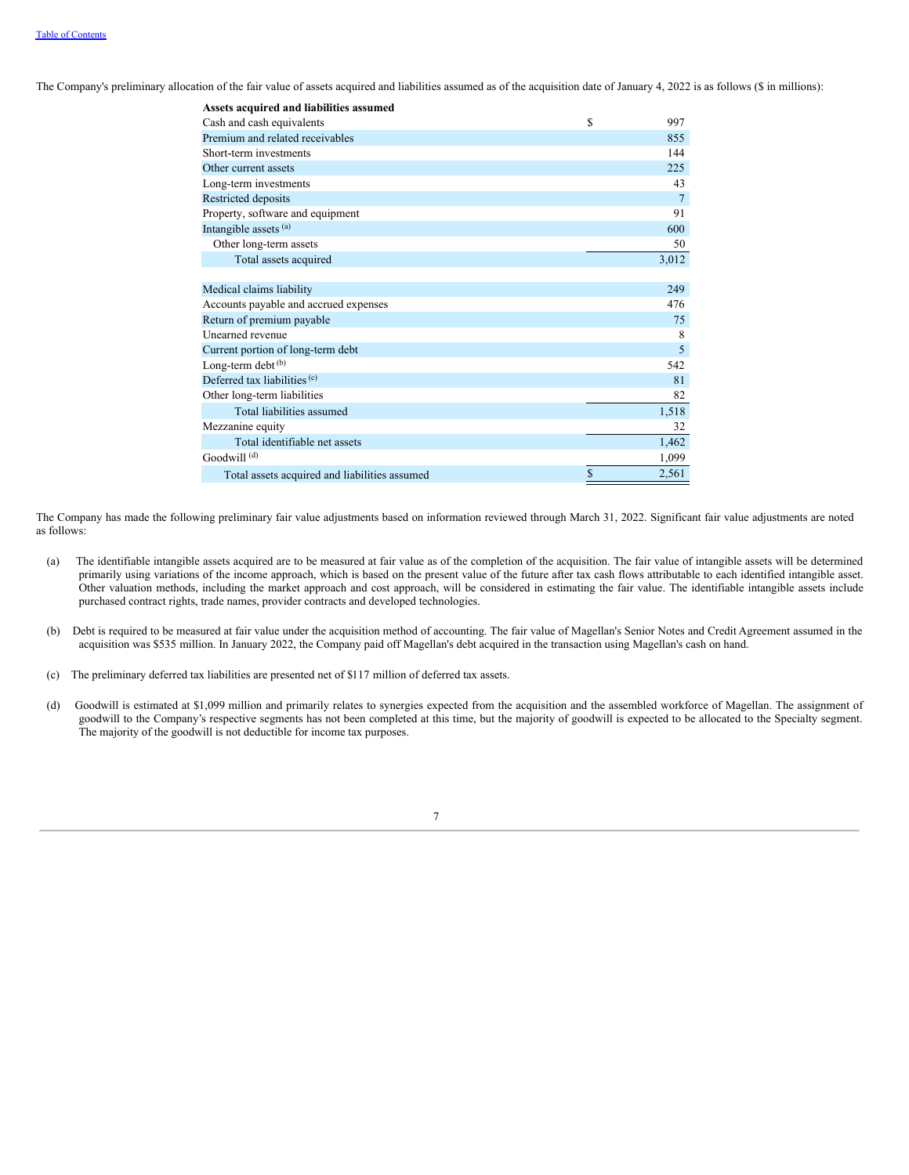The Company's preliminary allocation of the fair value of assets acquired and liabilities assumed as of the acquisition date of January 4, 2022 is as follows (\$ in millions):

| Assets acquired and liabilities assumed       |    |                 |
|-----------------------------------------------|----|-----------------|
| Cash and cash equivalents                     | S  | 997             |
| Premium and related receivables               |    | 855             |
| Short-term investments                        |    | 144             |
| Other current assets                          |    | 225             |
| Long-term investments                         |    | 43              |
| Restricted deposits                           |    | $7\phantom{.0}$ |
| Property, software and equipment              |    | 91              |
| Intangible assets (a)                         |    | 600             |
| Other long-term assets                        |    | 50              |
| Total assets acquired                         |    | 3,012           |
|                                               |    |                 |
| Medical claims liability                      |    | 249             |
| Accounts payable and accrued expenses         |    | 476             |
| Return of premium payable                     |    | 75              |
| Unearned revenue                              |    | 8               |
| Current portion of long-term debt             |    | 5               |
| Long-term debt (b)                            |    | 542             |
| Deferred tax liabilities <sup>(c)</sup>       |    | 81              |
| Other long-term liabilities                   |    | 82              |
| Total liabilities assumed                     |    | 1,518           |
| Mezzanine equity                              |    | 32              |
| Total identifiable net assets                 |    | 1,462           |
| Goodwill <sup>(d)</sup>                       |    | 1,099           |
| Total assets acquired and liabilities assumed | \$ | 2,561           |

The Company has made the following preliminary fair value adjustments based on information reviewed through March 31, 2022. Significant fair value adjustments are noted as follows:

- (a) The identifiable intangible assets acquired are to be measured at fair value as of the completion of the acquisition. The fair value of intangible assets will be determined primarily using variations of the income approach, which is based on the present value of the future after tax cash flows attributable to each identified intangible asset. Other valuation methods, including the market approach and cost approach, will be considered in estimating the fair value. The identifiable intangible assets include purchased contract rights, trade names, provider contracts and developed technologies.
- (b) Debt is required to be measured at fair value under the acquisition method of accounting. The fair value of Magellan's Senior Notes and Credit Agreement assumed in the acquisition was \$535 million. In January 2022, the Company paid off Magellan's debt acquired in the transaction using Magellan's cash on hand.
- (c) The preliminary deferred tax liabilities are presented net of \$117 million of deferred tax assets.
- (d) Goodwill is estimated at \$1,099 million and primarily relates to synergies expected from the acquisition and the assembled workforce of Magellan. The assignment of goodwill to the Company's respective segments has not been completed at this time, but the majority of goodwill is expected to be allocated to the Specialty segment. The majority of the goodwill is not deductible for income tax purposes.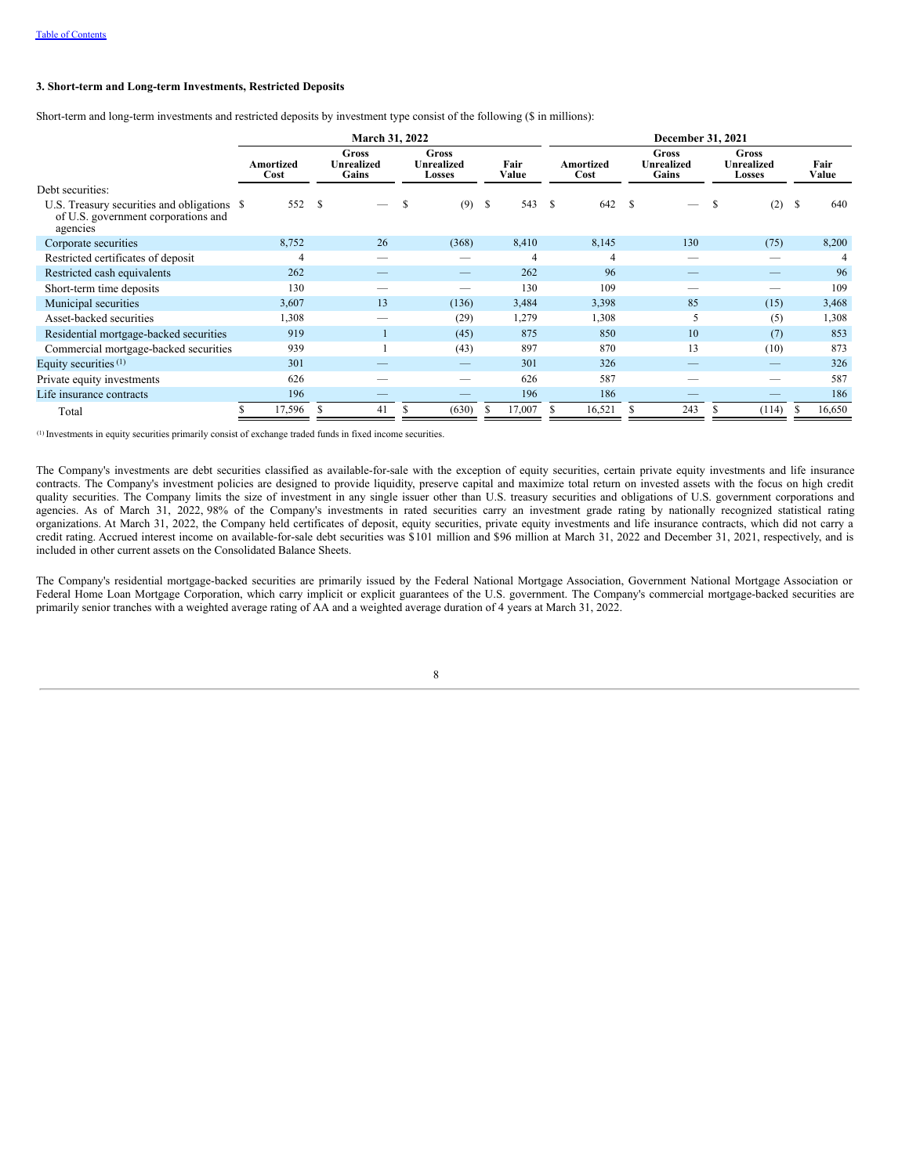# **3. Short-term and Long-term Investments, Restricted Deposits**

Short-term and long-term investments and restricted deposits by investment type consist of the following (\$ in millions):

|                                                                                                | March 31, 2022 |                   |  |                                            |   |                                             | <b>December 31, 2021</b> |    |                   |     |                                            |  |                                                    |    |               |
|------------------------------------------------------------------------------------------------|----------------|-------------------|--|--------------------------------------------|---|---------------------------------------------|--------------------------|----|-------------------|-----|--------------------------------------------|--|----------------------------------------------------|----|---------------|
|                                                                                                |                | Amortized<br>Cost |  | <b>Gross</b><br><b>Unrealized</b><br>Gains |   | <b>Gross</b><br><b>Unrealized</b><br>Losses | Fair<br>Value            |    | Amortized<br>Cost |     | <b>Gross</b><br><b>Unrealized</b><br>Gains |  | <b>Gross</b><br><b>Unrealized</b><br><b>Losses</b> |    | Fair<br>Value |
| Debt securities:                                                                               |                |                   |  |                                            |   |                                             |                          |    |                   |     |                                            |  |                                                    |    |               |
| U.S. Treasury securities and obligations \$<br>of U.S. government corporations and<br>agencies |                | 552 \$            |  |                                            | S | (9)                                         | \$<br>543                | -S | 642               | - S |                                            |  | (2)                                                | \$ | 640           |
| Corporate securities                                                                           |                | 8,752             |  | 26                                         |   | (368)                                       | 8,410                    |    | 8,145             |     | 130                                        |  | (75)                                               |    | 8,200         |
| Restricted certificates of deposit                                                             |                | 4                 |  |                                            |   |                                             | 4                        |    | 4                 |     |                                            |  |                                                    |    | 4             |
| Restricted cash equivalents                                                                    |                | 262               |  |                                            |   |                                             | 262                      |    | 96                |     |                                            |  |                                                    |    | 96            |
| Short-term time deposits                                                                       |                | 130               |  |                                            |   |                                             | 130                      |    | 109               |     |                                            |  |                                                    |    | 109           |
| Municipal securities                                                                           |                | 3,607             |  | 13                                         |   | (136)                                       | 3,484                    |    | 3,398             |     | 85                                         |  | (15)                                               |    | 3,468         |
| Asset-backed securities                                                                        |                | 1,308             |  |                                            |   | (29)                                        | 1,279                    |    | 1,308             |     | 5                                          |  | (5)                                                |    | 1,308         |
| Residential mortgage-backed securities                                                         |                | 919               |  |                                            |   | (45)                                        | 875                      |    | 850               |     | 10                                         |  | (7)                                                |    | 853           |
| Commercial mortgage-backed securities                                                          |                | 939               |  |                                            |   | (43)                                        | 897                      |    | 870               |     | 13                                         |  | (10)                                               |    | 873           |
| Equity securities $(1)$                                                                        |                | 301               |  |                                            |   |                                             | 301                      |    | 326               |     |                                            |  |                                                    |    | 326           |
| Private equity investments                                                                     |                | 626               |  |                                            |   |                                             | 626                      |    | 587               |     |                                            |  |                                                    |    | 587           |
| Life insurance contracts                                                                       |                | 196               |  |                                            |   |                                             | 196                      |    | 186               |     |                                            |  |                                                    |    | 186           |
| Total                                                                                          |                | 17,596            |  | 41                                         |   | (630)                                       | 17,007                   |    | 16,521            |     | 243                                        |  | (114)                                              |    | 16,650        |

 $<sup>(1)</sup>$  Investments in equity securities primarily consist of exchange traded funds in fixed income securities.</sup>

The Company's investments are debt securities classified as available-for-sale with the exception of equity securities, certain private equity investments and life insurance contracts. The Company's investment policies are designed to provide liquidity, preserve capital and maximize total return on invested assets with the focus on high credit quality securities. The Company limits the size of investment in any single issuer other than U.S. treasury securities and obligations of U.S. government corporations and agencies. As of March 31, 2022, 98% of the Company's investments in rated securities carry an investment grade rating by nationally recognized statistical rating organizations. At March 31, 2022, the Company held certificates of deposit, equity securities, private equity investments and life insurance contracts, which did not carry a credit rating. Accrued interest income on available-for-sale debt securities was \$101 million and \$96 million at March 31, 2022 and December 31, 2021, respectively, and is included in other current assets on the Consolidated Balance Sheets.

The Company's residential mortgage-backed securities are primarily issued by the Federal National Mortgage Association, Government National Mortgage Association or Federal Home Loan Mortgage Corporation, which carry implicit or explicit guarantees of the U.S. government. The Company's commercial mortgage-backed securities are primarily senior tranches with a weighted average rating of AA and a weighted average duration of 4 years at March 31, 2022.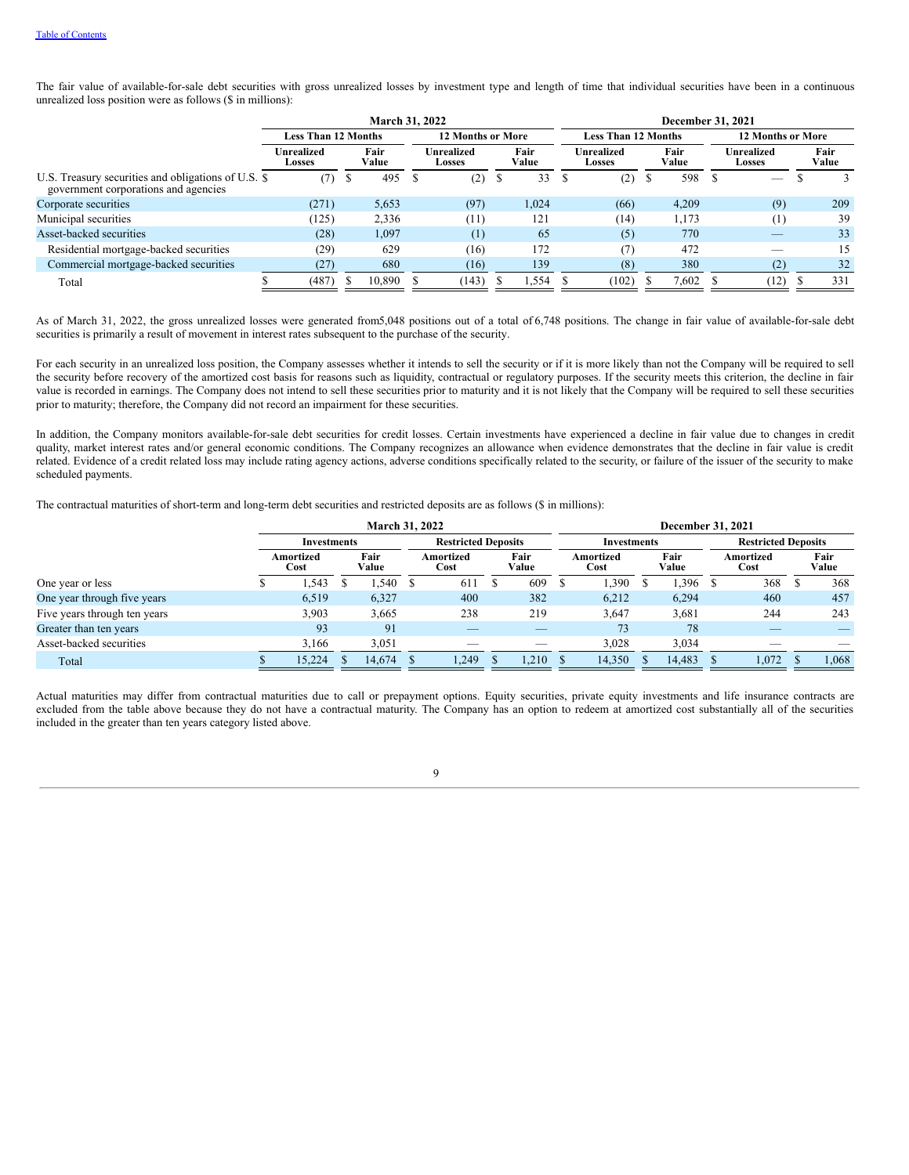The fair value of available-for-sale debt securities with gross unrealized losses by investment type and length of time that individual securities have been in a continuous unrealized loss position were as follows (\$ in millions):

|                                                                                             | March 31, 2022              |                            |               |    |                             |                          | December 31, 2021 |    |                             |                            |               |  |                             |  |                          |     |  |  |  |
|---------------------------------------------------------------------------------------------|-----------------------------|----------------------------|---------------|----|-----------------------------|--------------------------|-------------------|----|-----------------------------|----------------------------|---------------|--|-----------------------------|--|--------------------------|-----|--|--|--|
|                                                                                             |                             | <b>Less Than 12 Months</b> |               |    |                             | <b>12 Months or More</b> |                   |    |                             | <b>Less Than 12 Months</b> |               |  |                             |  | <b>12 Months or More</b> |     |  |  |  |
|                                                                                             | <b>Unrealized</b><br>Losses |                            | Fair<br>Value |    | <b>Unrealized</b><br>Losses |                          | Fair<br>Value     |    | <b>Unrealized</b><br>Losses |                            | Fair<br>Value |  | <b>Unrealized</b><br>Losses |  | Fair<br>Value            |     |  |  |  |
| U.S. Treasury securities and obligations of U.S. \$<br>government corporations and agencies | (7)                         | Ъ.                         | 495           | -S | (2)                         | ъ                        | 33                | -S | (2)                         |                            | 598           |  |                             |  |                          |     |  |  |  |
| Corporate securities                                                                        | (271)                       |                            | 5,653         |    | (97)                        |                          | 1,024             |    | (66)                        |                            | 4,209         |  | (9)                         |  |                          | 209 |  |  |  |
| Municipal securities                                                                        | (125)                       |                            | 2,336         |    | (11)                        |                          | 121               |    | (14)                        |                            | 1.173         |  | (1)                         |  |                          | 39  |  |  |  |
| Asset-backed securities                                                                     | (28)                        |                            | 1,097         |    | (1)                         |                          | 65                |    | (5)                         |                            | 770           |  | _                           |  |                          | 33  |  |  |  |
| Residential mortgage-backed securities                                                      | (29)                        |                            | 629           |    | (16)                        |                          | 172               |    | (7)                         |                            | 472           |  | _                           |  |                          | 15  |  |  |  |
| Commercial mortgage-backed securities                                                       | (27)                        |                            | 680           |    | (16)                        |                          | 139               |    | (8)                         |                            | 380           |  | (2)                         |  |                          | 32  |  |  |  |
| Total                                                                                       | (487)                       |                            | 10,890        |    | (143)                       |                          | 1,554             |    | (102)                       |                            | 1,602         |  | (12)                        |  |                          | 331 |  |  |  |

As of March 31, 2022, the gross unrealized losses were generated from5,048 positions out of a total of 6,748 positions. The change in fair value of available-for-sale debt securities is primarily a result of movement in interest rates subsequent to the purchase of the security.

For each security in an unrealized loss position, the Company assesses whether it intends to sell the security or if it is more likely than not the Company will be required to sell the security before recovery of the amortized cost basis for reasons such as liquidity, contractual or regulatory purposes. If the security meets this criterion, the decline in fair value is recorded in earnings. The Company does not intend to sell these securities prior to maturity and it is not likely that the Company will be required to sell these securities prior to maturity; therefore, the Company did not record an impairment for these securities.

In addition, the Company monitors available-for-sale debt securities for credit losses. Certain investments have experienced a decline in fair value due to changes in credit quality, market interest rates and/or general economic conditions. The Company recognizes an allowance when evidence demonstrates that the decline in fair value is credit related. Evidence of a credit related loss may include rating agency actions, adverse conditions specifically related to the security, or failure of the issuer of the security to make scheduled payments.

The contractual maturities of short-term and long-term debt securities and restricted deposits are as follows (\$ in millions):

|                              | <b>March 31, 2022</b>                            |  |               |      |                   |  | <b>December 31, 2021</b> |  |                            |  |               |  |                   |  |               |  |
|------------------------------|--------------------------------------------------|--|---------------|------|-------------------|--|--------------------------|--|----------------------------|--|---------------|--|-------------------|--|---------------|--|
|                              | <b>Restricted Deposits</b><br><b>Investments</b> |  |               |      |                   |  | Investments              |  | <b>Restricted Deposits</b> |  |               |  |                   |  |               |  |
|                              | Amortized<br>Cost                                |  | Fair<br>Value |      | Amortized<br>Cost |  | Fair<br>Value            |  | Amortized<br>Cost          |  | Fair<br>Value |  | Amortized<br>Cost |  | Fair<br>Value |  |
| One year or less             | .543                                             |  | .540          | - 25 | 611               |  | 609                      |  | 1,390                      |  | 1,396         |  | 368               |  | 368           |  |
| One year through five years  | 6,519                                            |  | 6,327         |      | 400               |  | 382                      |  | 6.212                      |  | 6,294         |  | 460               |  | 457           |  |
| Five years through ten years | 3,903                                            |  | 3,665         |      | 238               |  | 219                      |  | 3.647                      |  | 3,681         |  | 244               |  | 243           |  |
| Greater than ten years       | 93                                               |  | 91            |      |                   |  |                          |  | 73                         |  | 78            |  |                   |  |               |  |
| Asset-backed securities      | 3,166                                            |  | 3,051         |      |                   |  |                          |  | 3,028                      |  | 3,034         |  |                   |  |               |  |
| Total                        | 15.224                                           |  | 14.674        |      | .249              |  | .210                     |  | 14,350                     |  | 14.483        |  | 1,072             |  | 1,068         |  |

Actual maturities may differ from contractual maturities due to call or prepayment options. Equity securities, private equity investments and life insurance contracts are excluded from the table above because they do not have a contractual maturity. The Company has an option to redeem at amortized cost substantially all of the securities included in the greater than ten years category listed above.

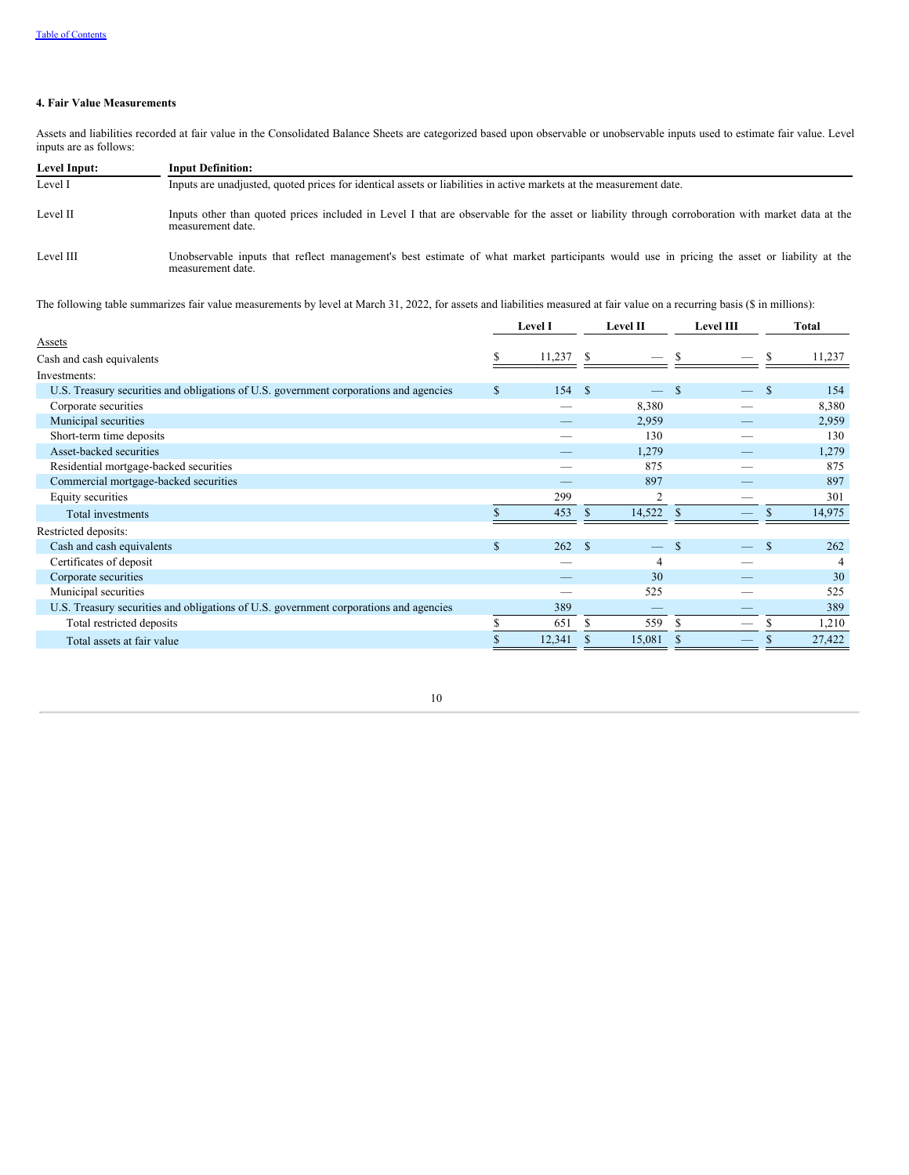# **4. Fair Value Measurements**

Assets and liabilities recorded at fair value in the Consolidated Balance Sheets are categorized based upon observable or unobservable inputs used to estimate fair value. Level inputs are as follows:

| Level Input: | <b>Input Definition:</b>                                                                                                                                                                                                                                                                                                                                                                                                                                     |
|--------------|--------------------------------------------------------------------------------------------------------------------------------------------------------------------------------------------------------------------------------------------------------------------------------------------------------------------------------------------------------------------------------------------------------------------------------------------------------------|
| Level I      | Inputs are unadjusted, quoted prices for identical assets or liabilities in active markets at the measurement date.                                                                                                                                                                                                                                                                                                                                          |
| Level II     | Inputs other than quoted prices included in Level I that are observable for the asset or liability through corroboration with market data at the<br>measurement date.                                                                                                                                                                                                                                                                                        |
| $-1.77$      | $\mathcal{A} = \mathcal{A} = \mathcal{A} = \mathcal{A} = \mathcal{A} = \mathcal{A} = \mathcal{A} = \mathcal{A} = \mathcal{A} = \mathcal{A} = \mathcal{A} = \mathcal{A} = \mathcal{A} = \mathcal{A} = \mathcal{A} = \mathcal{A} = \mathcal{A} = \mathcal{A} = \mathcal{A} = \mathcal{A} = \mathcal{A} = \mathcal{A} = \mathcal{A} = \mathcal{A} = \mathcal{A} = \mathcal{A} = \mathcal{A} = \mathcal{A} = \mathcal{A} = \mathcal{A} = \mathcal{A} = \mathcal$ |

Level III Unobservable inputs that reflect management's best estimate of what market participants would use in pricing the asset or liability at the measurement date.

The following table summarizes fair value measurements by level at March 31, 2022, for assets and liabilities measured at fair value on a recurring basis (\$ in millions):

|                                                                                       | <b>Level I</b> |        |               | <b>Level II</b> |               | <b>Level III</b> |               | Total  |
|---------------------------------------------------------------------------------------|----------------|--------|---------------|-----------------|---------------|------------------|---------------|--------|
| <b>Assets</b>                                                                         |                |        |               |                 |               |                  |               |        |
| Cash and cash equivalents                                                             |                | 11,237 |               |                 | S.            |                  | S             | 11,237 |
| Investments:                                                                          |                |        |               |                 |               |                  |               |        |
| U.S. Treasury securities and obligations of U.S. government corporations and agencies | \$             | 154    | - \$          |                 | \$            |                  | <sup>\$</sup> | 154    |
| Corporate securities                                                                  |                |        |               | 8,380           |               |                  |               | 8,380  |
| Municipal securities                                                                  |                |        |               | 2,959           |               |                  |               | 2,959  |
| Short-term time deposits                                                              |                |        |               | 130             |               |                  |               | 130    |
| Asset-backed securities                                                               |                |        |               | 1,279           |               |                  |               | 1,279  |
| Residential mortgage-backed securities                                                |                |        |               | 875             |               |                  |               | 875    |
| Commercial mortgage-backed securities                                                 |                |        |               | 897             |               |                  |               | 897    |
| Equity securities                                                                     |                | 299    |               | $\overline{2}$  |               |                  |               | 301    |
| Total investments                                                                     |                | 453    | <sup>\$</sup> | 14,522          | <sup>\$</sup> |                  | S             | 14,975 |
| Restricted deposits:                                                                  |                |        |               |                 |               |                  |               |        |
| Cash and cash equivalents                                                             | \$             | 262    | - \$          |                 | \$.           |                  | $\mathbb{S}$  | 262    |
| Certificates of deposit                                                               |                |        |               | 4               |               |                  |               | 4      |
| Corporate securities                                                                  |                |        |               | 30              |               |                  |               | 30     |
| Municipal securities                                                                  |                |        |               | 525             |               |                  |               | 525    |
| U.S. Treasury securities and obligations of U.S. government corporations and agencies |                | 389    |               |                 |               |                  |               | 389    |
| Total restricted deposits                                                             |                | 651    | S             | 559             | <sup>\$</sup> |                  |               | 1,210  |
| Total assets at fair value                                                            |                | 12,341 |               | 15,081          |               |                  |               | 27,422 |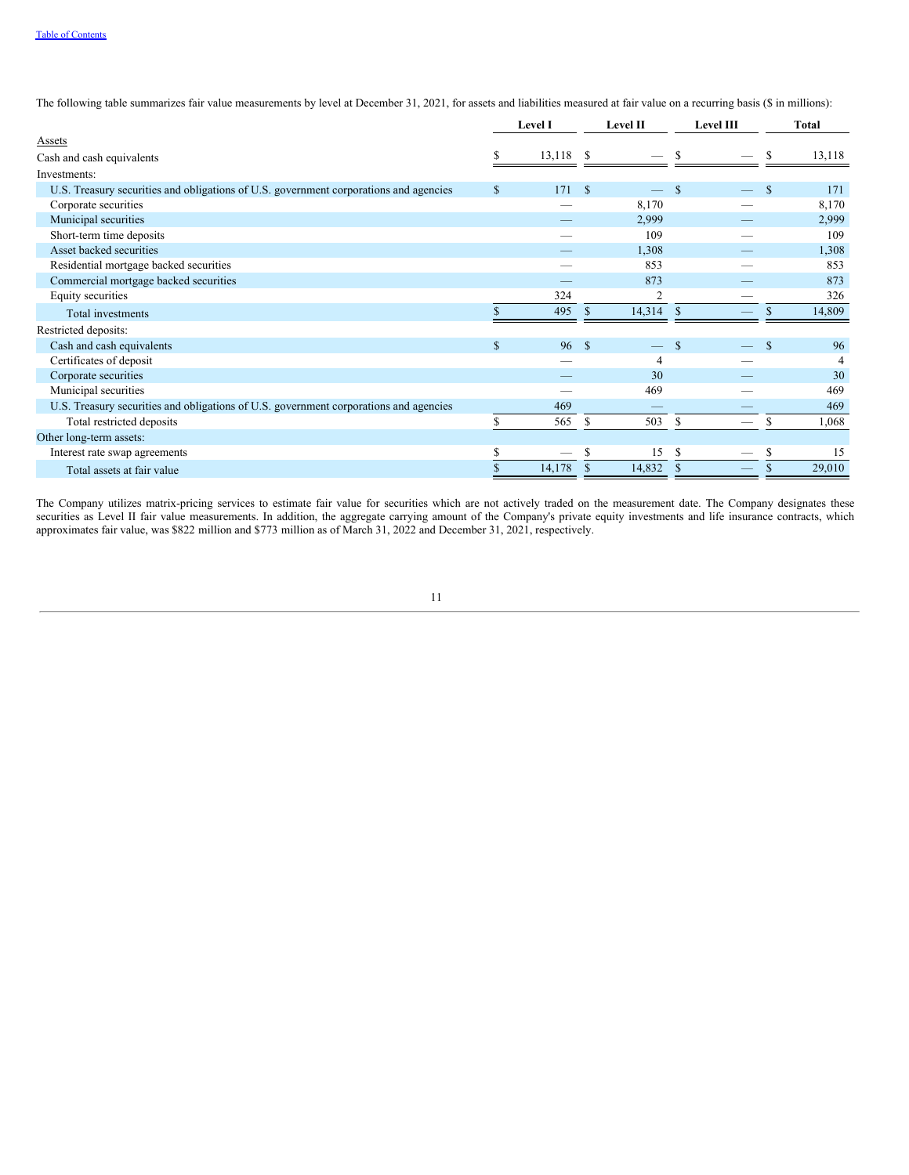The following table summarizes fair value measurements by level at December 31, 2021, for assets and liabilities measured at fair value on a recurring basis (\$ in millions):

|                                                                                       | <b>Level I</b> |        |              | <b>Level II</b> |               | <b>Level III</b> |              | <b>Total</b> |
|---------------------------------------------------------------------------------------|----------------|--------|--------------|-----------------|---------------|------------------|--------------|--------------|
| Assets                                                                                |                |        |              |                 |               |                  |              |              |
| Cash and cash equivalents                                                             | S              | 13,118 | S            |                 | S             |                  | S            | 13,118       |
| Investments:                                                                          |                |        |              |                 |               |                  |              |              |
| U.S. Treasury securities and obligations of U.S. government corporations and agencies | $\mathbb{S}$   | 171    | -\$          |                 | <sup>\$</sup> |                  | \$           | 171          |
| Corporate securities                                                                  |                |        |              | 8,170           |               |                  |              | 8,170        |
| Municipal securities                                                                  |                |        |              | 2,999           |               |                  |              | 2,999        |
| Short-term time deposits                                                              |                |        |              | 109             |               |                  |              | 109          |
| Asset backed securities                                                               |                |        |              | 1,308           |               |                  |              | 1,308        |
| Residential mortgage backed securities                                                |                |        |              | 853             |               |                  |              | 853          |
| Commercial mortgage backed securities                                                 |                |        |              | 873             |               |                  |              | 873          |
| Equity securities                                                                     |                | 324    |              | 2               |               |                  |              | 326          |
| Total investments                                                                     |                | 495    | <sup>S</sup> | 14,314          | <sup>S</sup>  |                  | \$.          | 14,809       |
| Restricted deposits:                                                                  |                |        |              |                 |               |                  |              |              |
| Cash and cash equivalents                                                             | $\mathbf S$    | 96     | - \$         |                 | <sup>\$</sup> |                  | $\mathbb{S}$ | 96           |
| Certificates of deposit                                                               |                |        |              | 4               |               |                  |              | 4            |
| Corporate securities                                                                  |                |        |              | 30              |               |                  |              | 30           |
| Municipal securities                                                                  |                |        |              | 469             |               |                  |              | 469          |
| U.S. Treasury securities and obligations of U.S. government corporations and agencies |                | 469    |              |                 |               |                  |              | 469          |
| Total restricted deposits                                                             | S              | 565    | <sup>S</sup> | 503             | <sup>\$</sup> |                  | S            | 1,068        |
| Other long-term assets:                                                               |                |        |              |                 |               |                  |              |              |
| Interest rate swap agreements                                                         |                |        |              | 15              | \$            |                  | S            | 15           |
| Total assets at fair value                                                            |                | 14,178 |              | 14,832          | \$            |                  |              | 29,010       |

The Company utilizes matrix-pricing services to estimate fair value for securities which are not actively traded on the measurement date. The Company designates these securities as Level II fair value measurements. In addition, the aggregate carrying amount of the Company's private equity investments and life insurance contracts, which approximates fair value, was \$822 million and \$773 million as of March 31, 2022 and December 31, 2021, respectively.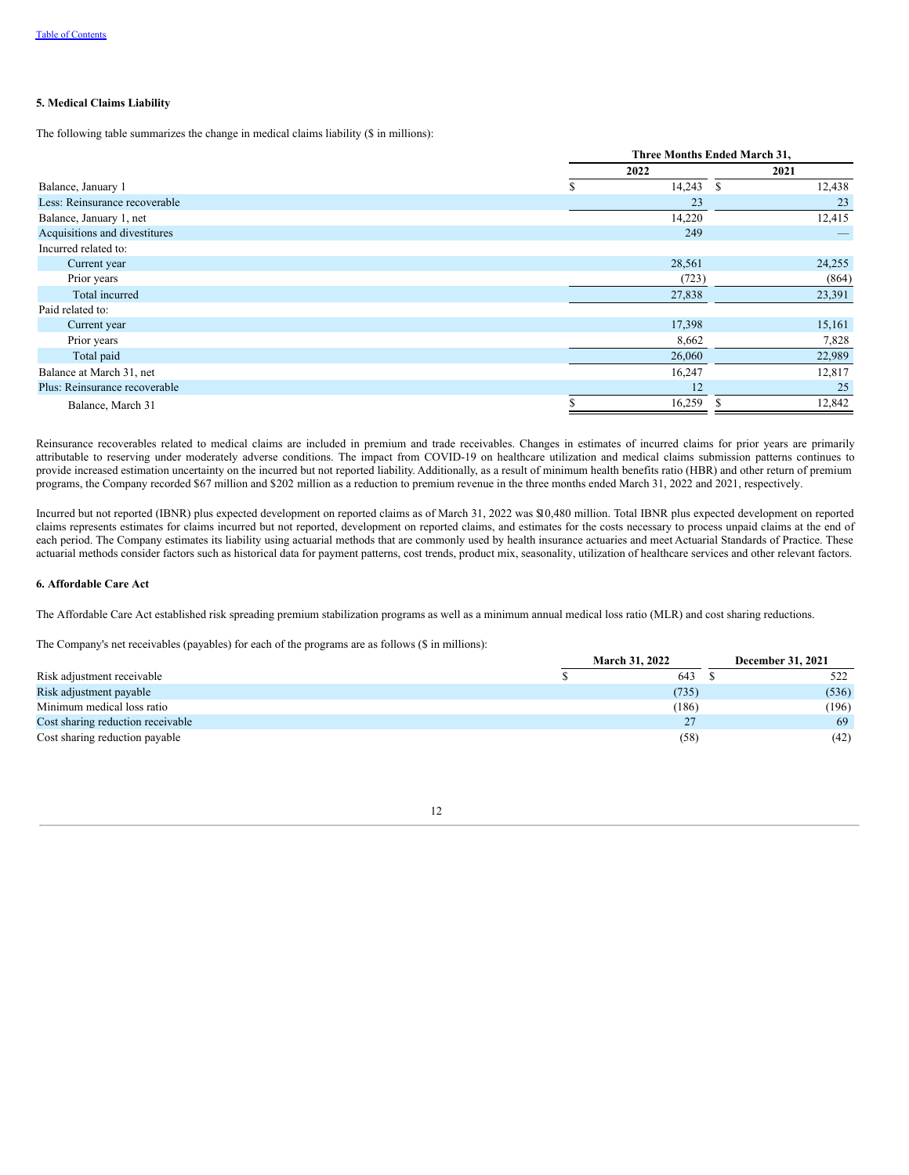## **5. Medical Claims Liability**

The following table summarizes the change in medical claims liability (\$ in millions):

|                               |        | Three Months Ended March 31, |
|-------------------------------|--------|------------------------------|
|                               | 2022   | 2021                         |
| Balance, January 1            | 14,243 | 12,438<br><sup>\$</sup>      |
| Less: Reinsurance recoverable | 23     | 23                           |
| Balance, January 1, net       | 14,220 | 12,415                       |
| Acquisitions and divestitures | 249    |                              |
| Incurred related to:          |        |                              |
| Current year                  | 28,561 | 24,255                       |
| Prior years                   | (723)  | (864)                        |
| Total incurred                | 27,838 | 23,391                       |
| Paid related to:              |        |                              |
| Current year                  | 17,398 | 15,161                       |
| Prior years                   | 8,662  | 7,828                        |
| Total paid                    | 26,060 | 22,989                       |
| Balance at March 31, net      | 16,247 | 12,817                       |
| Plus: Reinsurance recoverable | 12     | 25                           |
| Balance, March 31             | 16,259 | 12,842                       |

Reinsurance recoverables related to medical claims are included in premium and trade receivables. Changes in estimates of incurred claims for prior years are primarily attributable to reserving under moderately adverse conditions. The impact from COVID-19 on healthcare utilization and medical claims submission patterns continues to provide increased estimation uncertainty on the incurred but not reported liability. Additionally, as a result of minimum health benefits ratio (HBR) and other return of premium programs, the Company recorded \$67 million and \$202 million as a reduction to premium revenue in the three months ended March 31, 2022 and 2021, respectively.

Incurred but not reported (IBNR) plus expected development on reported claims as of March 31, 2022 was \$10,480 million. Total IBNR plus expected development on reported claims represents estimates for claims incurred but not reported, development on reported claims, and estimates for the costs necessary to process unpaid claims at the end of each period. The Company estimates its liability using actuarial methods that are commonly used by health insurance actuaries and meet Actuarial Standards of Practice. These actuarial methods consider factors such as historical data for payment patterns, cost trends, product mix, seasonality, utilization of healthcare services and other relevant factors.

## **6. Affordable Care Act**

The Affordable Care Act established risk spreading premium stabilization programs as well as a minimum annual medical loss ratio (MLR) and cost sharing reductions.

The Company's net receivables (payables) for each of the programs are as follows (\$ in millions):

|                                   | <b>March 31, 2022</b> | December 31, 2021 |
|-----------------------------------|-----------------------|-------------------|
| Risk adjustment receivable        | 643                   | 522.              |
| Risk adjustment payable           | (735)                 | (536)             |
| Minimum medical loss ratio        | (186)                 | (196)             |
| Cost sharing reduction receivable | 27                    | 69                |
| Cost sharing reduction payable    | (58)                  | (42)              |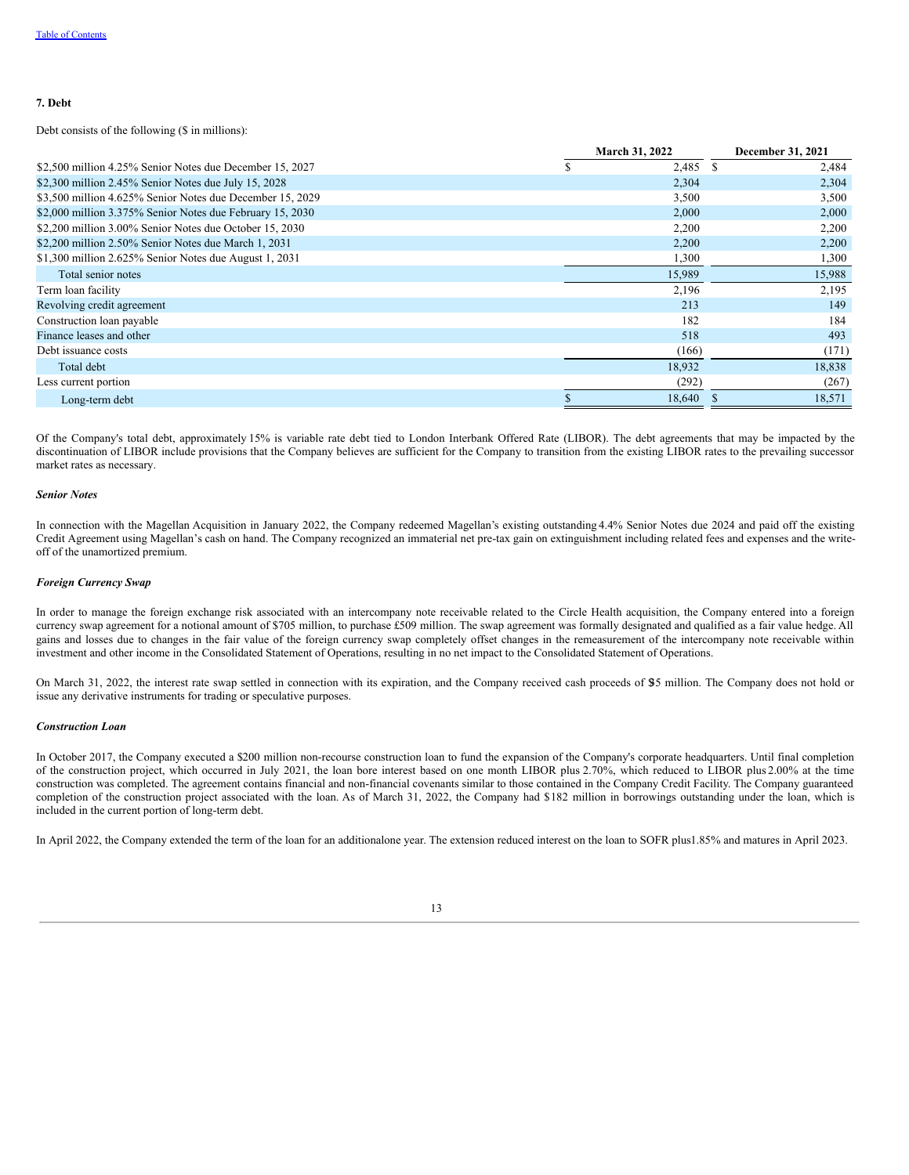#### **7. Debt**

Debt consists of the following (\$ in millions):

|                                                           | March 31, 2022 | December 31, 2021 |
|-----------------------------------------------------------|----------------|-------------------|
| \$2,500 million 4.25% Senior Notes due December 15, 2027  | 2,485<br>\$.   | -S<br>2,484       |
| \$2,300 million 2.45% Senior Notes due July 15, 2028      | 2,304          | 2,304             |
| \$3,500 million 4.625% Senior Notes due December 15, 2029 | 3,500          | 3,500             |
| \$2,000 million 3.375% Senior Notes due February 15, 2030 | 2,000          | 2,000             |
| \$2,200 million 3.00% Senior Notes due October 15, 2030   | 2,200          | 2,200             |
| \$2,200 million 2.50% Senior Notes due March 1, 2031      | 2,200          | 2,200             |
| \$1,300 million 2.625% Senior Notes due August 1, 2031    | 1,300          | 1,300             |
| Total senior notes                                        | 15,989         | 15,988            |
| Term loan facility                                        | 2,196          | 2,195             |
| Revolving credit agreement                                | 213            | 149               |
| Construction loan payable                                 | 182            | 184               |
| Finance leases and other                                  | 518            | 493               |
| Debt issuance costs                                       | (166)          | (171)             |
| Total debt                                                | 18,932         | 18,838            |
| Less current portion                                      | (292)          | (267)             |
| Long-term debt                                            | 18,640         | 18,571            |

Of the Company's total debt, approximately 15% is variable rate debt tied to London Interbank Offered Rate (LIBOR). The debt agreements that may be impacted by the discontinuation of LIBOR include provisions that the Company believes are sufficient for the Company to transition from the existing LIBOR rates to the prevailing successor market rates as necessary.

#### *Senior Notes*

In connection with the Magellan Acquisition in January 2022, the Company redeemed Magellan's existing outstanding 4.4% Senior Notes due 2024 and paid off the existing Credit Agreement using Magellan's cash on hand. The Company recognized an immaterial net pre-tax gain on extinguishment including related fees and expenses and the writeoff of the unamortized premium.

#### *Foreign Currency Swap*

In order to manage the foreign exchange risk associated with an intercompany note receivable related to the Circle Health acquisition, the Company entered into a foreign currency swap agreement for a notional amount of \$705 million, to purchase £509 million. The swap agreement was formally designated and qualified as a fair value hedge. All gains and losses due to changes in the fair value of the foreign currency swap completely offset changes in the remeasurement of the intercompany note receivable within investment and other income in the Consolidated Statement of Operations, resulting in no net impact to the Consolidated Statement of Operations.

On March 31, 2022, the interest rate swap settled in connection with its expiration, and the Company received cash proceeds of \$35 million. The Company does not hold or issue any derivative instruments for trading or speculative purposes.

## *Construction Loan*

In October 2017, the Company executed a \$200 million non-recourse construction loan to fund the expansion of the Company's corporate headquarters. Until final completion of the construction project, which occurred in July 2021, the loan bore interest based on one month LIBOR plus 2.70%, which reduced to LIBOR plus 2.00% at the time construction was completed. The agreement contains financial and non-financial covenants similar to those contained in the Company Credit Facility. The Company guaranteed completion of the construction project associated with the loan. As of March 31, 2022, the Company had \$182 million in borrowings outstanding under the loan, which is included in the current portion of long-term debt.

In April 2022, the Company extended the term of the loan for an additionalone year. The extension reduced interest on the loan to SOFR plus1.85% and matures in April 2023.

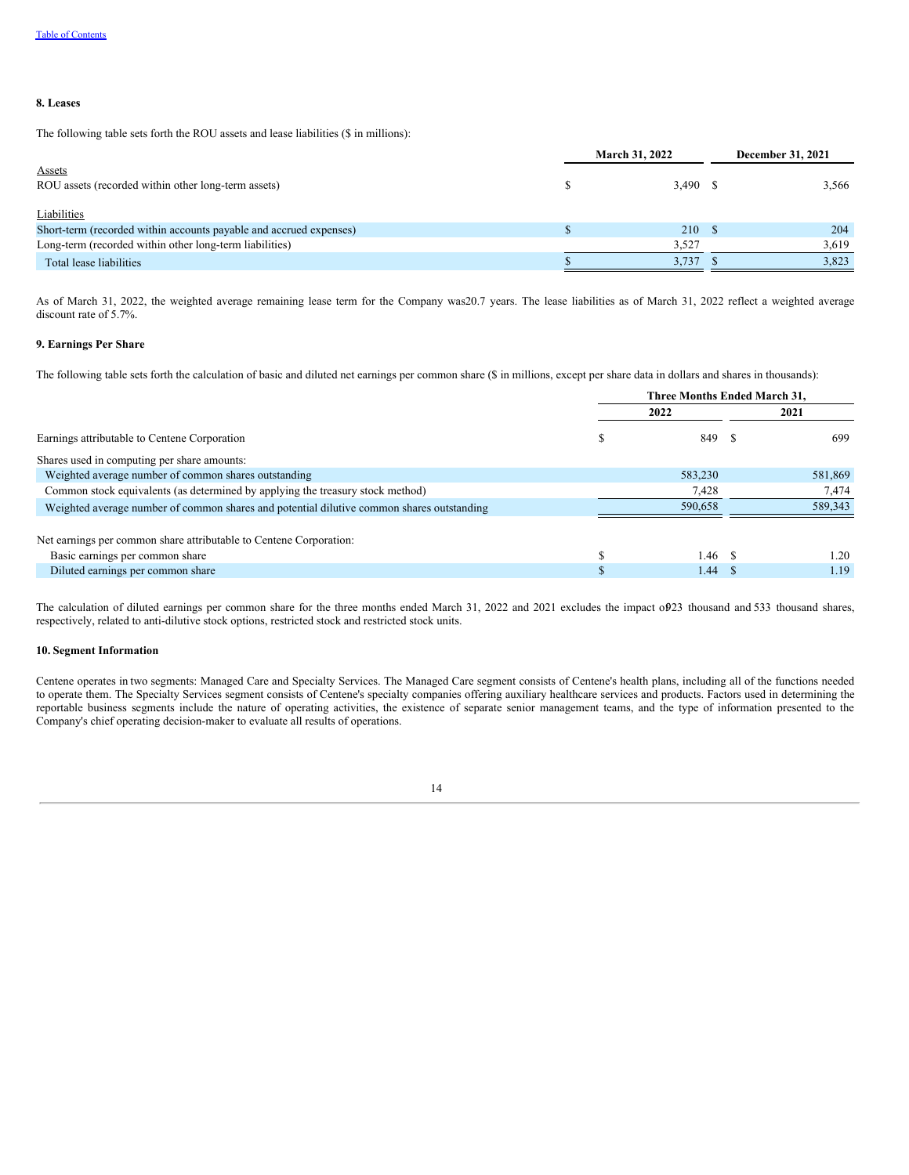## **8. Leases**

The following table sets forth the ROU assets and lease liabilities (\$ in millions):

|                                                                      | <b>March 31, 2022</b> | <b>December 31, 2021</b> |
|----------------------------------------------------------------------|-----------------------|--------------------------|
| <b>Assets</b><br>ROU assets (recorded within other long-term assets) | 3.490 $\frac{1}{2}$   | 3,566                    |
| Liabilities                                                          |                       |                          |
| Short-term (recorded within accounts payable and accrued expenses)   | 210 \$                | 204                      |
| Long-term (recorded within other long-term liabilities)              | 3.527                 | 3.619                    |
| Total lease liabilities                                              | 3.737                 | 3,823                    |

As of March 31, 2022, the weighted average remaining lease term for the Company was20.7 years. The lease liabilities as of March 31, 2022 reflect a weighted average discount rate of 5.7%.

## **9. Earnings Per Share**

The following table sets forth the calculation of basic and diluted net earnings per common share (\$ in millions, except per share data in dollars and shares in thousands):

|                                                                                           | Three Months Ended March 31, |         |
|-------------------------------------------------------------------------------------------|------------------------------|---------|
|                                                                                           | 2022                         | 2021    |
| Earnings attributable to Centene Corporation                                              | 849                          | 699     |
| Shares used in computing per share amounts:                                               |                              |         |
| Weighted average number of common shares outstanding                                      | 583,230                      | 581,869 |
| Common stock equivalents (as determined by applying the treasury stock method)            | 7,428                        | 7,474   |
| Weighted average number of common shares and potential dilutive common shares outstanding | 590,658                      | 589,343 |
| Net earnings per common share attributable to Centene Corporation:                        |                              |         |
| Basic earnings per common share                                                           | 1.46 S                       | 1.20    |
| Diluted earnings per common share                                                         | 1.44                         | 1.19    |

The calculation of diluted earnings per common share for the three months ended March 31, 2022 and 2021 excludes the impact of the impact of 23 thousand and 533 thousand shares, respectively, related to anti-dilutive stock options, restricted stock and restricted stock units.

## **10. Segment Information**

Centene operates in two segments: Managed Care and Specialty Services. The Managed Care segment consists of Centene's health plans, including all of the functions needed to operate them. The Specialty Services segment consists of Centene's specialty companies offering auxiliary healthcare services and products. Factors used in determining the reportable business segments include the nature of operating activities, the existence of separate senior management teams, and the type of information presented to the Company's chief operating decision-maker to evaluate all results of operations.

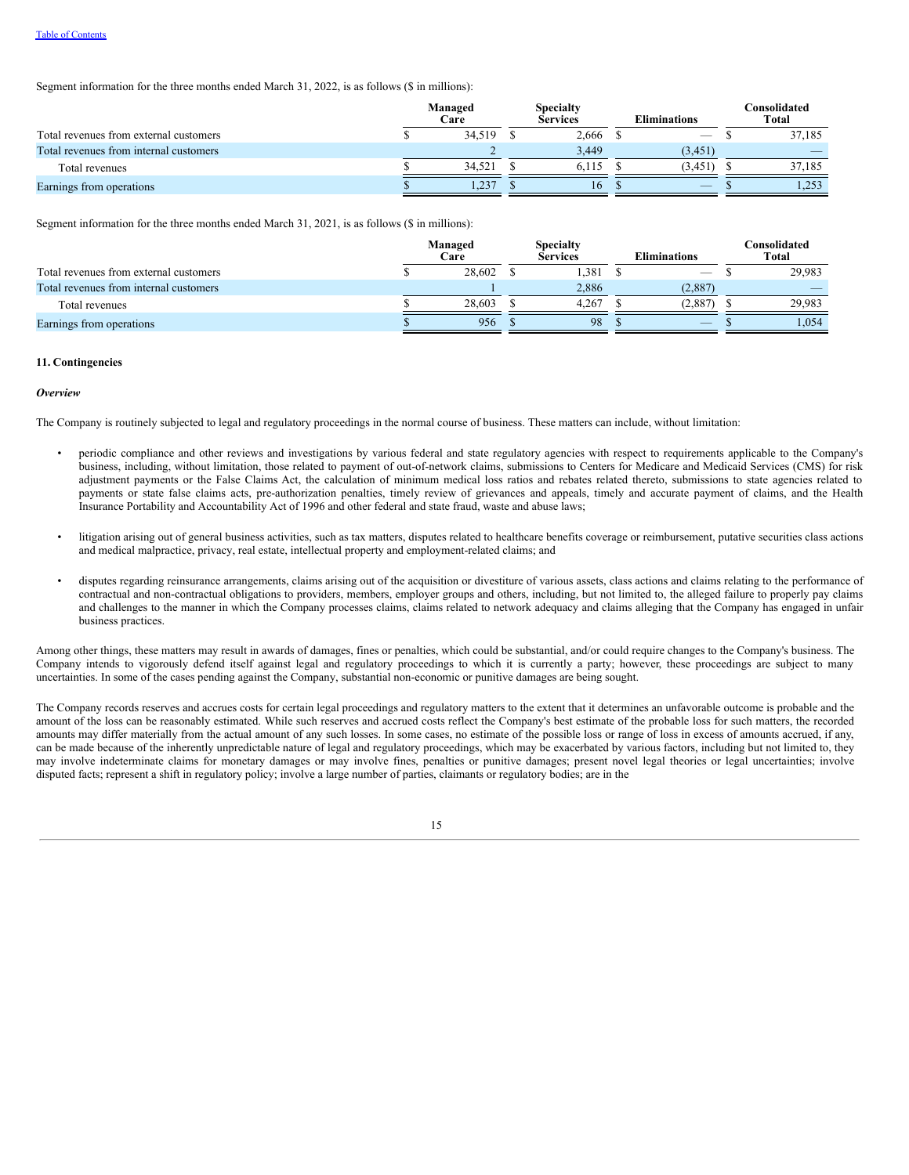Segment information for the three months ended March 31, 2022, is as follows (\$ in millions):

|                                        | Managed<br>Care | Specialty<br><b>Services</b> | <b>Eliminations</b>             | Consolidated<br><b>Total</b> |
|----------------------------------------|-----------------|------------------------------|---------------------------------|------------------------------|
| Total revenues from external customers | 34,519          | 2,666                        | $\hspace{0.1mm}-\hspace{0.1mm}$ | 37,185                       |
| Total revenues from internal customers |                 | 3.449                        | (3, 451)                        |                              |
| Total revenues                         | 34.521          | 6.115                        | (3,451)                         | 37.185                       |
| Earnings from operations               | 1,237           | 16 <sup>7</sup>              | $\overline{\phantom{a}}$        | 1.253                        |

Segment information for the three months ended March 31, 2021, is as follows (\$ in millions):

|                                        | Managed<br>Care |        | Specialty<br><b>Services</b> | <b>Eliminations</b>             | Consolidated<br><b>Total</b> |
|----------------------------------------|-----------------|--------|------------------------------|---------------------------------|------------------------------|
| Total revenues from external customers |                 | 28,602 | .381                         | $\hspace{0.1mm}-\hspace{0.1mm}$ | 29,983                       |
| Total revenues from internal customers |                 |        | 2.886                        | (2,887)                         | $\overline{\phantom{a}}$     |
| Total revenues                         |                 | 28.603 | 4.267                        | (2,887)                         | 29.983                       |
| Earnings from operations               |                 | 956    | 98                           | $\overline{\phantom{a}}$        | 1,054                        |

#### **11. Contingencies**

*Overview*

The Company is routinely subjected to legal and regulatory proceedings in the normal course of business. These matters can include, without limitation:

- periodic compliance and other reviews and investigations by various federal and state regulatory agencies with respect to requirements applicable to the Company's business, including, without limitation, those related to payment of out-of-network claims, submissions to Centers for Medicare and Medicaid Services (CMS) for risk adjustment payments or the False Claims Act, the calculation of minimum medical loss ratios and rebates related thereto, submissions to state agencies related to payments or state false claims acts, pre-authorization penalties, timely review of grievances and appeals, timely and accurate payment of claims, and the Health Insurance Portability and Accountability Act of 1996 and other federal and state fraud, waste and abuse laws;
- litigation arising out of general business activities, such as tax matters, disputes related to healthcare benefits coverage or reimbursement, putative securities class actions and medical malpractice, privacy, real estate, intellectual property and employment-related claims; and
- disputes regarding reinsurance arrangements, claims arising out of the acquisition or divestiture of various assets, class actions and claims relating to the performance of contractual and non-contractual obligations to providers, members, employer groups and others, including, but not limited to, the alleged failure to properly pay claims and challenges to the manner in which the Company processes claims, claims related to network adequacy and claims alleging that the Company has engaged in unfair business practices.

Among other things, these matters may result in awards of damages, fines or penalties, which could be substantial, and/or could require changes to the Company's business. The Company intends to vigorously defend itself against legal and regulatory proceedings to which it is currently a party; however, these proceedings are subject to many uncertainties. In some of the cases pending against the Company, substantial non-economic or punitive damages are being sought.

The Company records reserves and accrues costs for certain legal proceedings and regulatory matters to the extent that it determines an unfavorable outcome is probable and the amount of the loss can be reasonably estimated. While such reserves and accrued costs reflect the Company's best estimate of the probable loss for such matters, the recorded amounts may differ materially from the actual amount of any such losses. In some cases, no estimate of the possible loss or range of loss in excess of amounts accrued, if any, can be made because of the inherently unpredictable nature of legal and regulatory proceedings, which may be exacerbated by various factors, including but not limited to, they may involve indeterminate claims for monetary damages or may involve fines, penalties or punitive damages; present novel legal theories or legal uncertainties; involve disputed facts; represent a shift in regulatory policy; involve a large number of parties, claimants or regulatory bodies; are in the

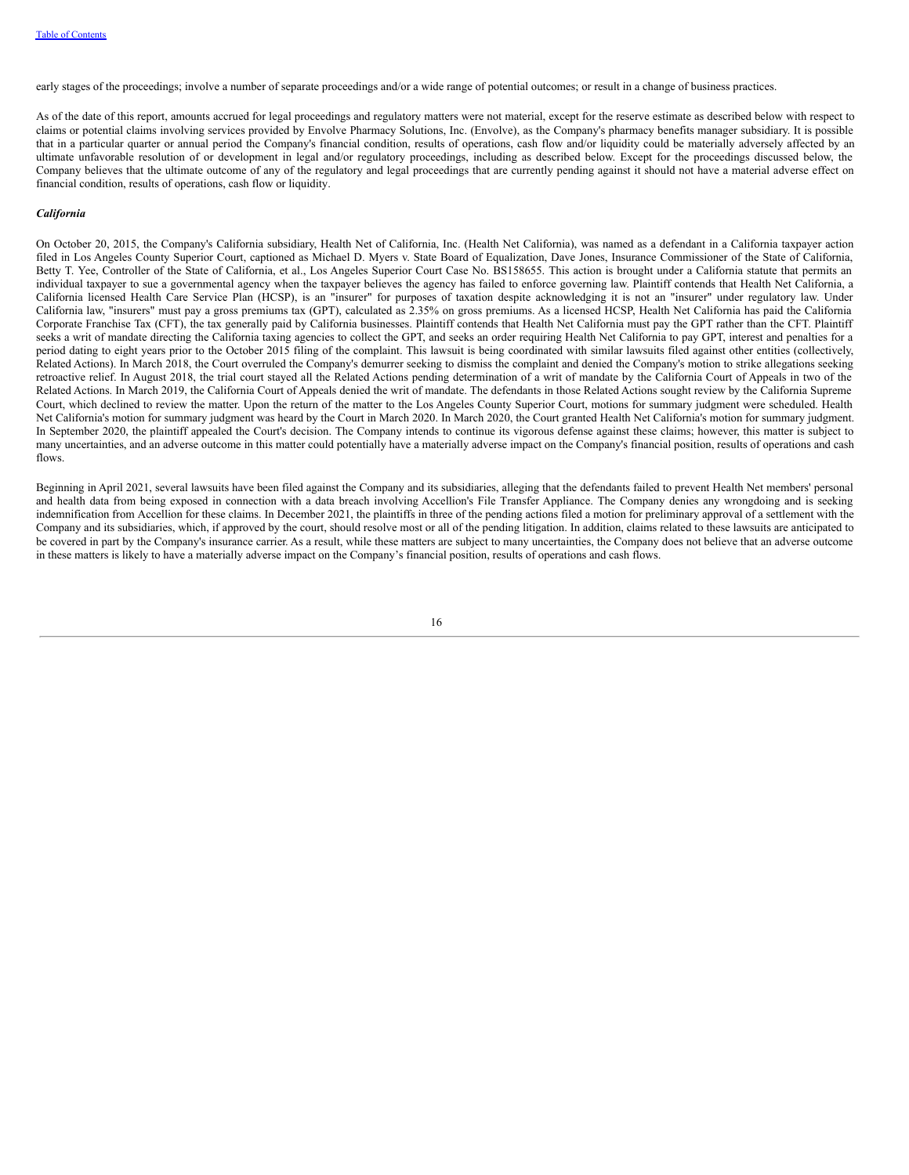early stages of the proceedings; involve a number of separate proceedings and/or a wide range of potential outcomes; or result in a change of business practices.

As of the date of this report, amounts accrued for legal proceedings and regulatory matters were not material, except for the reserve estimate as described below with respect to claims or potential claims involving services provided by Envolve Pharmacy Solutions, Inc. (Envolve), as the Company's pharmacy benefits manager subsidiary. It is possible that in a particular quarter or annual period the Company's financial condition, results of operations, cash flow and/or liquidity could be materially adversely affected by an ultimate unfavorable resolution of or development in legal and/or regulatory proceedings, including as described below. Except for the proceedings discussed below, the Company believes that the ultimate outcome of any of the regulatory and legal proceedings that are currently pending against it should not have a material adverse effect on financial condition, results of operations, cash flow or liquidity.

#### *California*

On October 20, 2015, the Company's California subsidiary, Health Net of California, Inc. (Health Net California), was named as a defendant in a California taxpayer action filed in Los Angeles County Superior Court, captioned as Michael D. Myers v. State Board of Equalization, Dave Jones, Insurance Commissioner of the State of California, Betty T. Yee, Controller of the State of California, et al., Los Angeles Superior Court Case No. BS158655. This action is brought under a California statute that permits an individual taxpayer to sue a governmental agency when the taxpayer believes the agency has failed to enforce governing law. Plaintiff contends that Health Net California, a California licensed Health Care Service Plan (HCSP), is an "insurer" for purposes of taxation despite acknowledging it is not an "insurer" under regulatory law. Under California law, "insurers" must pay a gross premiums tax (GPT), calculated as 2.35% on gross premiums. As a licensed HCSP, Health Net California has paid the California Corporate Franchise Tax (CFT), the tax generally paid by California businesses. Plaintiff contends that Health Net California must pay the GPT rather than the CFT. Plaintiff seeks a writ of mandate directing the California taxing agencies to collect the GPT, and seeks an order requiring Health Net California to pay GPT, interest and penalties for a period dating to eight years prior to the October 2015 filing of the complaint. This lawsuit is being coordinated with similar lawsuits filed against other entities (collectively, Related Actions). In March 2018, the Court overruled the Company's demurrer seeking to dismiss the complaint and denied the Company's motion to strike allegations seeking retroactive relief. In August 2018, the trial court stayed all the Related Actions pending determination of a writ of mandate by the California Court of Appeals in two of the Related Actions. In March 2019, the California Court of Appeals denied the writ of mandate. The defendants in those Related Actions sought review by the California Supreme Court, which declined to review the matter. Upon the return of the matter to the Los Angeles County Superior Court, motions for summary judgment were scheduled. Health Net California's motion for summary judgment was heard by the Court in March 2020. In March 2020, the Court granted Health Net California's motion for summary judgment. In September 2020, the plaintiff appealed the Court's decision. The Company intends to continue its vigorous defense against these claims; however, this matter is subject to many uncertainties, and an adverse outcome in this matter could potentially have a materially adverse impact on the Company's financial position, results of operations and cash flows.

Beginning in April 2021, several lawsuits have been filed against the Company and its subsidiaries, alleging that the defendants failed to prevent Health Net members' personal and health data from being exposed in connection with a data breach involving Accellion's File Transfer Appliance. The Company denies any wrongdoing and is seeking indemnification from Accellion for these claims. In December 2021, the plaintiffs in three of the pending actions filed a motion for preliminary approval of a settlement with the Company and its subsidiaries, which, if approved by the court, should resolve most or all of the pending litigation. In addition, claims related to these lawsuits are anticipated to be covered in part by the Company's insurance carrier. As a result, while these matters are subject to many uncertainties, the Company does not believe that an adverse outcome in these matters is likely to have a materially adverse impact on the Company's financial position, results of operations and cash flows.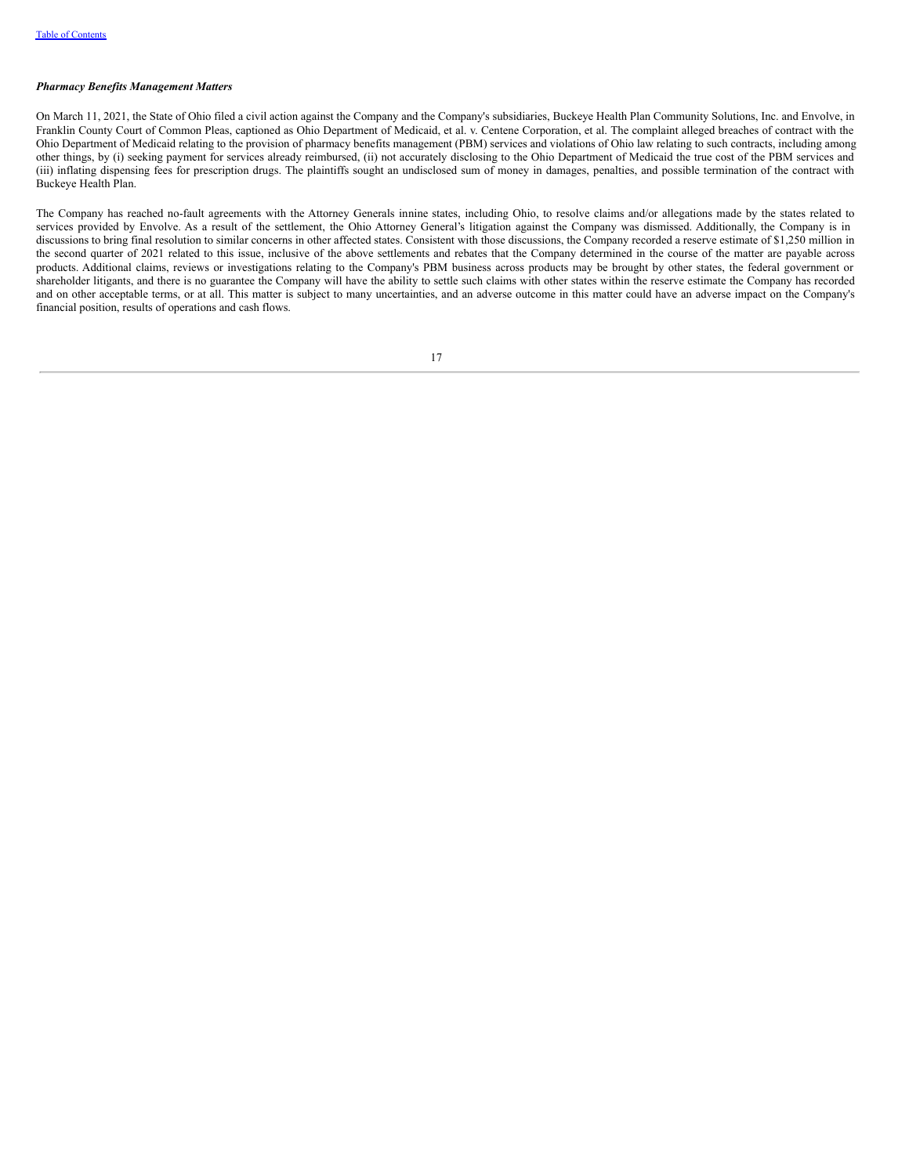### *Pharmacy Benefits Management Matters*

On March 11, 2021, the State of Ohio filed a civil action against the Company and the Company's subsidiaries, Buckeye Health Plan Community Solutions, Inc. and Envolve, in Franklin County Court of Common Pleas, captioned as Ohio Department of Medicaid, et al. v. Centene Corporation, et al. The complaint alleged breaches of contract with the Ohio Department of Medicaid relating to the provision of pharmacy benefits management (PBM) services and violations of Ohio law relating to such contracts, including among other things, by (i) seeking payment for services already reimbursed, (ii) not accurately disclosing to the Ohio Department of Medicaid the true cost of the PBM services and (iii) inflating dispensing fees for prescription drugs. The plaintiffs sought an undisclosed sum of money in damages, penalties, and possible termination of the contract with Buckeye Health Plan.

The Company has reached no-fault agreements with the Attorney Generals innine states, including Ohio, to resolve claims and/or allegations made by the states related to services provided by Envolve. As a result of the settlement, the Ohio Attorney General's litigation against the Company was dismissed. Additionally, the Company is in discussions to bring final resolution to similar concerns in other affected states. Consistent with those discussions, the Company recorded a reserve estimate of \$1,250 million in the second quarter of 2021 related to this issue, inclusive of the above settlements and rebates that the Company determined in the course of the matter are payable across products. Additional claims, reviews or investigations relating to the Company's PBM business across products may be brought by other states, the federal government or shareholder litigants, and there is no guarantee the Company will have the ability to settle such claims with other states within the reserve estimate the Company has recorded and on other acceptable terms, or at all. This matter is subject to many uncertainties, and an adverse outcome in this matter could have an adverse impact on the Company's financial position, results of operations and cash flows.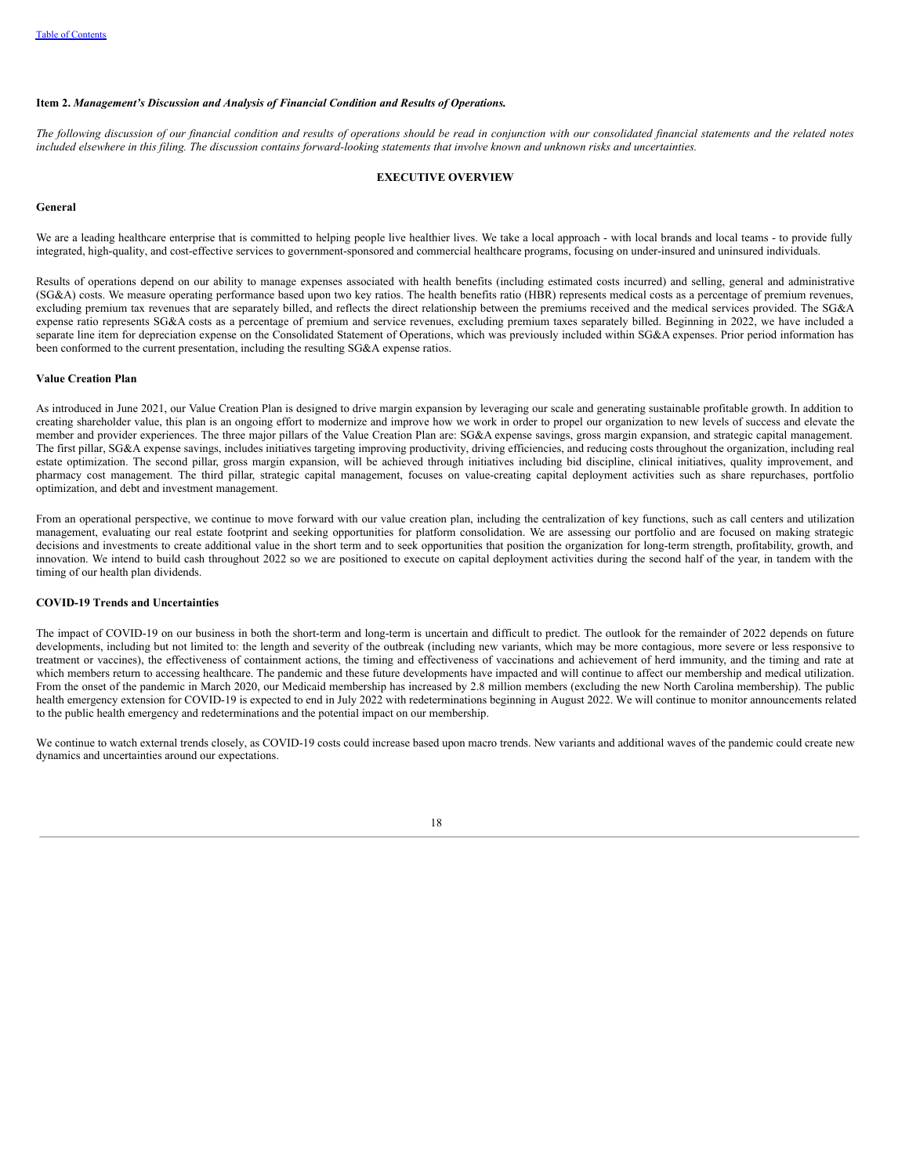#### <span id="page-23-0"></span>**Item 2.** *Management's Discussion and Analysis of Financial Condition and Results of Operations.*

The following discussion of our financial condition and results of operations should be read in conjunction with our consolidated financial statements and the related notes included elsewhere in this filing. The discussion contains forward-looking statements that involve known and unknown risks and uncertainties.

#### **EXECUTIVE OVERVIEW**

#### **General**

We are a leading healthcare enterprise that is committed to helping people live healthier lives. We take a local approach - with local brands and local teams - to provide fully integrated, high-quality, and cost-effective services to government-sponsored and commercial healthcare programs, focusing on under-insured and uninsured individuals.

Results of operations depend on our ability to manage expenses associated with health benefits (including estimated costs incurred) and selling, general and administrative (SG&A) costs. We measure operating performance based upon two key ratios. The health benefits ratio (HBR) represents medical costs as a percentage of premium revenues, excluding premium tax revenues that are separately billed, and reflects the direct relationship between the premiums received and the medical services provided. The SG&A expense ratio represents SG&A costs as a percentage of premium and service revenues, excluding premium taxes separately billed. Beginning in 2022, we have included a separate line item for depreciation expense on the Consolidated Statement of Operations, which was previously included within SG&A expenses. Prior period information has been conformed to the current presentation, including the resulting SG&A expense ratios.

#### **Value Creation Plan**

As introduced in June 2021, our Value Creation Plan is designed to drive margin expansion by leveraging our scale and generating sustainable profitable growth. In addition to creating shareholder value, this plan is an ongoing effort to modernize and improve how we work in order to propel our organization to new levels of success and elevate the member and provider experiences. The three major pillars of the Value Creation Plan are: SG&A expense savings, gross margin expansion, and strategic capital management. The first pillar, SG&A expense savings, includes initiatives targeting improving productivity, driving efficiencies, and reducing costs throughout the organization, including real estate optimization. The second pillar, gross margin expansion, will be achieved through initiatives including bid discipline, clinical initiatives, quality improvement, and pharmacy cost management. The third pillar, strategic capital management, focuses on value-creating capital deployment activities such as share repurchases, portfolio optimization, and debt and investment management.

From an operational perspective, we continue to move forward with our value creation plan, including the centralization of key functions, such as call centers and utilization management, evaluating our real estate footprint and seeking opportunities for platform consolidation. We are assessing our portfolio and are focused on making strategic decisions and investments to create additional value in the short term and to seek opportunities that position the organization for long-term strength, profitability, growth, and innovation. We intend to build cash throughout 2022 so we are positioned to execute on capital deployment activities during the second half of the year, in tandem with the timing of our health plan dividends.

#### **COVID-19 Trends and Uncertainties**

The impact of COVID-19 on our business in both the short-term and long-term is uncertain and difficult to predict. The outlook for the remainder of 2022 depends on future developments, including but not limited to: the length and severity of the outbreak (including new variants, which may be more contagious, more severe or less responsive to treatment or vaccines), the effectiveness of containment actions, the timing and effectiveness of vaccinations and achievement of herd immunity, and the timing and rate at which members return to accessing healthcare. The pandemic and these future developments have impacted and will continue to affect our membership and medical utilization. From the onset of the pandemic in March 2020, our Medicaid membership has increased by 2.8 million members (excluding the new North Carolina membership). The public health emergency extension for COVID-19 is expected to end in July 2022 with redeterminations beginning in August 2022. We will continue to monitor announcements related to the public health emergency and redeterminations and the potential impact on our membership.

We continue to watch external trends closely, as COVID-19 costs could increase based upon macro trends. New variants and additional waves of the pandemic could create new dynamics and uncertainties around our expectations.

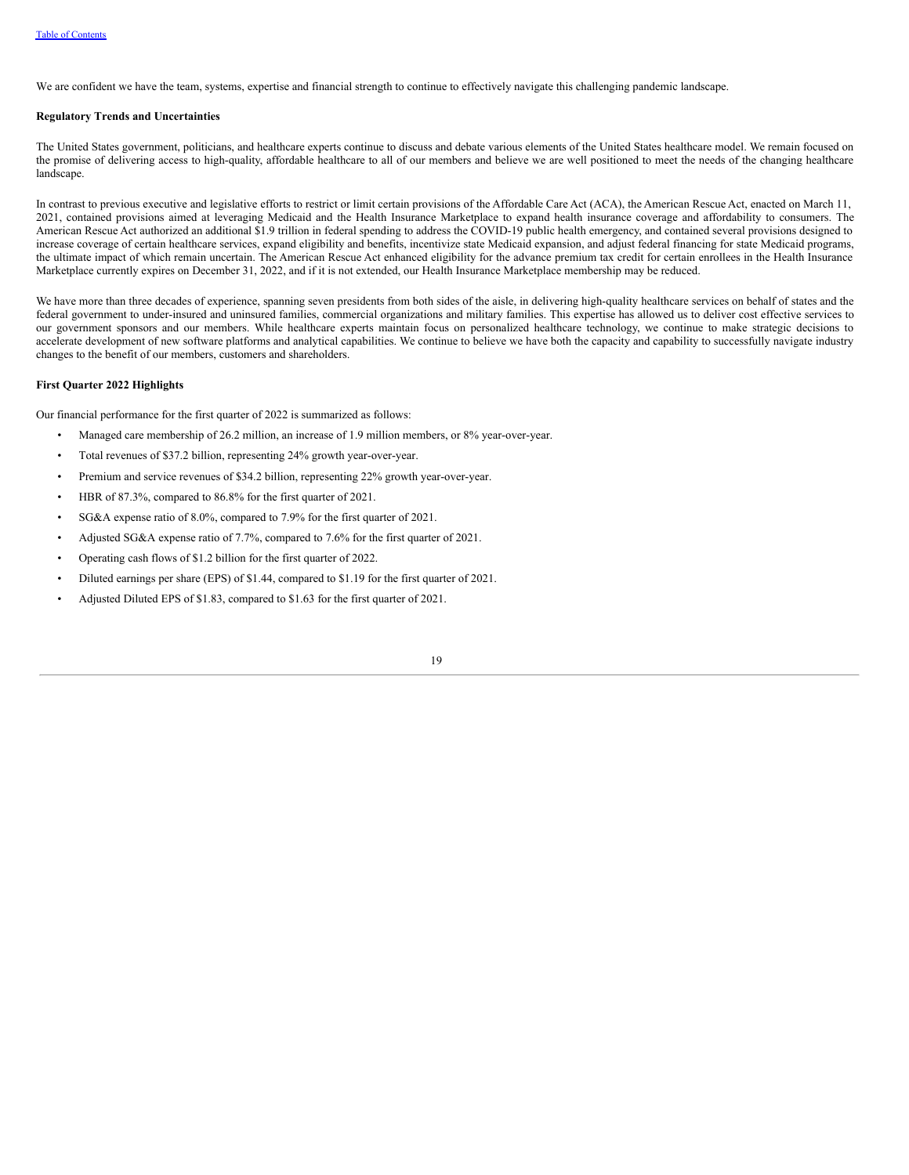We are confident we have the team, systems, expertise and financial strength to continue to effectively navigate this challenging pandemic landscape.

#### **Regulatory Trends and Uncertainties**

The United States government, politicians, and healthcare experts continue to discuss and debate various elements of the United States healthcare model. We remain focused on the promise of delivering access to high-quality, affordable healthcare to all of our members and believe we are well positioned to meet the needs of the changing healthcare landscape.

In contrast to previous executive and legislative efforts to restrict or limit certain provisions of the Affordable Care Act (ACA), the American Rescue Act, enacted on March 11, 2021, contained provisions aimed at leveraging Medicaid and the Health Insurance Marketplace to expand health insurance coverage and affordability to consumers. The American Rescue Act authorized an additional \$1.9 trillion in federal spending to address the COVID-19 public health emergency, and contained several provisions designed to increase coverage of certain healthcare services, expand eligibility and benefits, incentivize state Medicaid expansion, and adjust federal financing for state Medicaid programs, the ultimate impact of which remain uncertain. The American Rescue Act enhanced eligibility for the advance premium tax credit for certain enrollees in the Health Insurance Marketplace currently expires on December 31, 2022, and if it is not extended, our Health Insurance Marketplace membership may be reduced.

We have more than three decades of experience, spanning seven presidents from both sides of the aisle, in delivering high-quality healthcare services on behalf of states and the federal government to under-insured and uninsured families, commercial organizations and military families. This expertise has allowed us to deliver cost effective services to our government sponsors and our members. While healthcare experts maintain focus on personalized healthcare technology, we continue to make strategic decisions to accelerate development of new software platforms and analytical capabilities. We continue to believe we have both the capacity and capability to successfully navigate industry changes to the benefit of our members, customers and shareholders.

## **First Quarter 2022 Highlights**

Our financial performance for the first quarter of 2022 is summarized as follows:

- Managed care membership of 26.2 million, an increase of 1.9 million members, or 8% year-over-year.
- Total revenues of \$37.2 billion, representing 24% growth year-over-year.
- Premium and service revenues of \$34.2 billion, representing 22% growth year-over-year.
- HBR of 87.3%, compared to 86.8% for the first quarter of 2021.
- SG&A expense ratio of 8.0%, compared to 7.9% for the first quarter of 2021.
- Adjusted SG&A expense ratio of 7.7%, compared to 7.6% for the first quarter of 2021.
- Operating cash flows of \$1.2 billion for the first quarter of 2022.
- Diluted earnings per share (EPS) of \$1.44, compared to \$1.19 for the first quarter of 2021.
- Adjusted Diluted EPS of \$1.83, compared to \$1.63 for the first quarter of 2021.

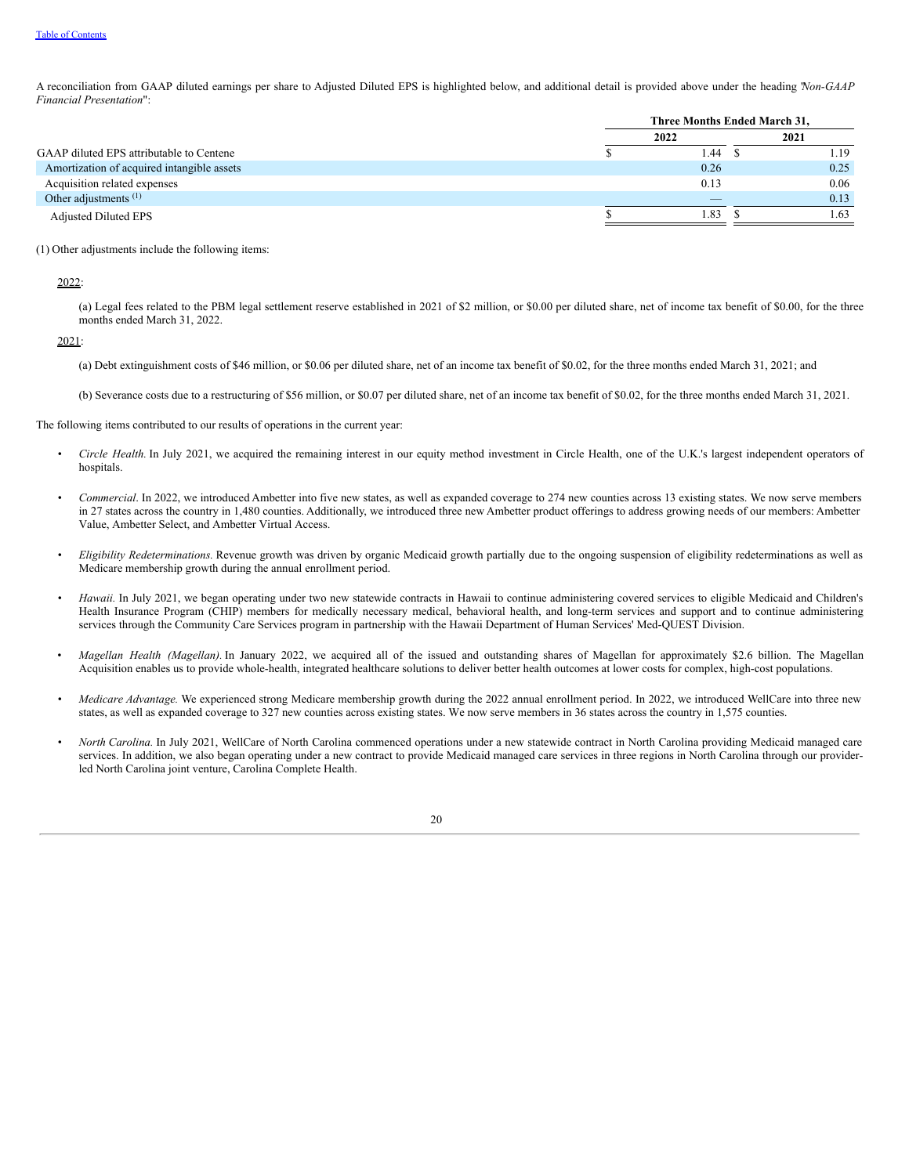A reconciliation from GAAP diluted earnings per share to Adjusted Diluted EPS is highlighted below, and additional detail is provided above under the heading "*Non-GAAP Financial Presentation*":

|                                            | Three Months Ended March 31, |      |      |  |
|--------------------------------------------|------------------------------|------|------|--|
|                                            | 2022                         | 2021 |      |  |
| GAAP diluted EPS attributable to Centene   | l.44                         |      | 1.19 |  |
| Amortization of acquired intangible assets | 0.26                         |      | 0.25 |  |
| Acquisition related expenses               | 0.13                         |      | 0.06 |  |
| Other adjustments $(1)$                    | $\overline{\phantom{a}}$     |      | 0.13 |  |
| <b>Adjusted Diluted EPS</b>                | 1.83                         |      | 1.63 |  |

## (1) Other adjustments include the following items:

2022:

(a) Legal fees related to the PBM legal settlement reserve established in 2021 of \$2 million, or \$0.00 per diluted share, net of income tax benefit of \$0.00, for the three months ended March 31, 2022.

2021:

(a) Debt extinguishment costs of \$46 million, or \$0.06 per diluted share, net of an income tax benefit of \$0.02, for the three months ended March 31, 2021; and

(b) Severance costs due to a restructuring of \$56 million, or \$0.07 per diluted share, net of an income tax benefit of \$0.02, for the three months ended March 31, 2021.

The following items contributed to our results of operations in the current year:

- *• Circle Health.* In July 2021, we acquired the remaining interest in our equity method investment in Circle Health, one of the U.K.'s largest independent operators of hospitals.
- *• Commercial*. In 2022, we introduced Ambetter into five new states, as well as expanded coverage to 274 new counties across 13 existing states. We now serve members in 27 states across the country in 1,480 counties. Additionally, we introduced three new Ambetter product offerings to address growing needs of our members: Ambetter Value, Ambetter Select, and Ambetter Virtual Access.
- *• Eligibility Redeterminations.* Revenue growth was driven by organic Medicaid growth partially due to the ongoing suspension of eligibility redeterminations as well as Medicare membership growth during the annual enrollment period.
- *• Hawaii.* In July 2021, we began operating under two new statewide contracts in Hawaii to continue administering covered services to eligible Medicaid and Children's Health Insurance Program (CHIP) members for medically necessary medical, behavioral health, and long-term services and support and to continue administering services through the Community Care Services program in partnership with the Hawaii Department of Human Services' Med-QUEST Division.
- *Magellan Health (Magellan).* In January 2022, we acquired all of the issued and outstanding shares of Magellan for approximately \$2.6 billion. The Magellan Acquisition enables us to provide whole-health, integrated healthcare solutions to deliver better health outcomes at lower costs for complex, high-cost populations.
- *• Medicare Advantage.* We experienced strong Medicare membership growth during the 2022 annual enrollment period. In 2022, we introduced WellCare into three new states, as well as expanded coverage to 327 new counties across existing states. We now serve members in 36 states across the country in 1,575 counties.
- *• North Carolina.* In July 2021, WellCare of North Carolina commenced operations under a new statewide contract in North Carolina providing Medicaid managed care services. In addition, we also began operating under a new contract to provide Medicaid managed care services in three regions in North Carolina through our providerled North Carolina joint venture, Carolina Complete Health.

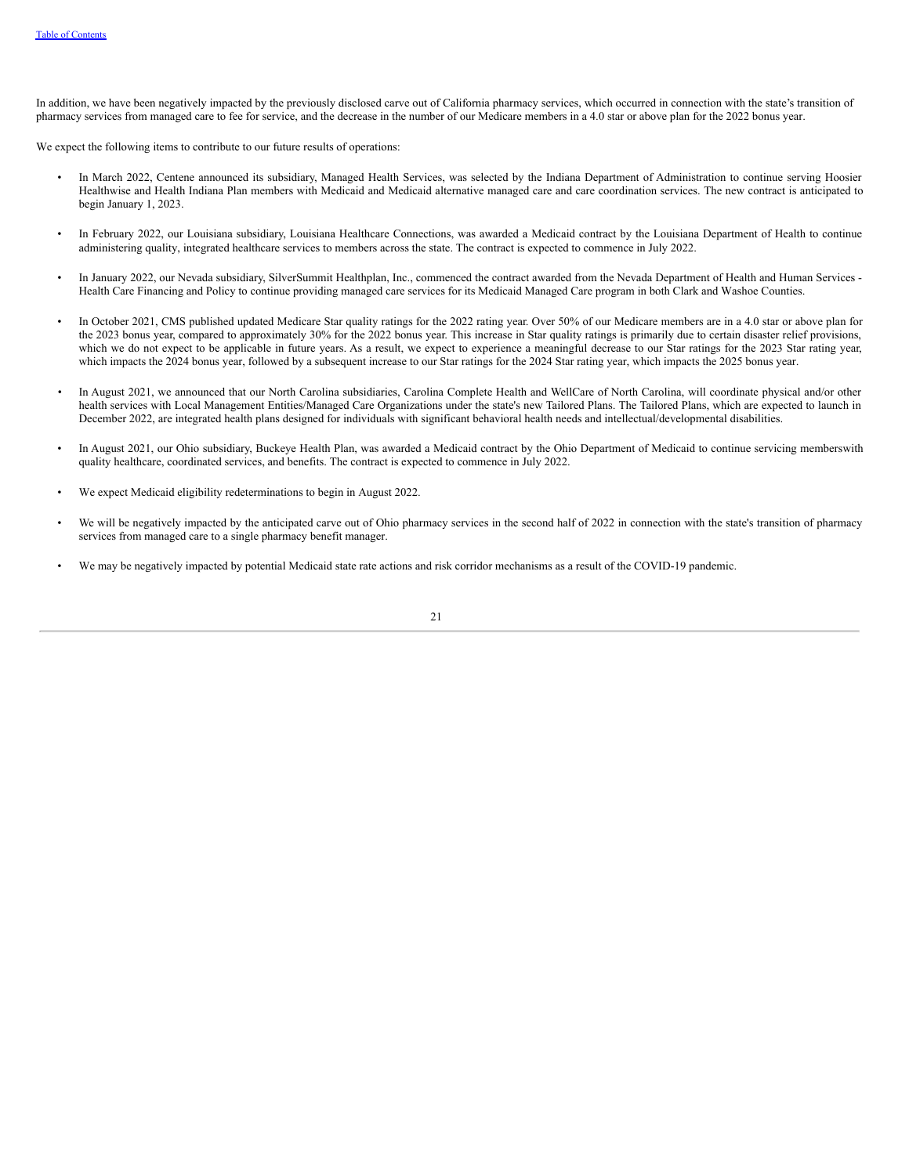In addition, we have been negatively impacted by the previously disclosed carve out of California pharmacy services, which occurred in connection with the state's transition of pharmacy services from managed care to fee for service, and the decrease in the number of our Medicare members in a 4.0 star or above plan for the 2022 bonus year.

We expect the following items to contribute to our future results of operations:

- In March 2022, Centene announced its subsidiary, Managed Health Services, was selected by the Indiana Department of Administration to continue serving Hoosier Healthwise and Health Indiana Plan members with Medicaid and Medicaid alternative managed care and care coordination services. The new contract is anticipated to begin January 1, 2023.
- In February 2022, our Louisiana subsidiary, Louisiana Healthcare Connections, was awarded a Medicaid contract by the Louisiana Department of Health to continue administering quality, integrated healthcare services to members across the state. The contract is expected to commence in July 2022.
- In January 2022, our Nevada subsidiary, SilverSummit Healthplan, Inc., commenced the contract awarded from the Nevada Department of Health and Human Services Health Care Financing and Policy to continue providing managed care services for its Medicaid Managed Care program in both Clark and Washoe Counties.
- In October 2021, CMS published updated Medicare Star quality ratings for the 2022 rating year. Over 50% of our Medicare members are in a 4.0 star or above plan for the 2023 bonus year, compared to approximately 30% for the 2022 bonus year. This increase in Star quality ratings is primarily due to certain disaster relief provisions, which we do not expect to be applicable in future years. As a result, we expect to experience a meaningful decrease to our Star ratings for the 2023 Star rating year, which impacts the 2024 bonus year, followed by a subsequent increase to our Star ratings for the 2024 Star rating year, which impacts the 2025 bonus year.
- In August 2021, we announced that our North Carolina subsidiaries, Carolina Complete Health and WellCare of North Carolina, will coordinate physical and/or other health services with Local Management Entities/Managed Care Organizations under the state's new Tailored Plans. The Tailored Plans, which are expected to launch in December 2022, are integrated health plans designed for individuals with significant behavioral health needs and intellectual/developmental disabilities.
- In August 2021, our Ohio subsidiary, Buckeye Health Plan, was awarded a Medicaid contract by the Ohio Department of Medicaid to continue servicing memberswith quality healthcare, coordinated services, and benefits. The contract is expected to commence in July 2022.
- We expect Medicaid eligibility redeterminations to begin in August 2022.
- We will be negatively impacted by the anticipated carve out of Ohio pharmacy services in the second half of 2022 in connection with the state's transition of pharmacy services from managed care to a single pharmacy benefit manager.
- We may be negatively impacted by potential Medicaid state rate actions and risk corridor mechanisms as a result of the COVID-19 pandemic.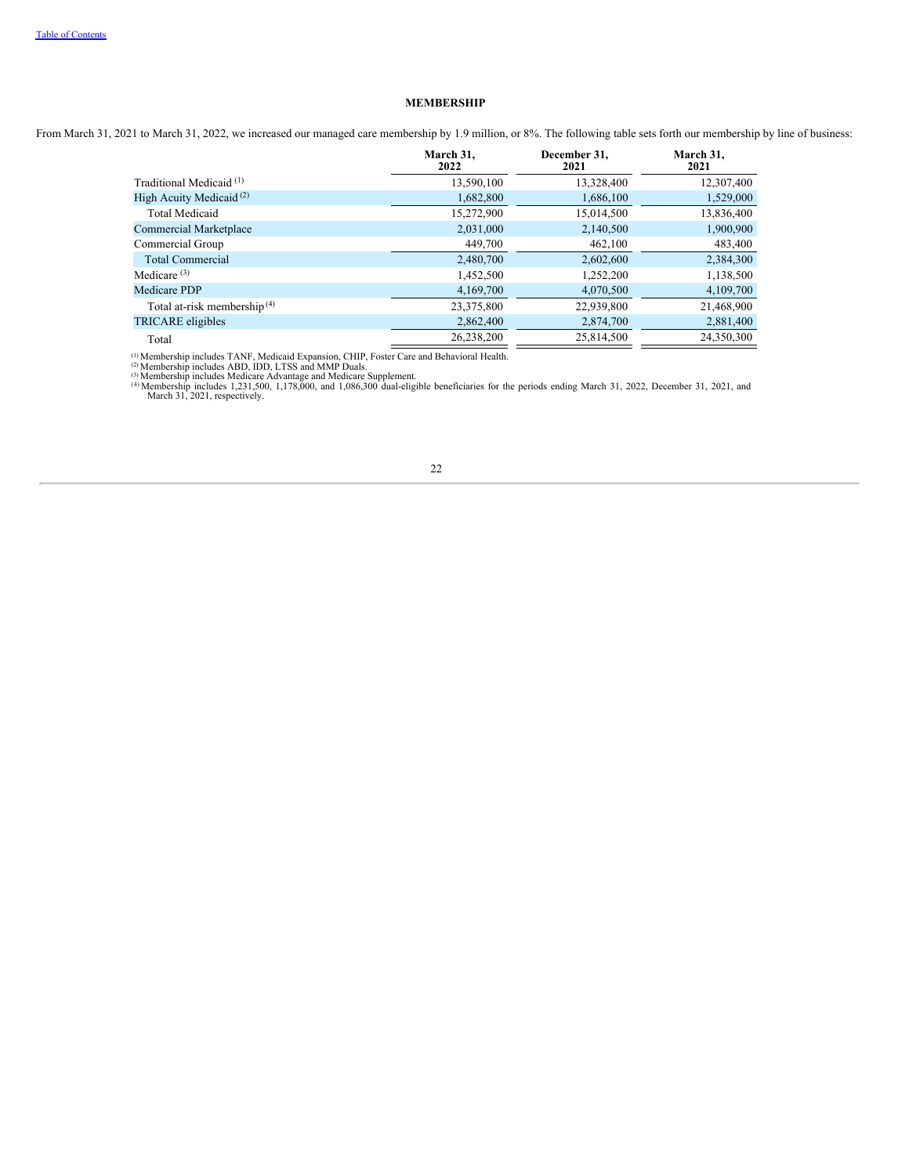### **MEMBERSHIP**

From March 31, 2021 to March 31, 2022, we increased our managed care membership by 1.9 million, or 8%. The following table sets forth our membership by line of business:

|                                                      | March 31,<br>2022 | December 31.<br>2021 | March 31,<br>2021 |
|------------------------------------------------------|-------------------|----------------------|-------------------|
| Traditional Medicaid <sup>(1)</sup>                  | 13,590,100        | 13,328,400           | 12,307,400        |
| High Acuity Medicaid <sup>(2)</sup>                  | 1,682,800         | 1,686,100            | 1,529,000         |
| <b>Total Medicaid</b>                                | 15,272,900        | 15,014,500           | 13,836,400        |
| <b>Commercial Marketplace</b>                        | 2,031,000         | 2,140,500            | 1,900,900         |
| Commercial Group                                     | 449,700           | 462,100              | 483,400           |
| <b>Total Commercial</b>                              | 2,480,700         | 2,602,600            | 2,384,300         |
| Medicare $(3)$                                       | 1,452,500         | 1,252,200            | 1,138,500         |
| <b>Medicare PDP</b>                                  | 4,169,700         | 4,070,500            | 4,109,700         |
| Total at-risk membership <sup><math>(4)</math></sup> | 23,375,800        | 22,939,800           | 21,468,900        |
| <b>TRICARE</b> eligibles                             | 2,862,400         | 2,874,700            | 2,881,400         |
| Total                                                | 26.238.200        | 25,814,500           | 24,350,300        |

(1) Membership includes TANF, Medicaid Expansion, CHIP, Foster Care and Behavioral Health.<br>(2) Membership includes MBD, IDD, LTSS and MMP Duals.<br>(9) Membership includes Medicare Advantage and Medicare Supplement.<br>(4) Membe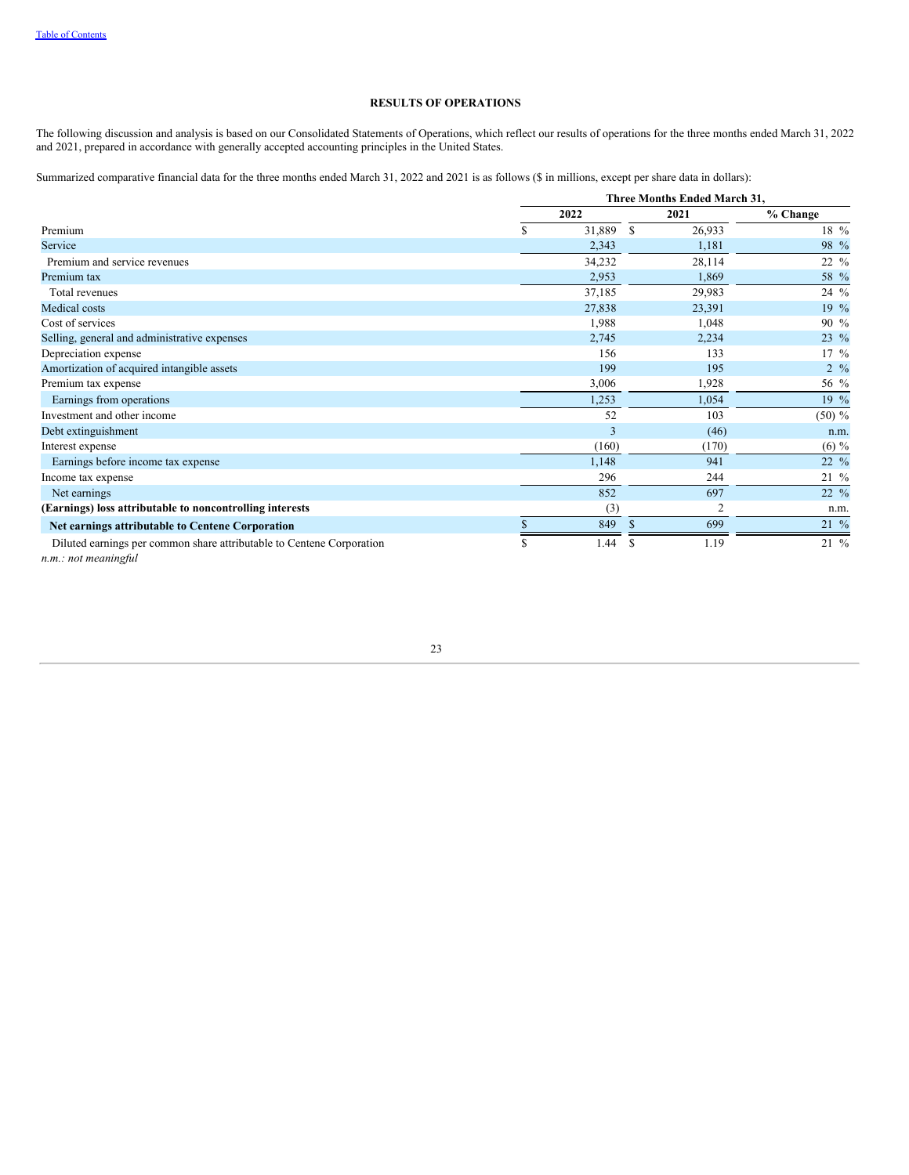# **RESULTS OF OPERATIONS**

The following discussion and analysis is based on our Consolidated Statements of Operations, which reflect our results of operations for the three months ended March 31, 2022 and 2021, prepared in accordance with generally accepted accounting principles in the United States.

Summarized comparative financial data for the three months ended March 31, 2022 and 2021 is as follows (\$ in millions, except per share data in dollars):

|                                                                       | Three Months Ended March 31, |        |               |                |                  |
|-----------------------------------------------------------------------|------------------------------|--------|---------------|----------------|------------------|
|                                                                       |                              | 2022   |               | 2021           | % Change         |
| Premium                                                               | S                            | 31,889 | <sup>\$</sup> | 26,933         | $18\%$           |
| Service                                                               |                              | 2,343  |               | 1,181          | 98 %             |
| Premium and service revenues                                          |                              | 34,232 |               | 28,114         | 22 %             |
| Premium tax                                                           |                              | 2,953  |               | 1,869          | 58 %             |
| Total revenues                                                        |                              | 37,185 |               | 29,983         | 24 %             |
| Medical costs                                                         |                              | 27,838 |               | 23,391         | 19 %             |
| Cost of services                                                      |                              | 1.988  |               | 1,048          | 90 $%$           |
| Selling, general and administrative expenses                          |                              | 2,745  |               | 2,234          | $23\%$           |
| Depreciation expense                                                  |                              | 156    |               | 133            | $17 \frac{9}{6}$ |
| Amortization of acquired intangible assets                            |                              | 199    |               | 195            | $2 \frac{9}{6}$  |
| Premium tax expense                                                   |                              | 3,006  |               | 1,928          | 56 %             |
| Earnings from operations                                              |                              | 1,253  |               | 1,054          | 19 %             |
| Investment and other income                                           |                              | 52     |               | 103            | $(50) \%$        |
| Debt extinguishment                                                   |                              | 3      |               | (46)           | n.m.             |
| Interest expense                                                      |                              | (160)  |               | (170)          | $(6) \%$         |
| Earnings before income tax expense                                    |                              | 1,148  |               | 941            | $22 \frac{9}{6}$ |
| Income tax expense                                                    |                              | 296    |               | 244            | 21 %             |
| Net earnings                                                          |                              | 852    |               | 697            | $22 \frac{9}{6}$ |
| (Earnings) loss attributable to noncontrolling interests              |                              | (3)    |               | $\overline{2}$ | n.m.             |
| Net earnings attributable to Centene Corporation                      |                              | 849    | \$            | 699            | 21 %             |
| Diluted earnings per common share attributable to Centene Corporation | \$                           | 1.44   | S             | 1.19           | $21\%$           |
| $n.m.:$ not meaningful                                                |                              |        |               |                |                  |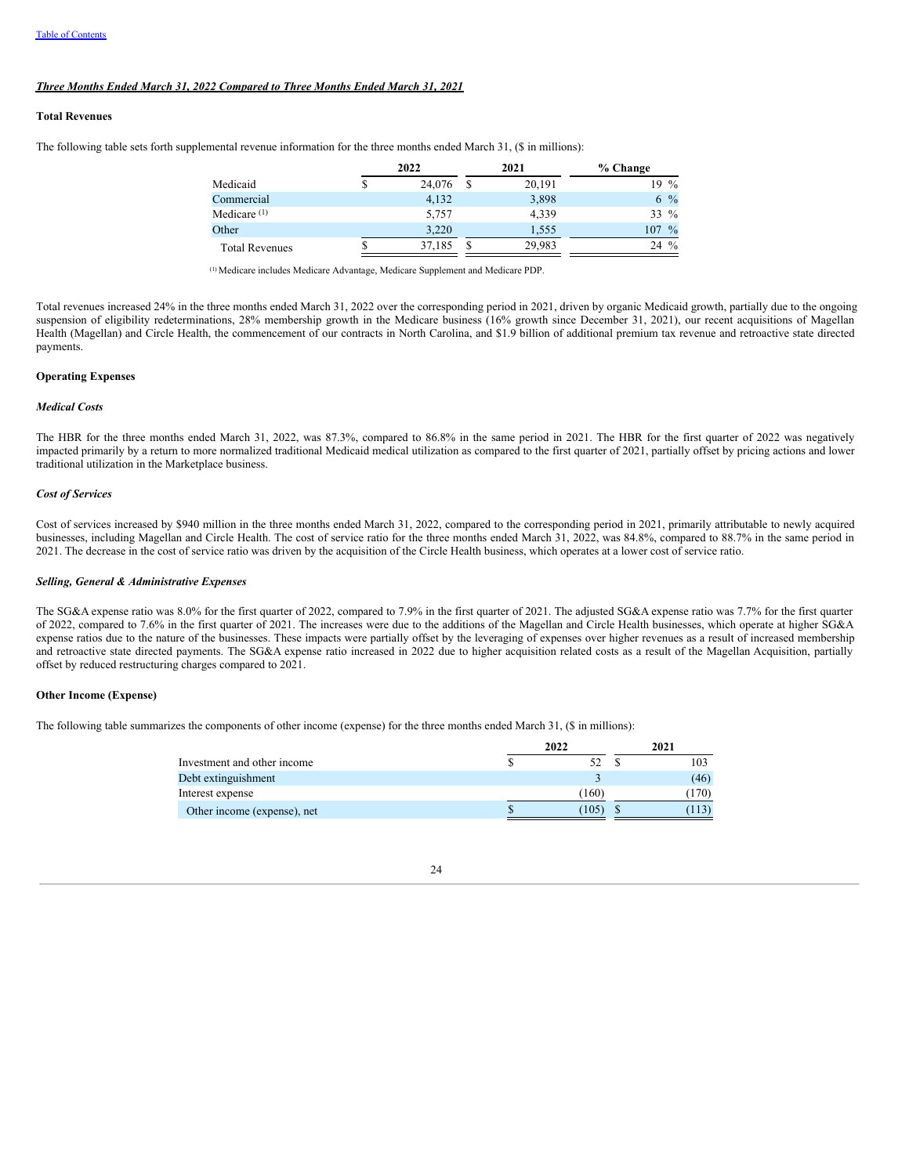## *Three Months Ended March 31, 2022 Compared to Three Months Ended March 31, 2021*

## **Total Revenues**

The following table sets forth supplemental revenue information for the three months ended March 31, (\$ in millions):

|                         | 2022   |   | 2021   | $%$ Change     |               |
|-------------------------|--------|---|--------|----------------|---------------|
| Medicaid                | 24,076 | S | 20,191 | 19             | $\frac{0}{0}$ |
| Commercial              | 4,132  |   | 3,898  | $6\frac{9}{6}$ |               |
| Medicare <sup>(1)</sup> | 5,757  |   | 4,339  | $33\%$         |               |
| Other                   | 3.220  |   | 1,555  | 107            | $\%$          |
| <b>Total Revenues</b>   | 37,185 |   | 29,983 | 24             | $\frac{0}{0}$ |

Medicare includes Medicare Advantage, Medicare Supplement and Medicare PDP. (1)

Total revenues increased 24% in the three months ended March 31, 2022 over the corresponding period in 2021, driven by organic Medicaid growth, partially due to the ongoing suspension of eligibility redeterminations, 28% membership growth in the Medicare business (16% growth since December 31, 2021), our recent acquisitions of Magellan Health (Magellan) and Circle Health, the commencement of our contracts in North Carolina, and \$1.9 billion of additional premium tax revenue and retroactive state directed payments.

# **Operating Expenses**

## *Medical Costs*

The HBR for the three months ended March 31, 2022, was 87.3%, compared to 86.8% in the same period in 2021. The HBR for the first quarter of 2022 was negatively impacted primarily by a return to more normalized traditional Medicaid medical utilization as compared to the first quarter of 2021, partially offset by pricing actions and lower traditional utilization in the Marketplace business.

#### *Cost of Services*

Cost of services increased by \$940 million in the three months ended March 31, 2022, compared to the corresponding period in 2021, primarily attributable to newly acquired businesses, including Magellan and Circle Health. The cost of service ratio for the three months ended March 31, 2022, was 84.8%, compared to 88.7% in the same period in 2021. The decrease in the cost of service ratio was driven by the acquisition of the Circle Health business, which operates at a lower cost of service ratio.

#### *Selling, General & Administrative Expenses*

The SG&A expense ratio was 8.0% for the first quarter of 2022, compared to 7.9% in the first quarter of 2021. The adjusted SG&A expense ratio was 7.7% for the first quarter of 2022, compared to 7.6% in the first quarter of 2021. The increases were due to the additions of the Magellan and Circle Health businesses, which operate at higher SG&A expense ratios due to the nature of the businesses. These impacts were partially offset by the leveraging of expenses over higher revenues as a result of increased membership and retroactive state directed payments. The SG&A expense ratio increased in 2022 due to higher acquisition related costs as a result of the Magellan Acquisition, partially offset by reduced restructuring charges compared to 2021.

## **Other Income (Expense)**

The following table summarizes the components of other income (expense) for the three months ended March 31, (\$ in millions):

|                             | 2022  | 2021 |
|-----------------------------|-------|------|
| Investment and other income | 52    | 103  |
| Debt extinguishment         |       | (46) |
| Interest expense            | (160) | 170) |
| Other income (expense), net | 105   | 113) |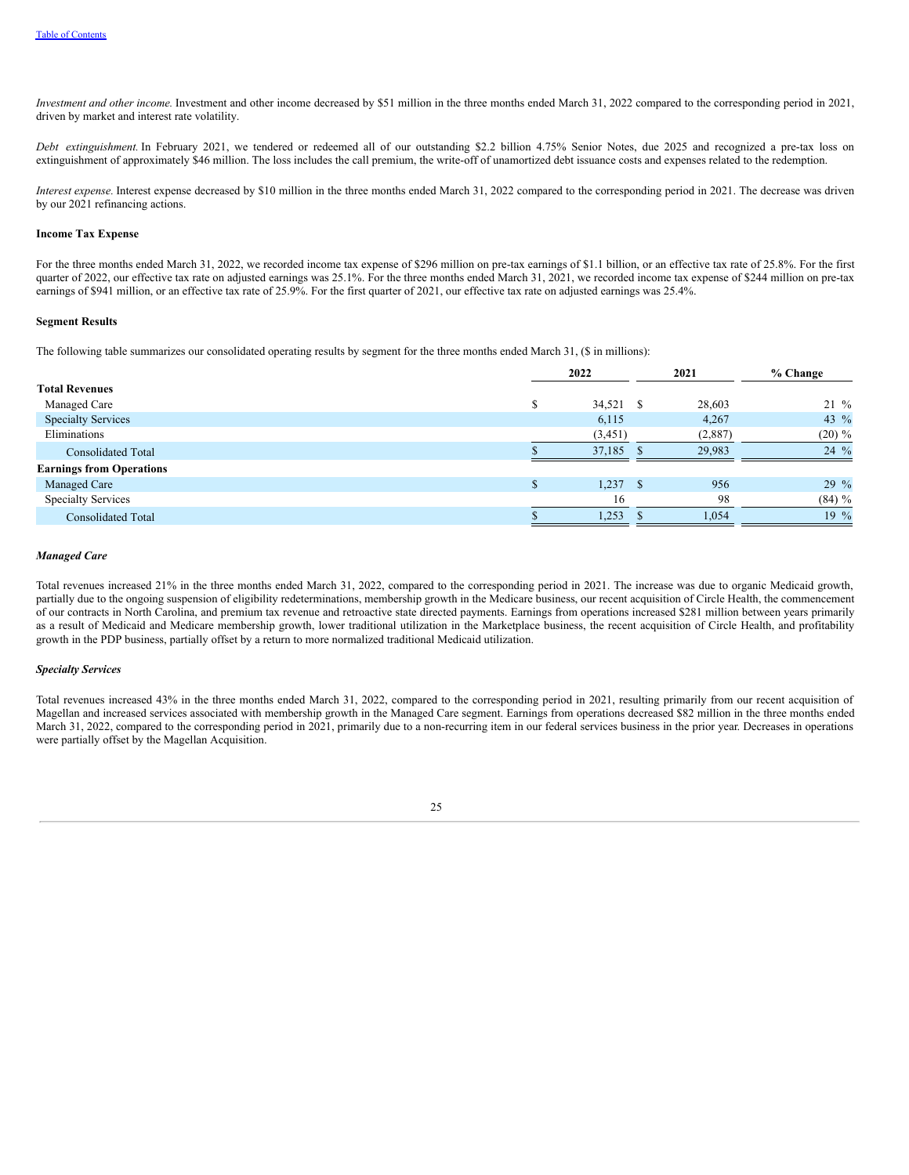*Investment and other income*. Investment and other income decreased by \$51 million in the three months ended March 31, 2022 compared to the corresponding period in 2021, driven by market and interest rate volatility.

*Debt extinguishment.* In February 2021, we tendered or redeemed all of our outstanding \$2.2 billion 4.75% Senior Notes, due 2025 and recognized a pre-tax loss on extinguishment of approximately \$46 million. The loss includes the call premium, the write-off of unamortized debt issuance costs and expenses related to the redemption.

*Interest expense.* Interest expense decreased by \$10 million in the three months ended March 31, 2022 compared to the corresponding period in 2021. The decrease was driven by our 2021 refinancing actions.

# **Income Tax Expense**

For the three months ended March 31, 2022, we recorded income tax expense of \$296 million on pre-tax earnings of \$1.1 billion, or an effective tax rate of 25.8%. For the first quarter of 2022, our effective tax rate on adjusted earnings was 25.1%. For the three months ended March 31, 2021, we recorded income tax expense of \$244 million on pre-tax earnings of \$941 million, or an effective tax rate of 25.9%. For the first quarter of 2021, our effective tax rate on adjusted earnings was 25.4%.

## **Segment Results**

The following table summarizes our consolidated operating results by segment for the three months ended March 31, (\$ in millions):

|                                 |   | 2022      | 2021    | % Change        |
|---------------------------------|---|-----------|---------|-----------------|
| <b>Total Revenues</b>           |   |           |         |                 |
| Managed Care                    | S | 34,521 \$ | 28,603  | $21\%$          |
| <b>Specialty Services</b>       |   | 6,115     | 4,267   | 43 $\%$         |
| Eliminations                    |   | (3,451)   | (2,887) | $(20) \%$       |
| <b>Consolidated Total</b>       |   | 37,185    | 29,983  | $24\frac{9}{6}$ |
| <b>Earnings from Operations</b> |   |           |         |                 |
| Managed Care                    | S | 1,237     | 956     | $29\%$          |
| <b>Specialty Services</b>       |   | 16        | 98      | $(84) \%$       |
| <b>Consolidated Total</b>       |   | 1,253     | 1,054   | $19\%$          |

# *Managed Care*

Total revenues increased 21% in the three months ended March 31, 2022, compared to the corresponding period in 2021. The increase was due to organic Medicaid growth, partially due to the ongoing suspension of eligibility redeterminations, membership growth in the Medicare business, our recent acquisition of Circle Health, the commencement of our contracts in North Carolina, and premium tax revenue and retroactive state directed payments. Earnings from operations increased \$281 million between years primarily as a result of Medicaid and Medicare membership growth, lower traditional utilization in the Marketplace business, the recent acquisition of Circle Health, and profitability growth in the PDP business, partially offset by a return to more normalized traditional Medicaid utilization.

## *Specialty Services*

Total revenues increased 43% in the three months ended March 31, 2022, compared to the corresponding period in 2021, resulting primarily from our recent acquisition of Magellan and increased services associated with membership growth in the Managed Care segment. Earnings from operations decreased \$82 million in the three months ended March 31, 2022, compared to the corresponding period in 2021, primarily due to a non-recurring item in our federal services business in the prior year. Decreases in operations were partially offset by the Magellan Acquisition.

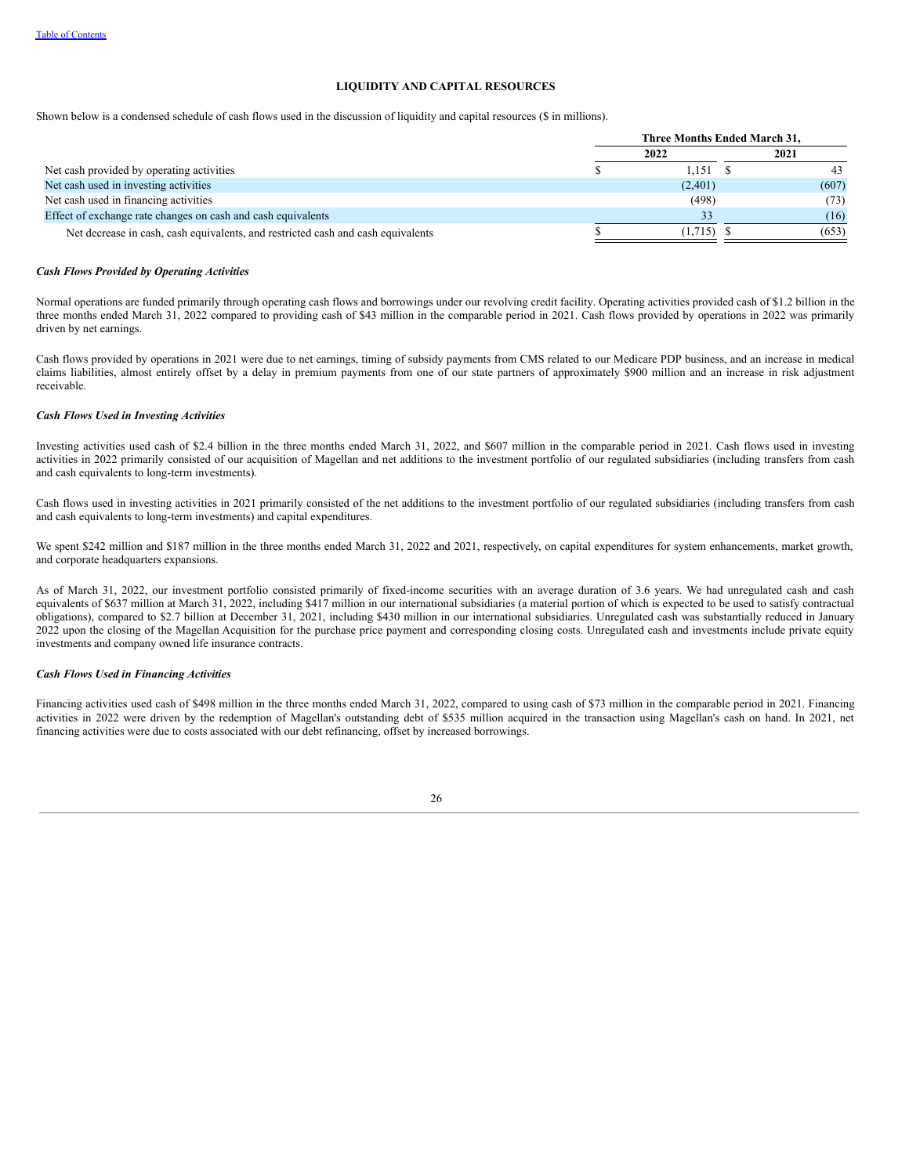## **LIQUIDITY AND CAPITAL RESOURCES**

Shown below is a condensed schedule of cash flows used in the discussion of liquidity and capital resources (\$ in millions).

|                                                                                  | Three Months Ended March 31. |         |       |  |
|----------------------------------------------------------------------------------|------------------------------|---------|-------|--|
|                                                                                  |                              | 2022    | 2021  |  |
| Net cash provided by operating activities                                        |                              | 1.151S  | 43    |  |
| Net cash used in investing activities                                            |                              | (2,401) | (607) |  |
| Net cash used in financing activities                                            |                              | (498)   | (73)  |  |
| Effect of exchange rate changes on cash and cash equivalents                     |                              | 33      | (16)  |  |
| Net decrease in cash, cash equivalents, and restricted cash and cash equivalents |                              | (1,715) | (653) |  |

#### *Cash Flows Provided by Operating Activities*

Normal operations are funded primarily through operating cash flows and borrowings under our revolving credit facility. Operating activities provided cash of \$1.2 billion in the three months ended March 31, 2022 compared to providing cash of \$43 million in the comparable period in 2021. Cash flows provided by operations in 2022 was primarily driven by net earnings.

Cash flows provided by operations in 2021 were due to net earnings, timing of subsidy payments from CMS related to our Medicare PDP business, and an increase in medical claims liabilities, almost entirely offset by a delay in premium payments from one of our state partners of approximately \$900 million and an increase in risk adjustment receivable.

#### *Cash Flows Used in Investing Activities*

Investing activities used cash of \$2.4 billion in the three months ended March 31, 2022, and \$607 million in the comparable period in 2021. Cash flows used in investing activities in 2022 primarily consisted of our acquisition of Magellan and net additions to the investment portfolio of our regulated subsidiaries (including transfers from cash and cash equivalents to long-term investments).

Cash flows used in investing activities in 2021 primarily consisted of the net additions to the investment portfolio of our regulated subsidiaries (including transfers from cash and cash equivalents to long-term investments) and capital expenditures.

We spent \$242 million and \$187 million in the three months ended March 31, 2022 and 2021, respectively, on capital expenditures for system enhancements, market growth, and corporate headquarters expansions.

As of March 31, 2022, our investment portfolio consisted primarily of fixed-income securities with an average duration of 3.6 years. We had unregulated cash and cash equivalents of \$637 million at March 31, 2022, including \$417 million in our international subsidiaries (a material portion of which is expected to be used to satisfy contractual obligations), compared to \$2.7 billion at December 31, 2021, including \$430 million in our international subsidiaries. Unregulated cash was substantially reduced in January 2022 upon the closing of the Magellan Acquisition for the purchase price payment and corresponding closing costs. Unregulated cash and investments include private equity investments and company owned life insurance contracts.

#### *Cash Flows Used in Financing Activities*

Financing activities used cash of \$498 million in the three months ended March 31, 2022, compared to using cash of \$73 million in the comparable period in 2021. Financing activities in 2022 were driven by the redemption of Magellan's outstanding debt of \$535 million acquired in the transaction using Magellan's cash on hand. In 2021, net financing activities were due to costs associated with our debt refinancing, offset by increased borrowings.

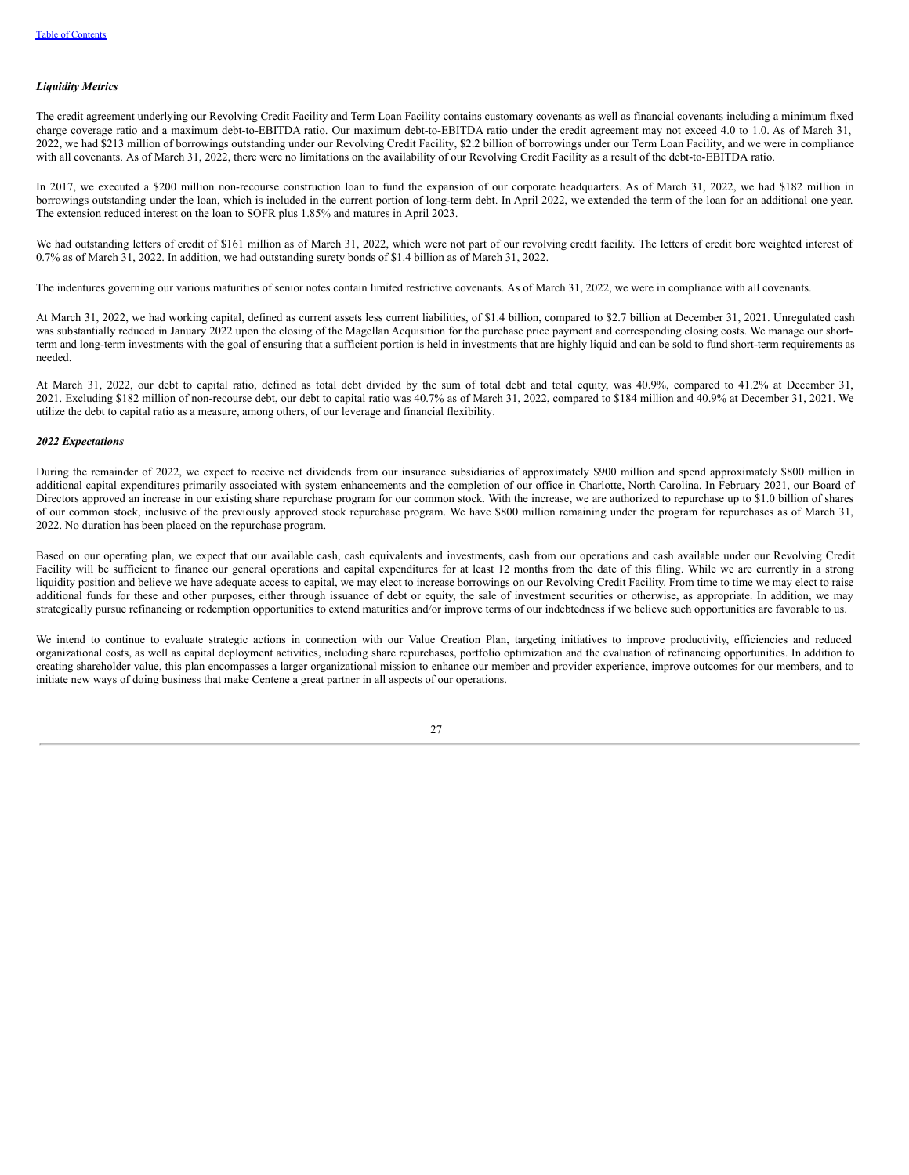#### *Liquidity Metrics*

The credit agreement underlying our Revolving Credit Facility and Term Loan Facility contains customary covenants as well as financial covenants including a minimum fixed charge coverage ratio and a maximum debt-to-EBITDA ratio. Our maximum debt-to-EBITDA ratio under the credit agreement may not exceed 4.0 to 1.0. As of March 31, 2022, we had \$213 million of borrowings outstanding under our Revolving Credit Facility, \$2.2 billion of borrowings under our Term Loan Facility, and we were in compliance with all covenants. As of March 31, 2022, there were no limitations on the availability of our Revolving Credit Facility as a result of the debt-to-EBITDA ratio.

In 2017, we executed a \$200 million non-recourse construction loan to fund the expansion of our corporate headquarters. As of March 31, 2022, we had \$182 million in borrowings outstanding under the loan, which is included in the current portion of long-term debt. In April 2022, we extended the term of the loan for an additional one year. The extension reduced interest on the loan to SOFR plus 1.85% and matures in April 2023.

We had outstanding letters of credit of \$161 million as of March 31, 2022, which were not part of our revolving credit facility. The letters of credit bore weighted interest of 0.7% as of March 31, 2022. In addition, we had outstanding surety bonds of \$1.4 billion as of March 31, 2022.

The indentures governing our various maturities of senior notes contain limited restrictive covenants. As of March 31, 2022, we were in compliance with all covenants.

At March 31, 2022, we had working capital, defined as current assets less current liabilities, of \$1.4 billion, compared to \$2.7 billion at December 31, 2021. Unregulated cash was substantially reduced in January 2022 upon the closing of the Magellan Acquisition for the purchase price payment and corresponding closing costs. We manage our shortterm and long-term investments with the goal of ensuring that a sufficient portion is held in investments that are highly liquid and can be sold to fund short-term requirements as needed.

At March 31, 2022, our debt to capital ratio, defined as total debt divided by the sum of total debt and total equity, was 40.9%, compared to 41.2% at December 31, 2021. Excluding \$182 million of non-recourse debt, our debt to capital ratio was 40.7% as of March 31, 2022, compared to \$184 million and 40.9% at December 31, 2021. We utilize the debt to capital ratio as a measure, among others, of our leverage and financial flexibility.

#### *2022 Expectations*

During the remainder of 2022, we expect to receive net dividends from our insurance subsidiaries of approximately \$900 million and spend approximately \$800 million in additional capital expenditures primarily associated with system enhancements and the completion of our office in Charlotte, North Carolina. In February 2021, our Board of Directors approved an increase in our existing share repurchase program for our common stock. With the increase, we are authorized to repurchase up to \$1.0 billion of shares of our common stock, inclusive of the previously approved stock repurchase program. We have \$800 million remaining under the program for repurchases as of March 31, 2022. No duration has been placed on the repurchase program.

Based on our operating plan, we expect that our available cash, cash equivalents and investments, cash from our operations and cash available under our Revolving Credit Facility will be sufficient to finance our general operations and capital expenditures for at least 12 months from the date of this filing. While we are currently in a strong liquidity position and believe we have adequate access to capital, we may elect to increase borrowings on our Revolving Credit Facility. From time to time we may elect to raise additional funds for these and other purposes, either through issuance of debt or equity, the sale of investment securities or otherwise, as appropriate. In addition, we may strategically pursue refinancing or redemption opportunities to extend maturities and/or improve terms of our indebtedness if we believe such opportunities are favorable to us.

We intend to continue to evaluate strategic actions in connection with our Value Creation Plan, targeting initiatives to improve productivity, efficiencies and reduced organizational costs, as well as capital deployment activities, including share repurchases, portfolio optimization and the evaluation of refinancing opportunities. In addition to creating shareholder value, this plan encompasses a larger organizational mission to enhance our member and provider experience, improve outcomes for our members, and to initiate new ways of doing business that make Centene a great partner in all aspects of our operations.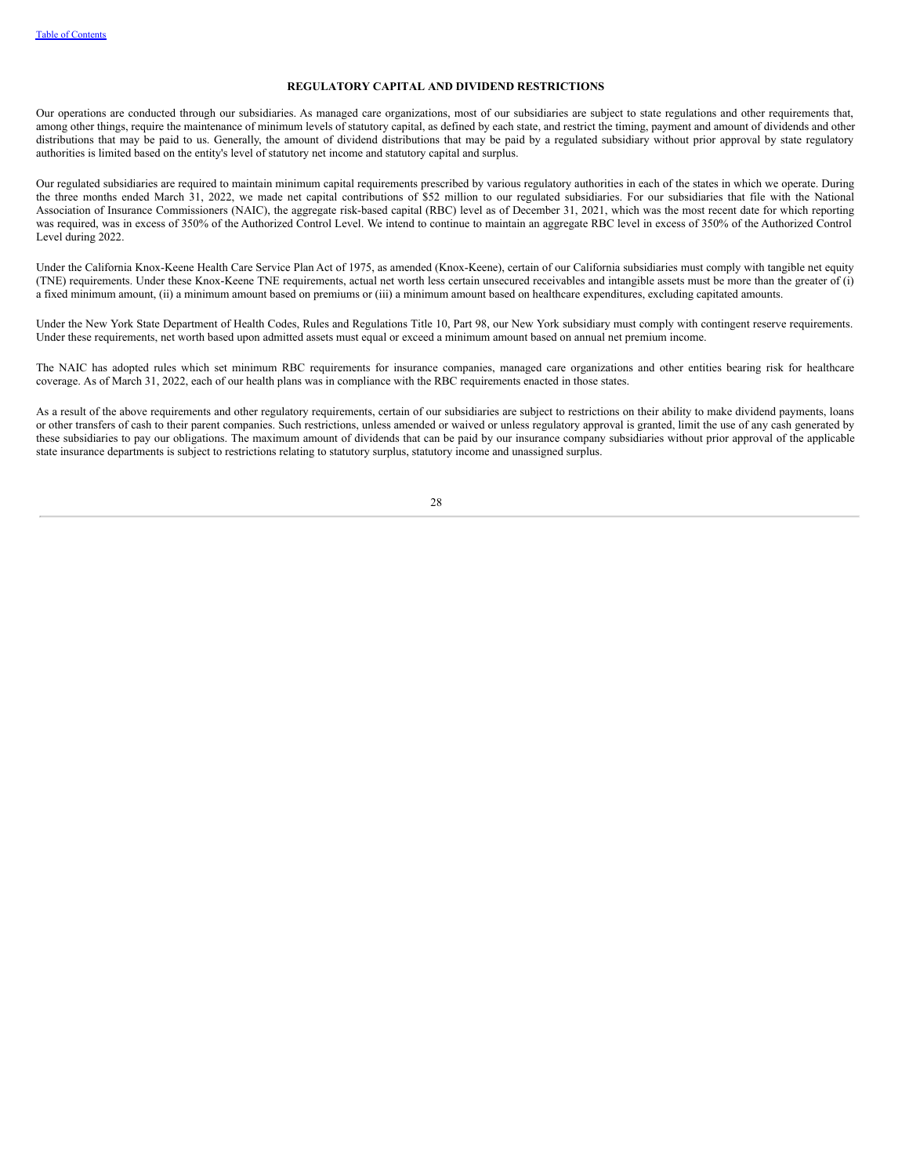### **REGULATORY CAPITAL AND DIVIDEND RESTRICTIONS**

Our operations are conducted through our subsidiaries. As managed care organizations, most of our subsidiaries are subject to state regulations and other requirements that, among other things, require the maintenance of minimum levels of statutory capital, as defined by each state, and restrict the timing, payment and amount of dividends and other distributions that may be paid to us. Generally, the amount of dividend distributions that may be paid by a regulated subsidiary without prior approval by state regulatory authorities is limited based on the entity's level of statutory net income and statutory capital and surplus.

Our regulated subsidiaries are required to maintain minimum capital requirements prescribed by various regulatory authorities in each of the states in which we operate. During the three months ended March 31, 2022, we made net capital contributions of \$52 million to our regulated subsidiaries. For our subsidiaries that file with the National Association of Insurance Commissioners (NAIC), the aggregate risk-based capital (RBC) level as of December 31, 2021, which was the most recent date for which reporting was required, was in excess of 350% of the Authorized Control Level. We intend to continue to maintain an aggregate RBC level in excess of 350% of the Authorized Control Level during 2022.

Under the California Knox-Keene Health Care Service Plan Act of 1975, as amended (Knox-Keene), certain of our California subsidiaries must comply with tangible net equity (TNE) requirements. Under these Knox-Keene TNE requirements, actual net worth less certain unsecured receivables and intangible assets must be more than the greater of (i) a fixed minimum amount, (ii) a minimum amount based on premiums or (iii) a minimum amount based on healthcare expenditures, excluding capitated amounts.

Under the New York State Department of Health Codes, Rules and Regulations Title 10, Part 98, our New York subsidiary must comply with contingent reserve requirements. Under these requirements, net worth based upon admitted assets must equal or exceed a minimum amount based on annual net premium income.

The NAIC has adopted rules which set minimum RBC requirements for insurance companies, managed care organizations and other entities bearing risk for healthcare coverage. As of March 31, 2022, each of our health plans was in compliance with the RBC requirements enacted in those states.

<span id="page-33-0"></span>As a result of the above requirements and other regulatory requirements, certain of our subsidiaries are subject to restrictions on their ability to make dividend payments, loans or other transfers of cash to their parent companies. Such restrictions, unless amended or waived or unless regulatory approval is granted, limit the use of any cash generated by these subsidiaries to pay our obligations. The maximum amount of dividends that can be paid by our insurance company subsidiaries without prior approval of the applicable state insurance departments is subject to restrictions relating to statutory surplus, statutory income and unassigned surplus.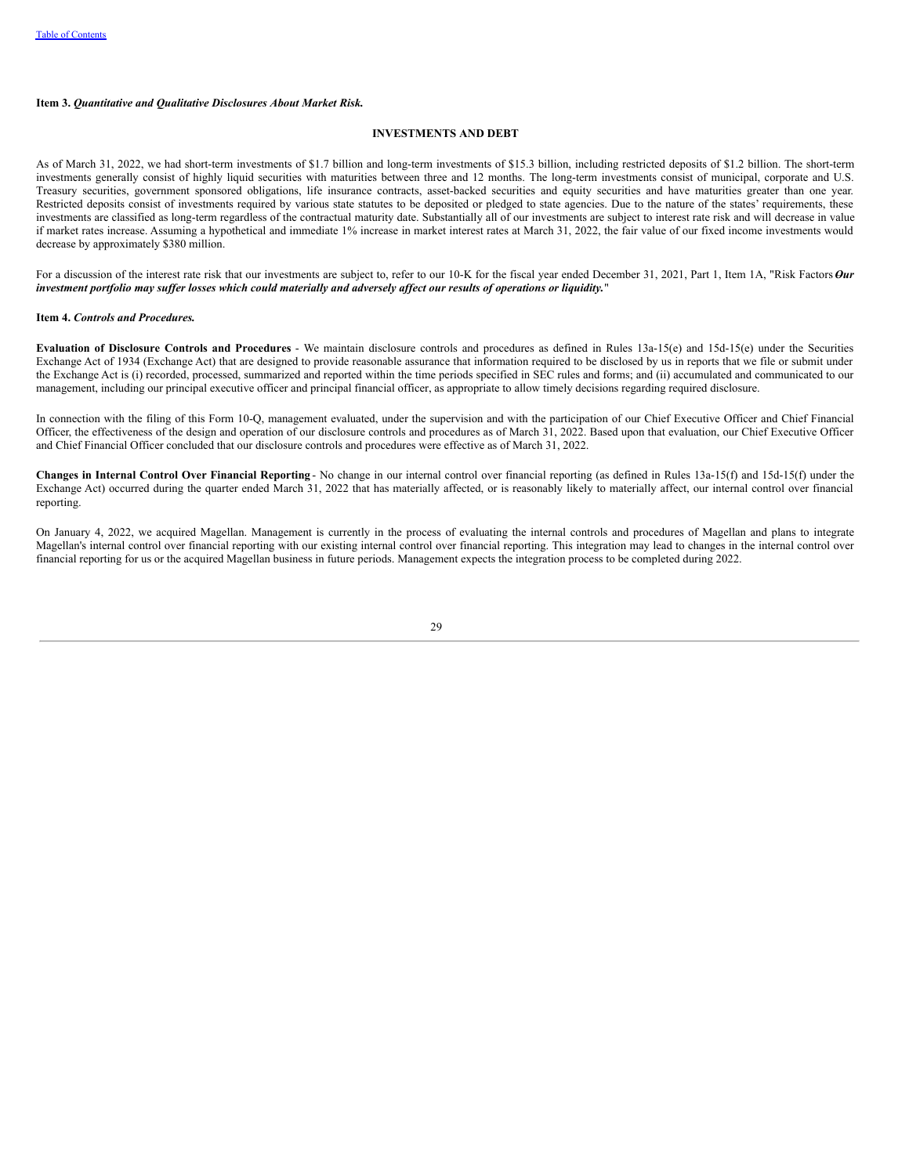#### **Item 3.** *Quantitative and Qualitative Disclosures About Market Risk.*

### **INVESTMENTS AND DEBT**

As of March 31, 2022, we had short-term investments of \$1.7 billion and long-term investments of \$15.3 billion, including restricted deposits of \$1.2 billion. The short-term investments generally consist of highly liquid securities with maturities between three and 12 months. The long-term investments consist of municipal, corporate and U.S. Treasury securities, government sponsored obligations, life insurance contracts, asset-backed securities and equity securities and have maturities greater than one year. Restricted deposits consist of investments required by various state statutes to be deposited or pledged to state agencies. Due to the nature of the states' requirements, these investments are classified as long-term regardless of the contractual maturity date. Substantially all of our investments are subject to interest rate risk and will decrease in value if market rates increase. Assuming a hypothetical and immediate 1% increase in market interest rates at March 31, 2022, the fair value of our fixed income investments would decrease by approximately \$380 million.

For a discussion of the interest rate risk that our investments are subject to, refer to our 10-K for the fiscal year ended December 31, 2021, Part 1, Item 1A, "Risk Factors *Our* investment portfolio may suffer losses which could materially and adversely affect our results of operations or liquidity."

#### <span id="page-34-0"></span>**Item 4.** *Controls and Procedures.*

**Evaluation of Disclosure Controls and Procedures** - We maintain disclosure controls and procedures as defined in Rules 13a-15(e) and 15d-15(e) under the Securities Exchange Act of 1934 (Exchange Act) that are designed to provide reasonable assurance that information required to be disclosed by us in reports that we file or submit under the Exchange Act is (i) recorded, processed, summarized and reported within the time periods specified in SEC rules and forms; and (ii) accumulated and communicated to our management, including our principal executive officer and principal financial officer, as appropriate to allow timely decisions regarding required disclosure.

In connection with the filing of this Form 10-Q, management evaluated, under the supervision and with the participation of our Chief Executive Officer and Chief Financial Officer, the effectiveness of the design and operation of our disclosure controls and procedures as of March 31, 2022. Based upon that evaluation, our Chief Executive Officer and Chief Financial Officer concluded that our disclosure controls and procedures were effective as of March 31, 2022.

**Changes in Internal Control Over Financial Reporting** - No change in our internal control over financial reporting (as defined in Rules 13a-15(f) and 15d-15(f) under the Exchange Act) occurred during the quarter ended March 31, 2022 that has materially affected, or is reasonably likely to materially affect, our internal control over financial reporting.

On January 4, 2022, we acquired Magellan. Management is currently in the process of evaluating the internal controls and procedures of Magellan and plans to integrate Magellan's internal control over financial reporting with our existing internal control over financial reporting. This integration may lead to changes in the internal control over financial reporting for us or the acquired Magellan business in future periods. Management expects the integration process to be completed during 2022.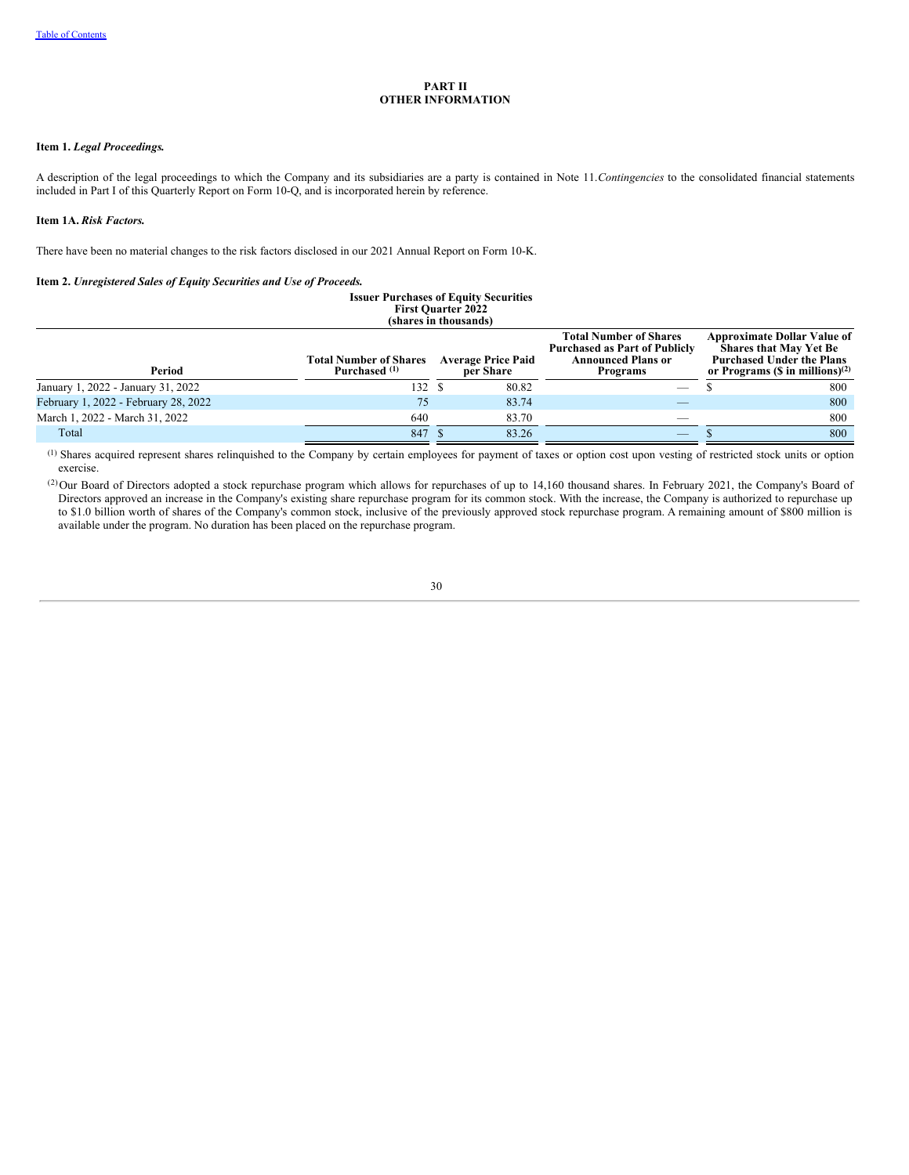# **PART II OTHER INFORMATION**

# <span id="page-35-0"></span>**Item 1.** *Legal Proceedings.*

A description of the legal proceedings to which the Company and its subsidiaries are a party is contained in Note 11.*Contingencies* to the consolidated financial statements included in Part I of this Quarterly Report on Form 10-Q, and is incorporated herein by reference.

## <span id="page-35-1"></span>**Item 1A.** *Risk Factors.*

<span id="page-35-2"></span>There have been no material changes to the risk factors disclosed in our 2021 Annual Report on Form 10-K.

#### **Item 2.** *Unregistered Sales of Equity Securities and Use of Proceeds.*

|                                      | <b>Issuer Purchases of Equity Securities</b><br><b>First Ouarter 2022</b><br>(shares in thousands) |                                        |                                                                                                                |                                                                                                                                                          |
|--------------------------------------|----------------------------------------------------------------------------------------------------|----------------------------------------|----------------------------------------------------------------------------------------------------------------|----------------------------------------------------------------------------------------------------------------------------------------------------------|
| Period                               | <b>Total Number of Shares</b><br>Purchased <sup>(1)</sup>                                          | <b>Average Price Paid</b><br>per Share | <b>Total Number of Shares</b><br><b>Purchased as Part of Publicly</b><br><b>Announced Plans or</b><br>Programs | <b>Approximate Dollar Value of</b><br><b>Shares that May Yet Be</b><br><b>Purchased Under the Plans</b><br>or Programs $(\$$ in millions) <sup>(2)</sup> |
| January 1, 2022 - January 31, 2022   | 132 \$                                                                                             | 80.82                                  |                                                                                                                | 800                                                                                                                                                      |
| February 1, 2022 - February 28, 2022 | 75                                                                                                 | 83.74                                  |                                                                                                                | 800                                                                                                                                                      |
| March 1, 2022 - March 31, 2022       | 640                                                                                                | 83.70                                  |                                                                                                                | 800                                                                                                                                                      |
| Total                                | 847                                                                                                | 83.26                                  | _                                                                                                              | 800                                                                                                                                                      |

 $<sup>(1)</sup>$  Shares acquired represent shares relinquished to the Company by certain employees for payment of taxes or option cost upon vesting of restricted stock units or option</sup> exercise.

<span id="page-35-3"></span>(2) Our Board of Directors adopted a stock repurchase program which allows for repurchases of up to  $14,160$  thousand shares. In February 2021, the Company's Board of Directors approved an increase in the Company's existing share repurchase program for its common stock. With the increase, the Company is authorized to repurchase up to \$1.0 billion worth of shares of the Company's common stock, inclusive of the previously approved stock repurchase program. A remaining amount of \$800 million is available under the program. No duration has been placed on the repurchase program.

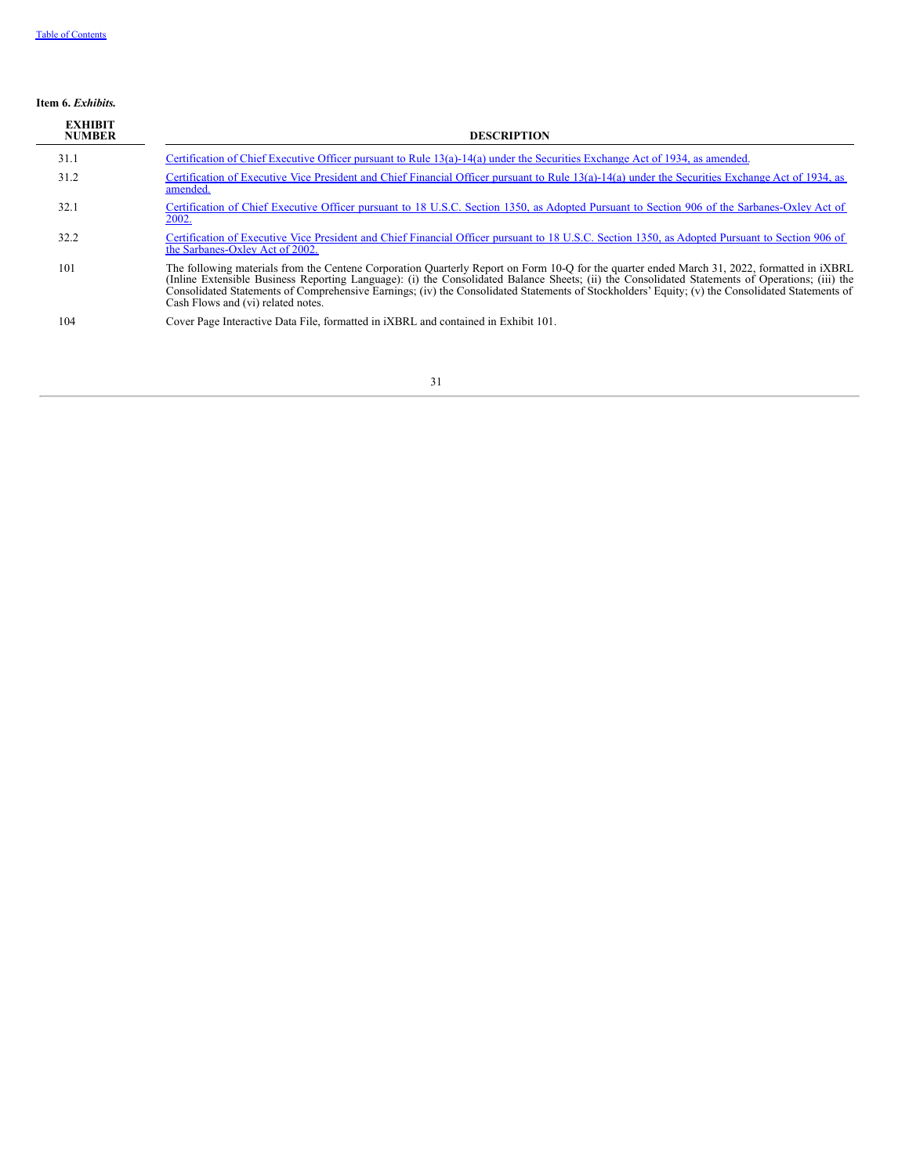# **Item 6.** *Exhibits.*

<span id="page-36-0"></span>

| <b>EXHIBIT</b><br><b>NUMBER</b> | <b>DESCRIPTION</b>                                                                                                                                                                                                                                                                                                                                                                                                                                                                             |
|---------------------------------|------------------------------------------------------------------------------------------------------------------------------------------------------------------------------------------------------------------------------------------------------------------------------------------------------------------------------------------------------------------------------------------------------------------------------------------------------------------------------------------------|
| 31.1                            | Certification of Chief Executive Officer pursuant to Rule 13(a)-14(a) under the Securities Exchange Act of 1934, as amended.                                                                                                                                                                                                                                                                                                                                                                   |
| 31.2                            | Certification of Executive Vice President and Chief Financial Officer pursuant to Rule 13(a)-14(a) under the Securities Exchange Act of 1934, as<br>amended.                                                                                                                                                                                                                                                                                                                                   |
| 32.1                            | Certification of Chief Executive Officer pursuant to 18 U.S.C. Section 1350, as Adopted Pursuant to Section 906 of the Sarbanes-Oxley Act of<br>2002.                                                                                                                                                                                                                                                                                                                                          |
| 32.2                            | Certification of Executive Vice President and Chief Financial Officer pursuant to 18 U.S.C. Section 1350, as Adopted Pursuant to Section 906 of<br>the Sarbanes-Oxley Act of 2002.                                                                                                                                                                                                                                                                                                             |
| 101                             | The following materials from the Centene Corporation Quarterly Report on Form 10-Q for the quarter ended March 31, 2022, formatted in <i>iXBRL</i><br>(Inline Extensible Business Reporting Language): (i) the Consolidated Balance Sheets; (ii) the Consolidated Statements of Operations; (iii) the<br>Consolidated Statements of Comprehensive Earnings; (iv) the Consolidated Statements of Stockholders' Equity; (v) the Consolidated Statements of<br>Cash Flows and (vi) related notes. |
| 104                             | Cover Page Interactive Data File, formatted in <i>iXBRL</i> and contained in Exhibit 101.                                                                                                                                                                                                                                                                                                                                                                                                      |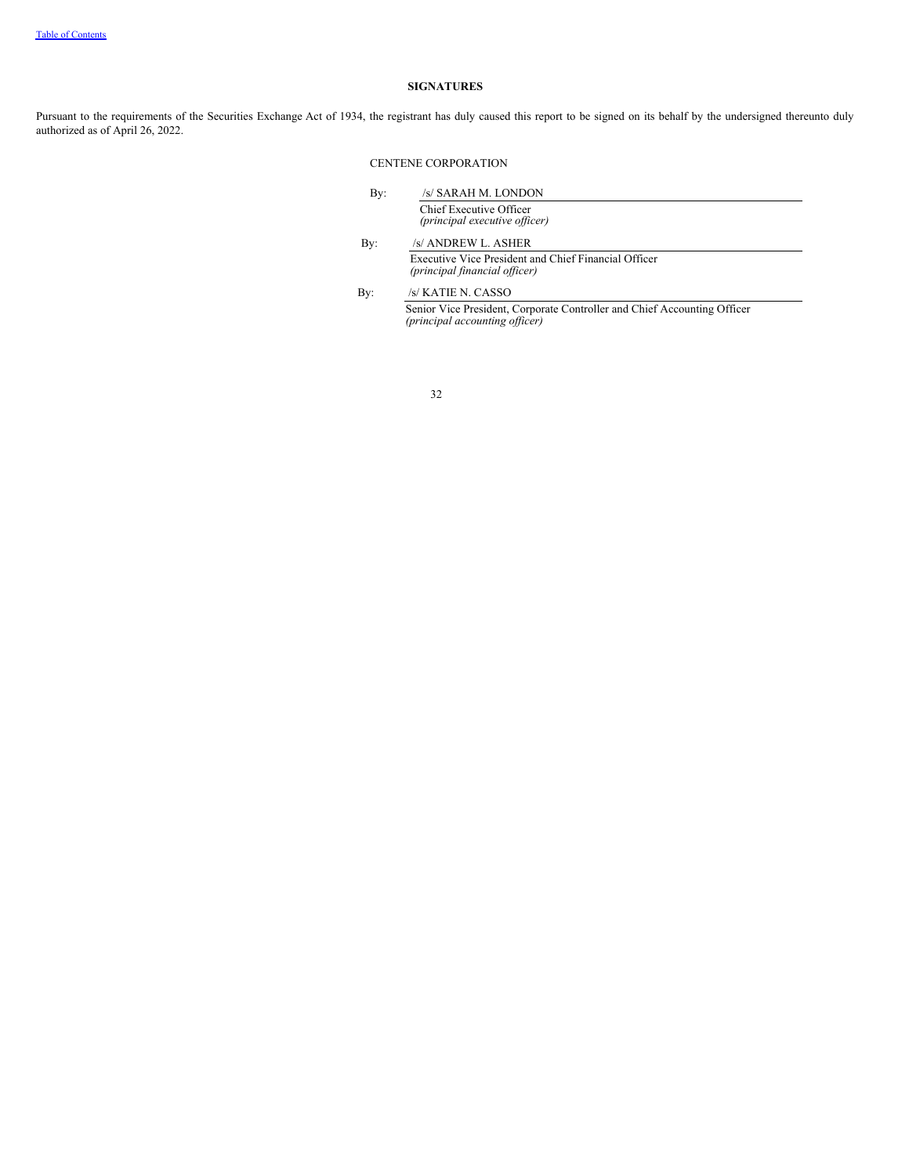# **SIGNATURES**

Pursuant to the requirements of the Securities Exchange Act of 1934, the registrant has duly caused this report to be signed on its behalf by the undersigned thereunto duly authorized as of April 26, 2022.

# CENTENE CORPORATION

| By: | /s/ SARAH M. LONDON                                                                   |
|-----|---------------------------------------------------------------------------------------|
|     | Chief Executive Officer<br>(principal executive officer)                              |
| By: | /s/ ANDREW L. ASHER                                                                   |
|     | Executive Vice President and Chief Financial Officer<br>(principal financial officer) |
|     |                                                                                       |

By: /s/ KATIE N. CASSO Senior Vice President, Corporate Controller and Chief Accounting Officer *(principal accounting of icer)*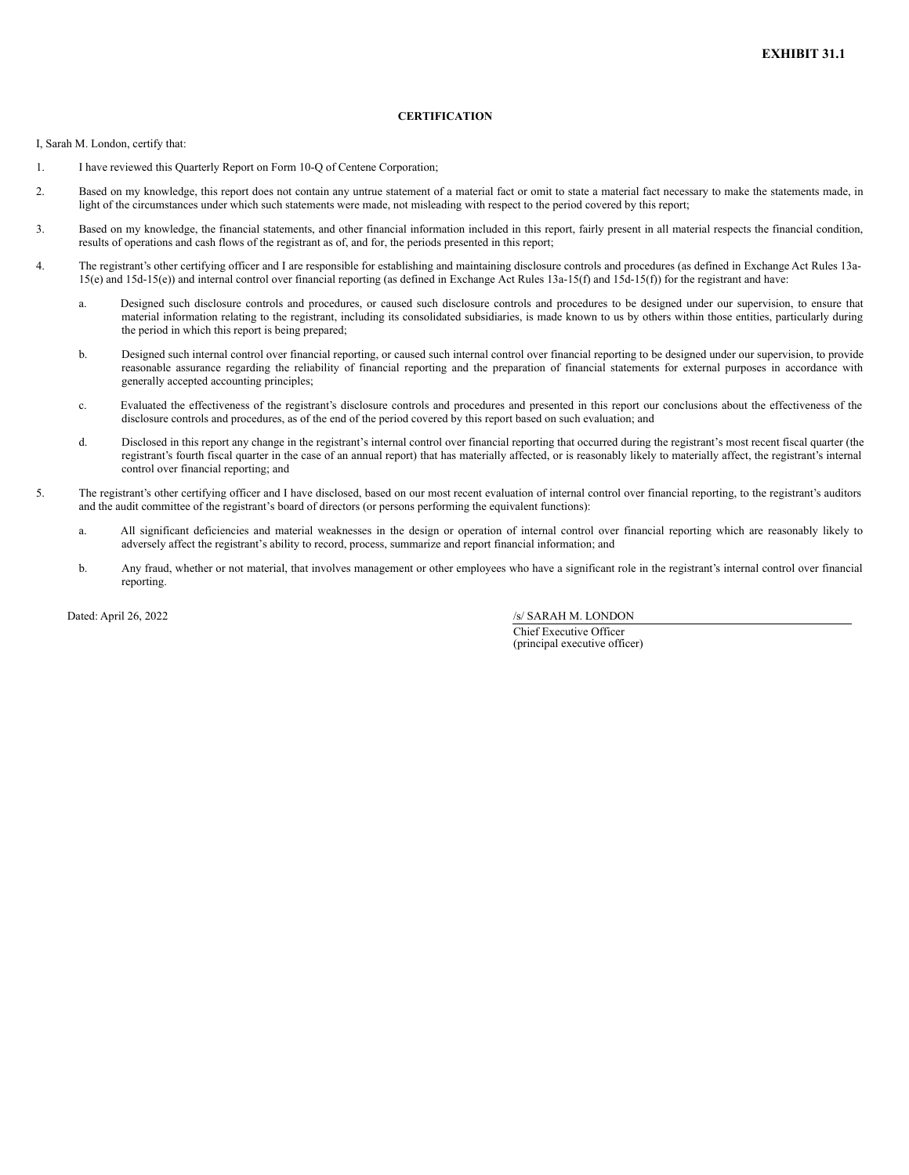# **CERTIFICATION**

<span id="page-38-0"></span>I, Sarah M. London, certify that:

- 1. I have reviewed this Quarterly Report on Form 10-Q of Centene Corporation;
- 2. Based on my knowledge, this report does not contain any untrue statement of a material fact or omit to state a material fact necessary to make the statements made, in light of the circumstances under which such statements were made, not misleading with respect to the period covered by this report;
- 3. Based on my knowledge, the financial statements, and other financial information included in this report, fairly present in all material respects the financial condition, results of operations and cash flows of the registrant as of, and for, the periods presented in this report;
- 4. The registrant's other certifying officer and I are responsible for establishing and maintaining disclosure controls and procedures (as defined in Exchange Act Rules 13a-15(e) and 15d-15(e)) and internal control over financial reporting (as defined in Exchange Act Rules 13a-15(f) and 15d-15(f)) for the registrant and have:
	- a. Designed such disclosure controls and procedures, or caused such disclosure controls and procedures to be designed under our supervision, to ensure that material information relating to the registrant, including its consolidated subsidiaries, is made known to us by others within those entities, particularly during the period in which this report is being prepared;
	- b. Designed such internal control over financial reporting, or caused such internal control over financial reporting to be designed under our supervision, to provide reasonable assurance regarding the reliability of financial reporting and the preparation of financial statements for external purposes in accordance with generally accepted accounting principles;
	- c. Evaluated the effectiveness of the registrant's disclosure controls and procedures and presented in this report our conclusions about the effectiveness of the disclosure controls and procedures, as of the end of the period covered by this report based on such evaluation; and
	- d. Disclosed in this report any change in the registrant's internal control over financial reporting that occurred during the registrant's most recent fiscal quarter (the registrant's fourth fiscal quarter in the case of an annual report) that has materially affected, or is reasonably likely to materially affect, the registrant's internal control over financial reporting; and
- 5. The registrant's other certifying officer and I have disclosed, based on our most recent evaluation of internal control over financial reporting, to the registrant's auditors and the audit committee of the registrant's board of directors (or persons performing the equivalent functions):
	- a. All significant deficiencies and material weaknesses in the design or operation of internal control over financial reporting which are reasonably likely to adversely affect the registrant's ability to record, process, summarize and report financial information; and
	- b. Any fraud, whether or not material, that involves management or other employees who have a significant role in the registrant's internal control over financial reporting.

Dated: April 26, 2022 /s/ SARAH M. LONDON

Chief Executive Officer (principal executive officer)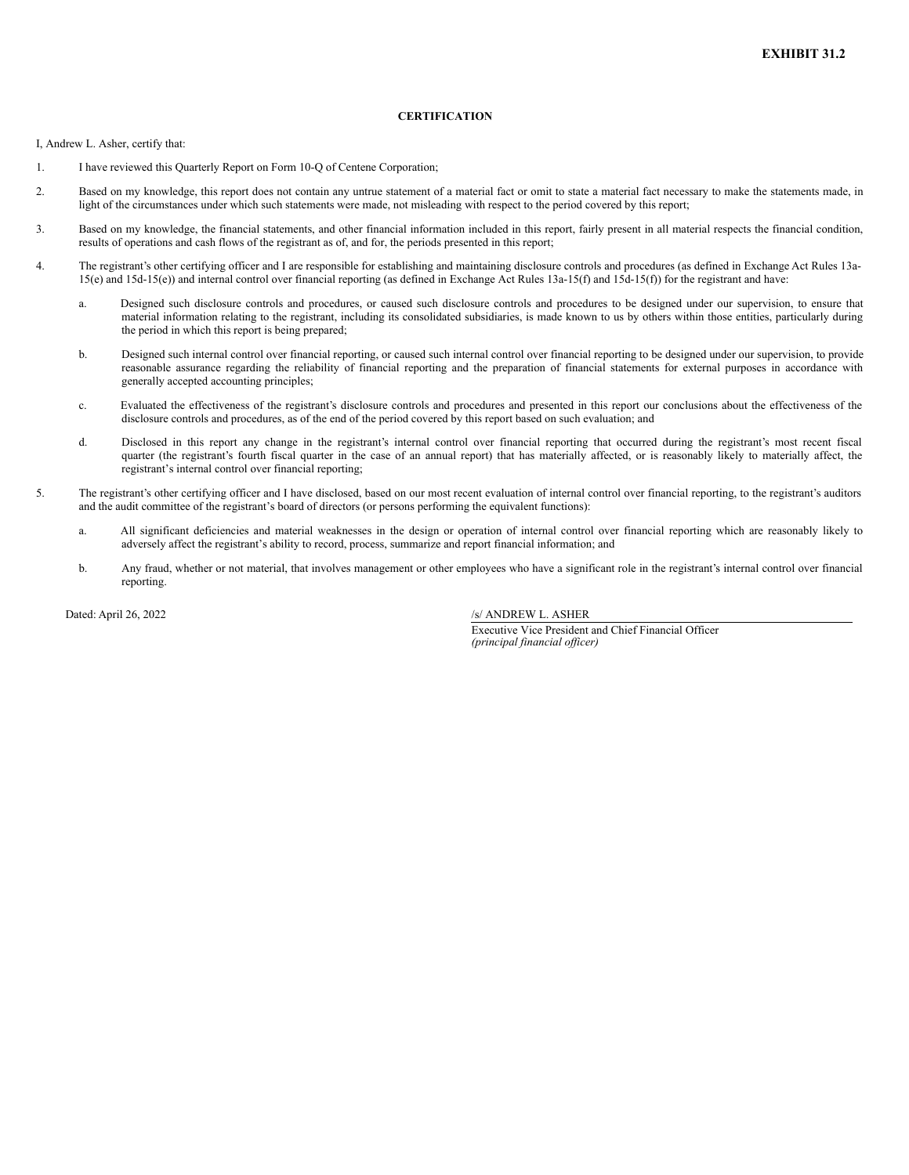# **CERTIFICATION**

<span id="page-39-0"></span>I, Andrew L. Asher, certify that:

- 1. I have reviewed this Quarterly Report on Form 10-Q of Centene Corporation;
- 2. Based on my knowledge, this report does not contain any untrue statement of a material fact or omit to state a material fact necessary to make the statements made, in light of the circumstances under which such statements were made, not misleading with respect to the period covered by this report;
- 3. Based on my knowledge, the financial statements, and other financial information included in this report, fairly present in all material respects the financial condition, results of operations and cash flows of the registrant as of, and for, the periods presented in this report;
- 4. The registrant's other certifying officer and I are responsible for establishing and maintaining disclosure controls and procedures (as defined in Exchange Act Rules 13a-15(e) and 15d-15(e)) and internal control over financial reporting (as defined in Exchange Act Rules 13a-15(f) and 15d-15(f)) for the registrant and have:
	- a. Designed such disclosure controls and procedures, or caused such disclosure controls and procedures to be designed under our supervision, to ensure that material information relating to the registrant, including its consolidated subsidiaries, is made known to us by others within those entities, particularly during the period in which this report is being prepared;
	- b. Designed such internal control over financial reporting, or caused such internal control over financial reporting to be designed under our supervision, to provide reasonable assurance regarding the reliability of financial reporting and the preparation of financial statements for external purposes in accordance with generally accepted accounting principles;
	- c. Evaluated the effectiveness of the registrant's disclosure controls and procedures and presented in this report our conclusions about the effectiveness of the disclosure controls and procedures, as of the end of the period covered by this report based on such evaluation; and
	- d. Disclosed in this report any change in the registrant's internal control over financial reporting that occurred during the registrant's most recent fiscal quarter (the registrant's fourth fiscal quarter in the case of an annual report) that has materially affected, or is reasonably likely to materially affect, the registrant's internal control over financial reporting;
- 5. The registrant's other certifying officer and I have disclosed, based on our most recent evaluation of internal control over financial reporting, to the registrant's auditors and the audit committee of the registrant's board of directors (or persons performing the equivalent functions):
	- a. All significant deficiencies and material weaknesses in the design or operation of internal control over financial reporting which are reasonably likely to adversely affect the registrant's ability to record, process, summarize and report financial information; and
	- b. Any fraud, whether or not material, that involves management or other employees who have a significant role in the registrant's internal control over financial reporting.

Dated: April 26, 2022 /s/ ANDREW L. ASHER

Executive Vice President and Chief Financial Officer *(principal financial of icer)*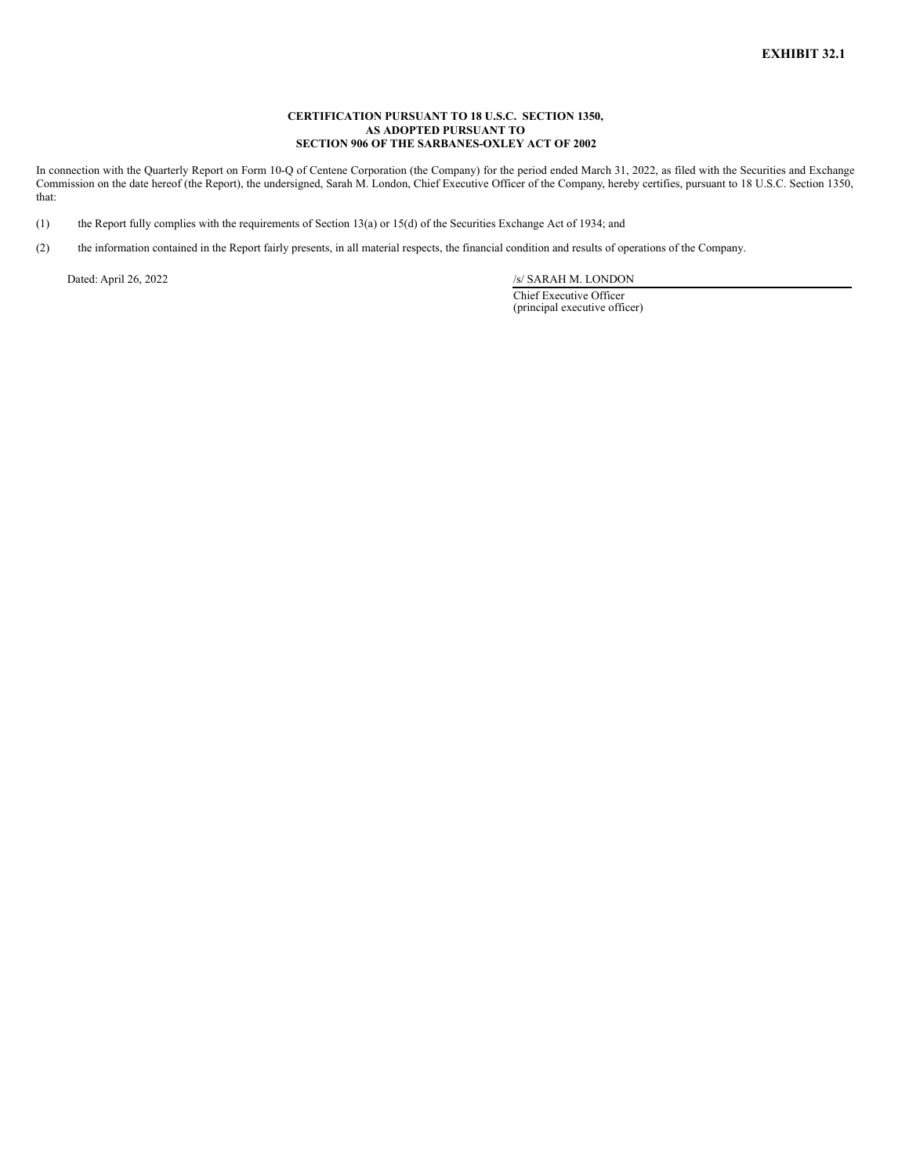## **CERTIFICATION PURSUANT TO 18 U.S.C. SECTION 1350, AS ADOPTED PURSUANT TO SECTION 906 OF THE SARBANES-OXLEY ACT OF 2002**

<span id="page-40-0"></span>In connection with the Quarterly Report on Form 10-Q of Centene Corporation (the Company) for the period ended March 31, 2022, as filed with the Securities and Exchange Commission on the date hereof (the Report), the undersigned, Sarah M. London, Chief Executive Officer of the Company, hereby certifies, pursuant to 18 U.S.C. Section 1350, that:

(1) the Report fully complies with the requirements of Section 13(a) or 15(d) of the Securities Exchange Act of 1934; and

(2) the information contained in the Report fairly presents, in all material respects, the financial condition and results of operations of the Company.

Dated: April 26, 2022 /s/ SARAH M. LONDON

Chief Executive Officer (principal executive officer)